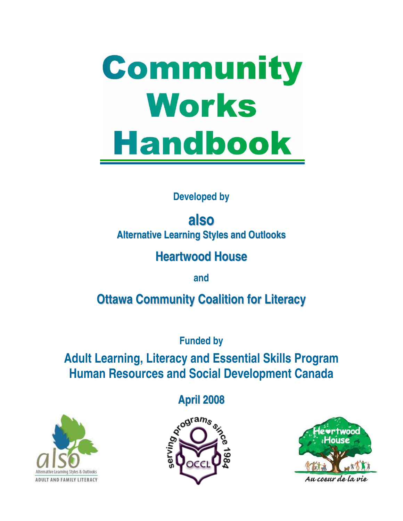# Community Works **Handbook**

#### **Developed by**

**also Alternative Learning Styles and Outlooks**

#### **Heartwood House**

**and** 

### **Ottawa Community Coalition for Literacy**

**Funded by** 

**Adult Learning, Literacy and Essential Skills Program Human Resources and Social Development Canada**





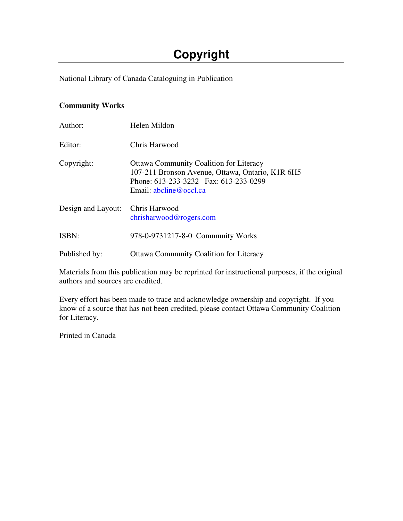#### **Copyright**

National Library of Canada Cataloguing in Publication

#### **Community Works**

| Author:            | Helen Mildon                                                                                                                                                          |
|--------------------|-----------------------------------------------------------------------------------------------------------------------------------------------------------------------|
| Editor:            | Chris Harwood                                                                                                                                                         |
| Copyright:         | <b>Ottawa Community Coalition for Literacy</b><br>107-211 Bronson Avenue, Ottawa, Ontario, K1R 6H5<br>Phone: 613-233-3232 Fax: 613-233-0299<br>Email: abcline@occl.ca |
| Design and Layout: | Chris Harwood<br>chrisharwood @rogers.com                                                                                                                             |
| <b>ISBN:</b>       | 978-0-9731217-8-0 Community Works                                                                                                                                     |
| Published by:      | <b>Ottawa Community Coalition for Literacy</b>                                                                                                                        |

Materials from this publication may be reprinted for instructional purposes, if the original authors and sources are credited.

Every effort has been made to trace and acknowledge ownership and copyright. If you know of a source that has not been credited, please contact Ottawa Community Coalition for Literacy.

Printed in Canada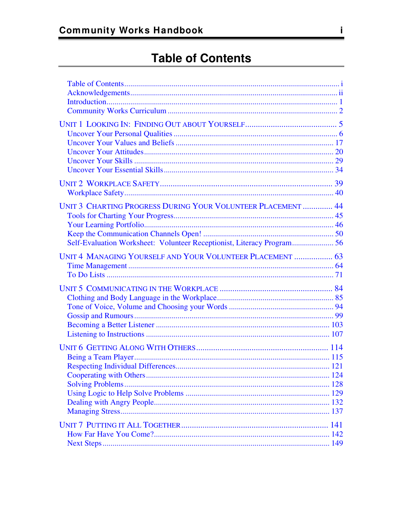| UNIT 3 CHARTING PROGRESS DURING YOUR VOLUNTEER PLACEMENT  44     |  |
|------------------------------------------------------------------|--|
| <b>UNIT 4 MANAGING YOURSELF AND YOUR VOLUNTEER PLACEMENT  63</b> |  |
|                                                                  |  |
|                                                                  |  |
|                                                                  |  |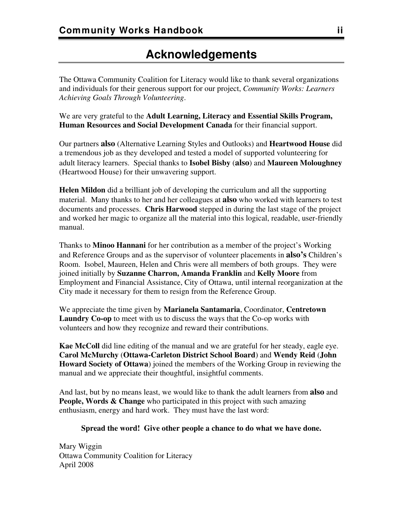#### **Acknowledgements**

<span id="page-3-0"></span>The Ottawa Community Coalition for Literacy would like to thank several organizations and individuals for their generous support for our project, *Community Works: Learners Achieving Goals Through Volunteering*.

We are very grateful to the **Adult Learning, Literacy and Essential Skills Program, Human Resources and Social Development Canada** for their financial support.

Our partners **also** (Alternative Learning Styles and Outlooks) and **Heartwood House** did a tremendous job as they developed and tested a model of supported volunteering for adult literacy learners. Special thanks to **Isobel Bisby** (**also**) and **Maureen Moloughney** (Heartwood House) for their unwavering support.

**Helen Mildon** did a brilliant job of developing the curriculum and all the supporting material. Many thanks to her and her colleagues at **also** who worked with learners to test documents and processes. **Chris Harwood** stepped in during the last stage of the project and worked her magic to organize all the material into this logical, readable, user-friendly manual.

Thanks to **Minoo Hannani** for her contribution as a member of the project's Working and Reference Groups and as the supervisor of volunteer placements in **also's** Children's Room. Isobel, Maureen, Helen and Chris were all members of both groups. They were joined initially by **Suzanne Charron, Amanda Franklin** and **Kelly Moore** from Employment and Financial Assistance, City of Ottawa, until internal reorganization at the City made it necessary for them to resign from the Reference Group.

We appreciate the time given by **Marianela Santamaria**, Coordinator, **Centretown Laundry Co-op** to meet with us to discuss the ways that the Co-op works with volunteers and how they recognize and reward their contributions.

**Kae McColl** did line editing of the manual and we are grateful for her steady, eagle eye. **Carol McMurchy** (**Ottawa-Carleton District School Board**) and **Wendy Reid** (**John Howard Society of Ottawa**) joined the members of the Working Group in reviewing the manual and we appreciate their thoughtful, insightful comments.

And last, but by no means least, we would like to thank the adult learners from **also** and **People, Words & Change** who participated in this project with such amazing enthusiasm, energy and hard work. They must have the last word:

#### **Spread the word! Give other people a chance to do what we have done.**

Mary Wiggin Ottawa Community Coalition for Literacy April 2008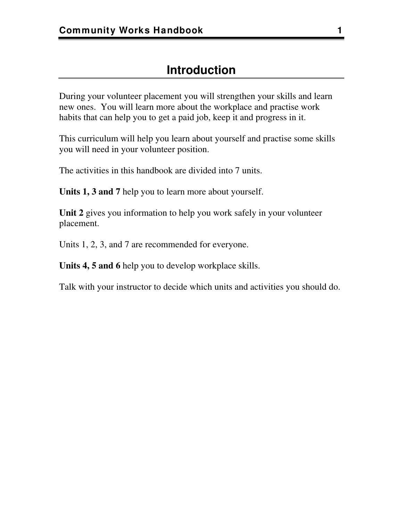<span id="page-4-0"></span>During your volunteer placement you will strengthen your skills and learn new ones. You will learn more about the workplace and practise work habits that can help you to get a paid job, keep it and progress in it.

This curriculum will help you learn about yourself and practise some skills you will need in your volunteer position.

The activities in this handbook are divided into 7 units.

**Units 1, 3 and 7** help you to learn more about yourself.

**Unit 2** gives you information to help you work safely in your volunteer placement.

Units 1, 2, 3, and 7 are recommended for everyone.

**Units 4, 5 and 6** help you to develop workplace skills.

Talk with your instructor to decide which units and activities you should do.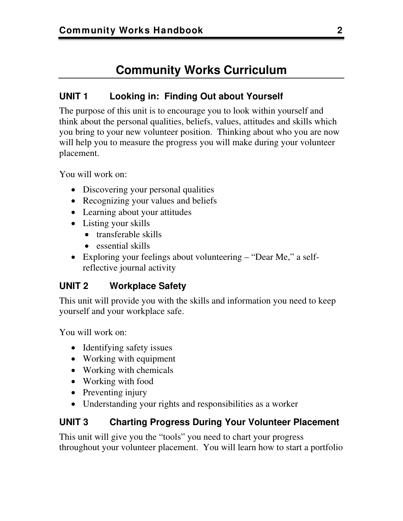#### **Community Works Curriculum**

#### <span id="page-5-0"></span>**UNIT 1 Looking in: Finding Out about Yourself**

The purpose of this unit is to encourage you to look within yourself and think about the personal qualities, beliefs, values, attitudes and skills which you bring to your new volunteer position. Thinking about who you are now will help you to measure the progress you will make during your volunteer placement.

You will work on:

- Discovering your personal qualities
- Recognizing your values and beliefs
- Learning about your attitudes
- Listing your skills
	- transferable skills
	- essential skills
- Exploring your feelings about volunteering "Dear Me," a selfreflective journal activity

#### **UNIT 2 Workplace Safety**

This unit will provide you with the skills and information you need to keep yourself and your workplace safe.

You will work on:

- Identifying safety issues
- Working with equipment
- Working with chemicals
- Working with food
- Preventing injury
- Understanding your rights and responsibilities as a worker

#### **UNIT 3 Charting Progress During Your Volunteer Placement**

This unit will give you the "tools" you need to chart your progress throughout your volunteer placement. You will learn how to start a portfolio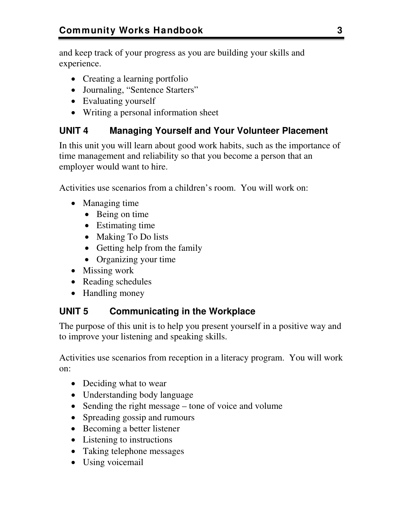and keep track of your progress as you are building your skills and experience.

- Creating a learning portfolio
- Journaling, "Sentence Starters"
- Evaluating yourself
- Writing a personal information sheet

#### **UNIT 4 Managing Yourself and Your Volunteer Placement**

In this unit you will learn about good work habits, such as the importance of time management and reliability so that you become a person that an employer would want to hire.

Activities use scenarios from a children's room. You will work on:

- Managing time
	- Being on time
	- Estimating time
	- Making To Do lists
	- Getting help from the family
	- Organizing your time
- Missing work
- Reading schedules
- Handling money

#### **UNIT 5 Communicating in the Workplace**

The purpose of this unit is to help you present yourself in a positive way and to improve your listening and speaking skills.

Activities use scenarios from reception in a literacy program. You will work on:

- Deciding what to wear
- Understanding body language
- Sending the right message tone of voice and volume
- Spreading gossip and rumours
- Becoming a better listener
- Listening to instructions
- Taking telephone messages
- Using voicemail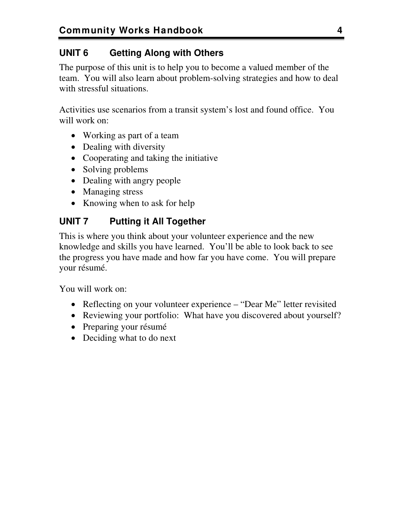#### **UNIT 6 Getting Along with Others**

The purpose of this unit is to help you to become a valued member of the team. You will also learn about problem-solving strategies and how to deal with stressful situations.

Activities use scenarios from a transit system's lost and found office. You will work on:

- Working as part of a team
- Dealing with diversity
- Cooperating and taking the initiative
- Solving problems
- Dealing with angry people
- Managing stress
- Knowing when to ask for help

#### **UNIT 7 Putting it All Together**

This is where you think about your volunteer experience and the new knowledge and skills you have learned. You'll be able to look back to see the progress you have made and how far you have come. You will prepare your résumé.

You will work on:

- Reflecting on your volunteer experience "Dear Me" letter revisited
- Reviewing your portfolio: What have you discovered about yourself?
- Preparing your résumé
- Deciding what to do next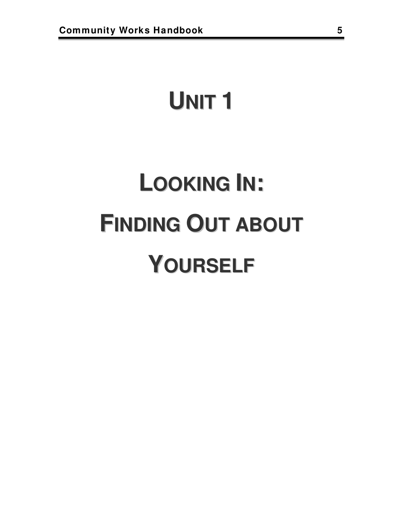### <span id="page-8-0"></span>**UNIT 1**

## **LOOKING IN: FINDING OUT ABOUT YOURSELF**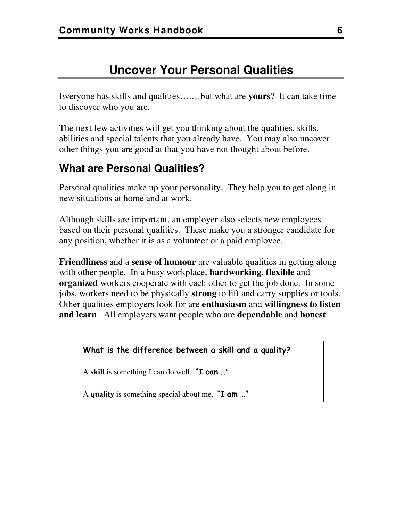#### **Uncover Your Personal Qualities**

<span id="page-9-0"></span>Everyone has skills and qualities….…but what are **yours**? It can take time to discover who you are.

The next few activities will get you thinking about the qualities, skills, abilities and special talents that you already have. You may also uncover other things you are good at that you have not thought about before.

#### **What are Personal Qualities?**

Personal qualities make up your personality. They help you to get along in new situations at home and at work.

Although skills are important, an employer also selects new employees based on their personal qualities. These make you a stronger candidate for any position, whether it is as a volunteer or a paid employee.

**Friendliness** and a **sense of humour** are valuable qualities in getting along with other people. In a busy workplace, **hardworking, flexible** and **organized** workers cooperate with each other to get the job done. In some jobs, workers need to be physically **strong** to lift and carry supplies or tools. Other qualities employers look for are **enthusiasm** and **willingness to listen and learn**. All employers want people who are **dependable** and **honest**.

#### **What is the difference between a skill and a quality?**

A **skill** is something I can do well. "I **can** …"

A **quality** is something special about me. "I **am** …"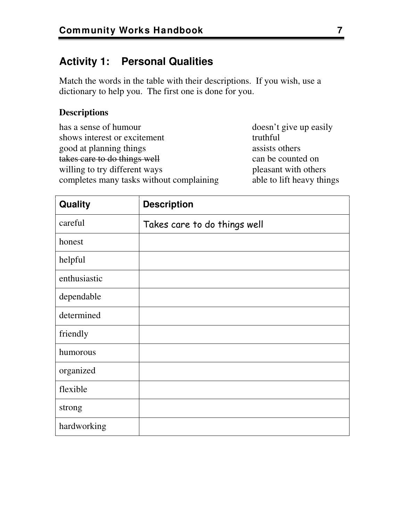#### **Activity 1: Personal Qualities**

Match the words in the table with their descriptions. If you wish, use a dictionary to help you. The first one is done for you.

#### **Descriptions**

| has a sense of humour                    | doesn't give up easily    |
|------------------------------------------|---------------------------|
| shows interest or excitement             | truthful                  |
| good at planning things                  | assists others            |
| takes care to do things well             | can be counted on         |
| willing to try different ways            | pleasant with others      |
| completes many tasks without complaining | able to lift heavy things |
|                                          |                           |

| Quality      | <b>Description</b>           |
|--------------|------------------------------|
| careful      | Takes care to do things well |
| honest       |                              |
| helpful      |                              |
| enthusiastic |                              |
| dependable   |                              |
| determined   |                              |
| friendly     |                              |
| humorous     |                              |
| organized    |                              |
| flexible     |                              |
| strong       |                              |
| hardworking  |                              |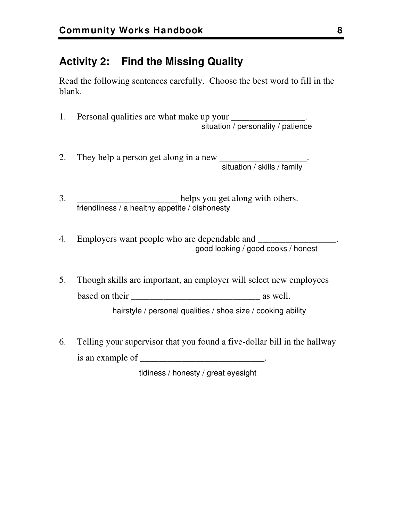#### **Activity 2: Find the Missing Quality**

Read the following sentences carefully. Choose the best word to fill in the blank.

- 1. Personal qualities are what make up your \_\_\_\_\_\_\_\_\_\_\_\_\_\_\_. situation / personality / patience
- 2. They help a person get along in a new \_\_\_\_\_\_\_\_\_\_\_\_\_\_\_\_\_\_\_. situation / skills / family
- 3. \_\_\_\_\_\_\_\_\_\_\_\_\_\_\_\_\_\_\_\_\_\_\_\_\_\_ helps you get along with others. friendliness / a healthy appetite / dishonesty
- 4. Employers want people who are dependable and good looking / good cooks / honest
- 5. Though skills are important, an employer will select new employees based on their \_\_\_\_\_\_\_\_\_\_\_\_\_\_\_\_\_\_\_\_\_\_\_\_\_\_\_\_ as well.

hairstyle / personal qualities / shoe size / cooking ability

6. Telling your supervisor that you found a five-dollar bill in the hallway is an example of \_\_\_\_\_\_\_\_\_\_\_\_\_\_\_\_\_\_\_\_\_\_\_\_\_\_\_\_.

tidiness / honesty / great eyesight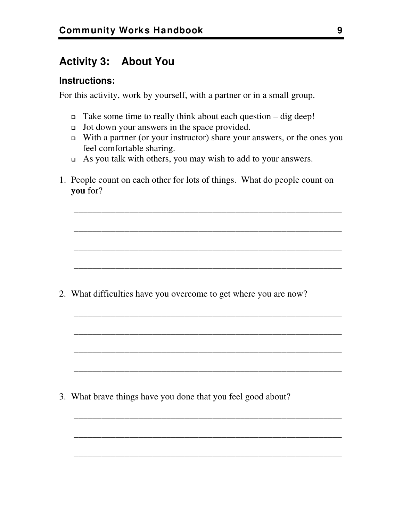#### **Activity 3: About You**

#### **Instructions:**

For this activity, work by yourself, with a partner or in a small group.

- $\Box$  Take some time to really think about each question dig deep!
- $\Box$  Jot down your answers in the space provided.
- $\Box$  With a partner (or your instructor) share your answers, or the ones you feel comfortable sharing.

\_\_\_\_\_\_\_\_\_\_\_\_\_\_\_\_\_\_\_\_\_\_\_\_\_\_\_\_\_\_\_\_\_\_\_\_\_\_\_\_\_\_\_\_\_\_\_\_\_\_\_\_\_\_\_\_\_\_

\_\_\_\_\_\_\_\_\_\_\_\_\_\_\_\_\_\_\_\_\_\_\_\_\_\_\_\_\_\_\_\_\_\_\_\_\_\_\_\_\_\_\_\_\_\_\_\_\_\_\_\_\_\_\_\_\_\_

\_\_\_\_\_\_\_\_\_\_\_\_\_\_\_\_\_\_\_\_\_\_\_\_\_\_\_\_\_\_\_\_\_\_\_\_\_\_\_\_\_\_\_\_\_\_\_\_\_\_\_\_\_\_\_\_\_\_

\_\_\_\_\_\_\_\_\_\_\_\_\_\_\_\_\_\_\_\_\_\_\_\_\_\_\_\_\_\_\_\_\_\_\_\_\_\_\_\_\_\_\_\_\_\_\_\_\_\_\_\_\_\_\_\_\_\_

\_\_\_\_\_\_\_\_\_\_\_\_\_\_\_\_\_\_\_\_\_\_\_\_\_\_\_\_\_\_\_\_\_\_\_\_\_\_\_\_\_\_\_\_\_\_\_\_\_\_\_\_\_\_\_\_\_\_

\_\_\_\_\_\_\_\_\_\_\_\_\_\_\_\_\_\_\_\_\_\_\_\_\_\_\_\_\_\_\_\_\_\_\_\_\_\_\_\_\_\_\_\_\_\_\_\_\_\_\_\_\_\_\_\_\_\_

\_\_\_\_\_\_\_\_\_\_\_\_\_\_\_\_\_\_\_\_\_\_\_\_\_\_\_\_\_\_\_\_\_\_\_\_\_\_\_\_\_\_\_\_\_\_\_\_\_\_\_\_\_\_\_\_\_\_

\_\_\_\_\_\_\_\_\_\_\_\_\_\_\_\_\_\_\_\_\_\_\_\_\_\_\_\_\_\_\_\_\_\_\_\_\_\_\_\_\_\_\_\_\_\_\_\_\_\_\_\_\_\_\_\_\_\_

\_\_\_\_\_\_\_\_\_\_\_\_\_\_\_\_\_\_\_\_\_\_\_\_\_\_\_\_\_\_\_\_\_\_\_\_\_\_\_\_\_\_\_\_\_\_\_\_\_\_\_\_\_\_\_\_\_\_

\_\_\_\_\_\_\_\_\_\_\_\_\_\_\_\_\_\_\_\_\_\_\_\_\_\_\_\_\_\_\_\_\_\_\_\_\_\_\_\_\_\_\_\_\_\_\_\_\_\_\_\_\_\_\_\_\_\_

\_\_\_\_\_\_\_\_\_\_\_\_\_\_\_\_\_\_\_\_\_\_\_\_\_\_\_\_\_\_\_\_\_\_\_\_\_\_\_\_\_\_\_\_\_\_\_\_\_\_\_\_\_\_\_\_\_\_

- As you talk with others, you may wish to add to your answers.
- 1. People count on each other for lots of things. What do people count on **you** for?

2. What difficulties have you overcome to get where you are now?

3. What brave things have you done that you feel good about?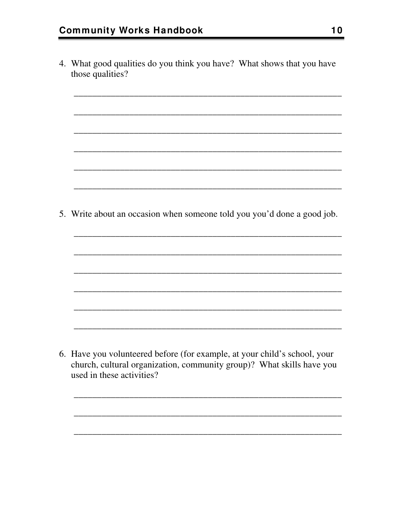4. What good qualities do you think you have? What shows that you have those qualities?

<u> 1989 - Johann John Stone, mensk politik foar it fan it fan it fan it fan it fan it fan it fan it fan it fan i</u>

5. Write about an occasion when someone told you you'd done a good job.

6. Have you volunteered before (for example, at your child's school, your church, cultural organization, community group)? What skills have you used in these activities?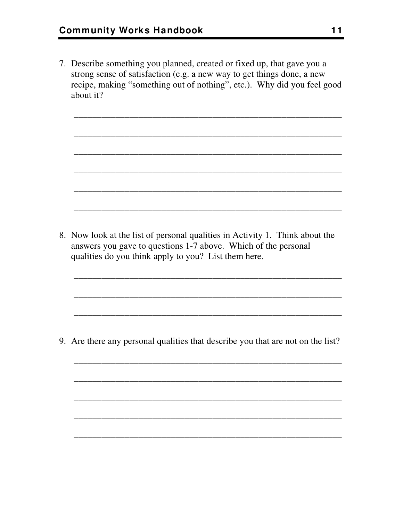7. Describe something you planned, created or fixed up, that gave you a strong sense of satisfaction (e.g. a new way to get things done, a new recipe, making "something out of nothing", etc.). Why did you feel good about it?

\_\_\_\_\_\_\_\_\_\_\_\_\_\_\_\_\_\_\_\_\_\_\_\_\_\_\_\_\_\_\_\_\_\_\_\_\_\_\_\_\_\_\_\_\_\_\_\_\_\_\_\_\_\_\_\_\_\_

\_\_\_\_\_\_\_\_\_\_\_\_\_\_\_\_\_\_\_\_\_\_\_\_\_\_\_\_\_\_\_\_\_\_\_\_\_\_\_\_\_\_\_\_\_\_\_\_\_\_\_\_\_\_\_\_\_\_

\_\_\_\_\_\_\_\_\_\_\_\_\_\_\_\_\_\_\_\_\_\_\_\_\_\_\_\_\_\_\_\_\_\_\_\_\_\_\_\_\_\_\_\_\_\_\_\_\_\_\_\_\_\_\_\_\_\_

\_\_\_\_\_\_\_\_\_\_\_\_\_\_\_\_\_\_\_\_\_\_\_\_\_\_\_\_\_\_\_\_\_\_\_\_\_\_\_\_\_\_\_\_\_\_\_\_\_\_\_\_\_\_\_\_\_\_

\_\_\_\_\_\_\_\_\_\_\_\_\_\_\_\_\_\_\_\_\_\_\_\_\_\_\_\_\_\_\_\_\_\_\_\_\_\_\_\_\_\_\_\_\_\_\_\_\_\_\_\_\_\_\_\_\_\_

\_\_\_\_\_\_\_\_\_\_\_\_\_\_\_\_\_\_\_\_\_\_\_\_\_\_\_\_\_\_\_\_\_\_\_\_\_\_\_\_\_\_\_\_\_\_\_\_\_\_\_\_\_\_\_\_\_\_

\_\_\_\_\_\_\_\_\_\_\_\_\_\_\_\_\_\_\_\_\_\_\_\_\_\_\_\_\_\_\_\_\_\_\_\_\_\_\_\_\_\_\_\_\_\_\_\_\_\_\_\_\_\_\_\_\_\_

\_\_\_\_\_\_\_\_\_\_\_\_\_\_\_\_\_\_\_\_\_\_\_\_\_\_\_\_\_\_\_\_\_\_\_\_\_\_\_\_\_\_\_\_\_\_\_\_\_\_\_\_\_\_\_\_\_\_

\_\_\_\_\_\_\_\_\_\_\_\_\_\_\_\_\_\_\_\_\_\_\_\_\_\_\_\_\_\_\_\_\_\_\_\_\_\_\_\_\_\_\_\_\_\_\_\_\_\_\_\_\_\_\_\_\_\_

\_\_\_\_\_\_\_\_\_\_\_\_\_\_\_\_\_\_\_\_\_\_\_\_\_\_\_\_\_\_\_\_\_\_\_\_\_\_\_\_\_\_\_\_\_\_\_\_\_\_\_\_\_\_\_\_\_\_

\_\_\_\_\_\_\_\_\_\_\_\_\_\_\_\_\_\_\_\_\_\_\_\_\_\_\_\_\_\_\_\_\_\_\_\_\_\_\_\_\_\_\_\_\_\_\_\_\_\_\_\_\_\_\_\_\_\_

\_\_\_\_\_\_\_\_\_\_\_\_\_\_\_\_\_\_\_\_\_\_\_\_\_\_\_\_\_\_\_\_\_\_\_\_\_\_\_\_\_\_\_\_\_\_\_\_\_\_\_\_\_\_\_\_\_\_

\_\_\_\_\_\_\_\_\_\_\_\_\_\_\_\_\_\_\_\_\_\_\_\_\_\_\_\_\_\_\_\_\_\_\_\_\_\_\_\_\_\_\_\_\_\_\_\_\_\_\_\_\_\_\_\_\_\_

\_\_\_\_\_\_\_\_\_\_\_\_\_\_\_\_\_\_\_\_\_\_\_\_\_\_\_\_\_\_\_\_\_\_\_\_\_\_\_\_\_\_\_\_\_\_\_\_\_\_\_\_\_\_\_\_\_\_

8. Now look at the list of personal qualities in Activity 1. Think about the answers you gave to questions 1-7 above. Which of the personal qualities do you think apply to you? List them here.

9. Are there any personal qualities that describe you that are not on the list?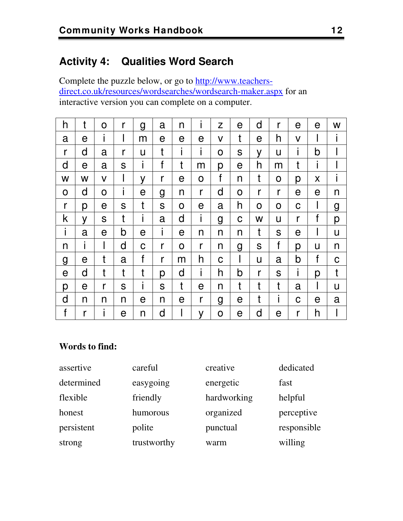#### **Activity 4: Qualities Word Search**

Complete the puzzle below, or go to [http://www.teachers](http://www.teachers-direct.co.uk/resources/wordsearches/wordsearch-maker.aspx)[direct.co.uk/resources/wordsearches/wordsearch-maker.aspx](http://www.teachers-direct.co.uk/resources/wordsearches/wordsearch-maker.aspx) for an interactive version you can complete on a computer.

| h           | t           | $\mathsf{O}$ | r | g            | a | n | i           | Z | e | d | r | е | е            | W |
|-------------|-------------|--------------|---|--------------|---|---|-------------|---|---|---|---|---|--------------|---|
| a           | е           | I            | I | m            | е | е | e           | V | t | е | h | V | I.           | I |
| r           | d           | a            | r | U            | t | Ť | Ť           | O | S | y | U | н | b            |   |
| d           | e           | a            | S | I            | f | t | m           | р | e | h | m | t | T            |   |
| W           | W           | $\mathsf{V}$ | I | y            | r | e | O           | f | n | t | 0 | р | X            | I |
| O           | d           | O            | i | e            | g | n | r           | d | O | r | r | е | e            | n |
| r           | р           | e            | S | t            | S | O | е           | a | h | O | 0 | C |              | g |
| k           | V           | S            | t | $\mathbf{I}$ | a | d | i.          | g | C | W | U | r | f            | р |
| i           | a           | е            | b | е            | i | е | n           | n | n | t | S | е |              | U |
| n           | i           | I            | d | C            | r | O | r           | n | g | S | f | р | U            | n |
| g           | e           | t            | a | f            | r | m | h           | C |   | U | a | b | $\mathsf{f}$ | C |
| e           | d           | t            | t | t            | р | d | i           | h | b | r | S | I | р            | t |
| р           | $\mathsf e$ | r            | S | Ť            | S | t | $\mathsf e$ | n | t | t | t | a |              | u |
| d           | n           | n            | n | е            | n | е | r           | g | e | t | L | C | e            | a |
| $\mathsf f$ | r           | I            | e | n            | d |   | y           | O | e | d | e | r | h            |   |

#### **Words to find:**

| assertive  | careful     | creative    | dedicated   |
|------------|-------------|-------------|-------------|
| determined | easygoing   | energetic   | fast        |
| flexible   | friendly    | hardworking | helpful     |
| honest     | humorous    | organized   | perceptive  |
| persistent | polite      | punctual    | responsible |
| strong     | trustworthy | warm        | willing     |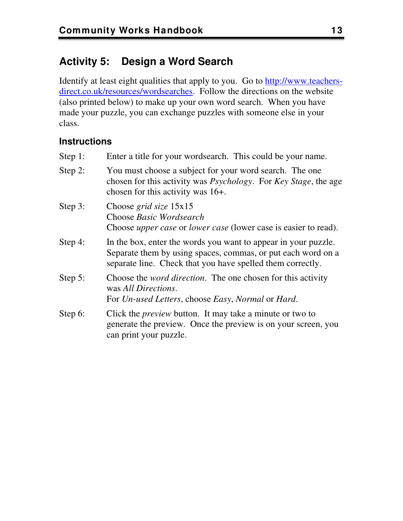#### **Activity 5: Design a Word Search**

Identify at least eight qualities that apply to you. Go to [http://www.teachers](http://www.teachers-direct.co.uk/resources/wordsearches)[direct.co.uk/resources/wordsearches.](http://www.teachers-direct.co.uk/resources/wordsearches) Follow the directions on the website (also printed below) to make up your own word search. When you have made your puzzle, you can exchange puzzles with someone else in your class.

#### **Instructions**

Step 1: Enter a title for your wordsearch. This could be your name.

| Step 2: | You must choose a subject for your word search. The one<br>chosen for this activity was <i>Psychology</i> . For <i>Key Stage</i> , the age<br>chosen for this activity was $16+$ .           |
|---------|----------------------------------------------------------------------------------------------------------------------------------------------------------------------------------------------|
| Step 3: | Choose grid size $15x15$<br>Choose Basic Wordsearch<br>Choose <i>upper case</i> or <i>lower case</i> (lower case is easier to read).                                                         |
| Step 4: | In the box, enter the words you want to appear in your puzzle.<br>Separate them by using spaces, commas, or put each word on a<br>separate line. Check that you have spelled them correctly. |
| Step 5: | Choose the <i>word direction</i> . The one chosen for this activity<br>was All Directions.<br>For Un-used Letters, choose Easy, Normal or Hard.                                              |
| Step 6: | Click the <i>preview</i> button. It may take a minute or two to<br>generate the preview. Once the preview is on your screen, you<br>can print your puzzle.                                   |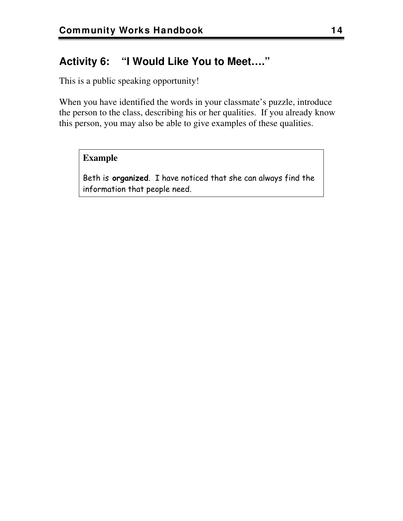#### **Activity 6: "I Would Like You to Meet…."**

This is a public speaking opportunity!

When you have identified the words in your classmate's puzzle, introduce the person to the class, describing his or her qualities. If you already know this person, you may also be able to give examples of these qualities.

#### **Example**

Beth is **organized**. I have noticed that she can always find the information that people need.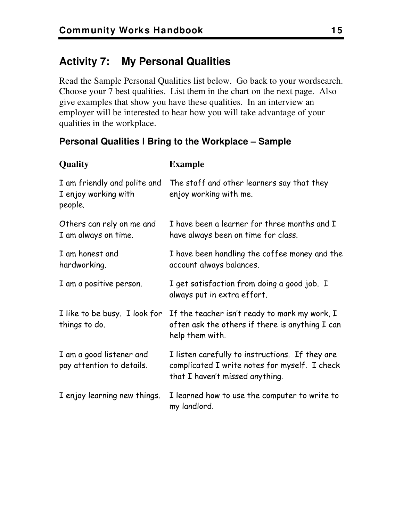#### **Activity 7: My Personal Qualities**

Read the Sample Personal Qualities list below. Go back to your wordsearch. Choose your 7 best qualities. List them in the chart on the next page. Also give examples that show you have these qualities. In an interview an employer will be interested to hear how you will take advantage of your qualities in the workplace.

#### **Personal Qualities I Bring to the Workplace – Sample**

| <b>Quality</b>                                                  | <b>Example</b>                                                                                                                      |
|-----------------------------------------------------------------|-------------------------------------------------------------------------------------------------------------------------------------|
| I am friendly and polite and<br>I enjoy working with<br>people. | The staff and other learners say that they<br>enjoy working with me.                                                                |
| Others can rely on me and<br>I am always on time.               | I have been a learner for three months and I<br>have always been on time for class.                                                 |
| I am honest and<br>hardworking.                                 | I have been handling the coffee money and the<br>account always balances.                                                           |
| I am a positive person.                                         | I get satisfaction from doing a good job. I<br>always put in extra effort.                                                          |
| I like to be busy. I look for<br>things to do.                  | If the teacher isn't ready to mark my work, I<br>often ask the others if there is anything I can<br>help them with.                 |
| I am a good listener and<br>pay attention to details.           | I listen carefully to instructions. If they are<br>complicated I write notes for myself. I check<br>that I haven't missed anything. |
| I enjoy learning new things.                                    | I learned how to use the computer to write to<br>my landlord.                                                                       |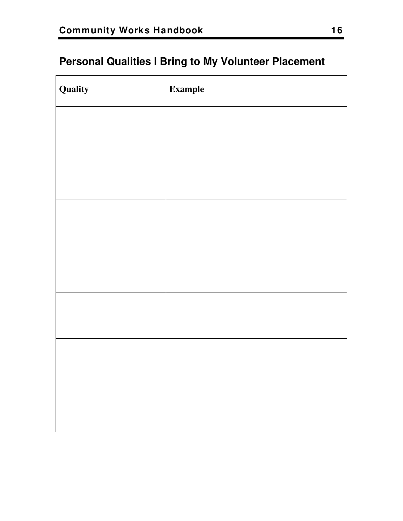#### **Personal Qualities I Bring to My Volunteer Placement**

| Quality | <b>Example</b> |
|---------|----------------|
|         |                |
|         |                |
|         |                |
|         |                |
|         |                |
|         |                |
|         |                |
|         |                |
|         |                |
|         |                |
|         |                |
|         |                |
|         |                |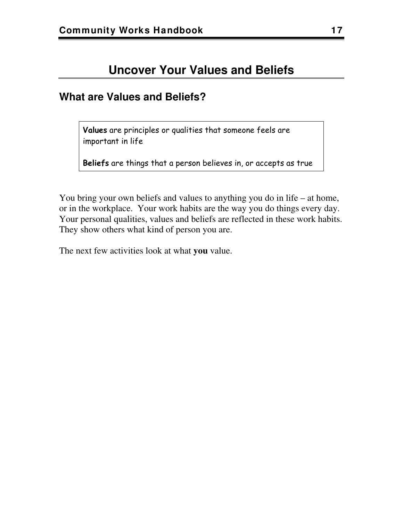#### **Uncover Your Values and Beliefs**

#### <span id="page-20-0"></span>**What are Values and Beliefs?**

**Values** are principles or qualities that someone feels are important in life

**Beliefs** are things that a person believes in, or accepts as true

You bring your own beliefs and values to anything you do in life – at home, or in the workplace. Your work habits are the way you do things every day. Your personal qualities, values and beliefs are reflected in these work habits. They show others what kind of person you are.

The next few activities look at what **you** value.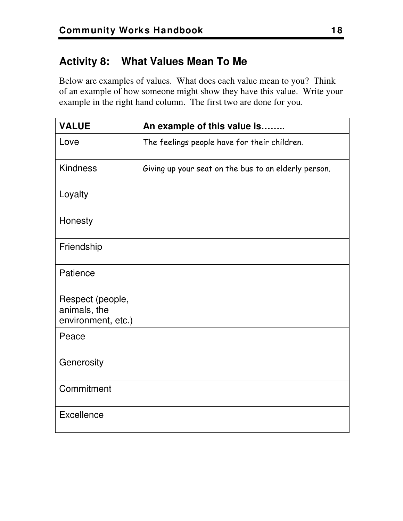#### **Activity 8: What Values Mean To Me**

Below are examples of values. What does each value mean to you? Think of an example of how someone might show they have this value. Write your example in the right hand column. The first two are done for you.

| <b>VALUE</b>                                           | An example of this value is                          |
|--------------------------------------------------------|------------------------------------------------------|
| Love                                                   | The feelings people have for their children.         |
| <b>Kindness</b>                                        | Giving up your seat on the bus to an elderly person. |
| Loyalty                                                |                                                      |
| Honesty                                                |                                                      |
| Friendship                                             |                                                      |
| Patience                                               |                                                      |
| Respect (people,<br>animals, the<br>environment, etc.) |                                                      |
| Peace                                                  |                                                      |
| Generosity                                             |                                                      |
| Commitment                                             |                                                      |
| Excellence                                             |                                                      |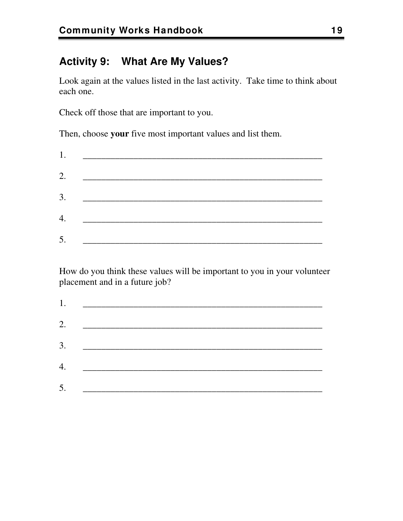#### **Activity 9: What Are My Values?**

Look again at the values listed in the last activity. Take time to think about each one.

Check off those that are important to you.

Then, choose **your** five most important values and list them.

| 1. |                                                                                                                            |
|----|----------------------------------------------------------------------------------------------------------------------------|
| 2. |                                                                                                                            |
| 3. | <u> 2000 - Jan Jan Jawa Barat, pamang manang manang manang manang manang manang manang manang manang manang manang man</u> |
|    |                                                                                                                            |
| 4. |                                                                                                                            |
| 5. |                                                                                                                            |

How do you think these values will be important to you in your volunteer placement and in a future job?

| 2. $\qquad$ |  |  |
|-------------|--|--|
|             |  |  |
| 3.          |  |  |
|             |  |  |
|             |  |  |
|             |  |  |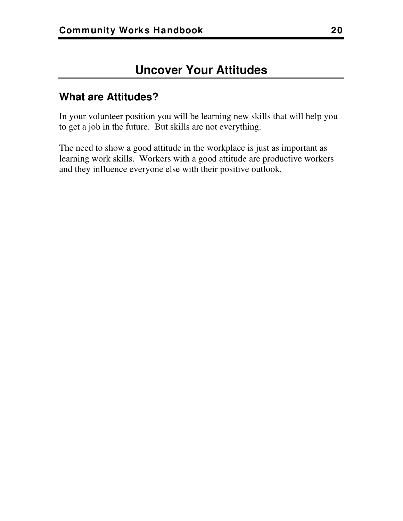#### <span id="page-23-0"></span>**What are Attitudes?**

In your volunteer position you will be learning new skills that will help you to get a job in the future. But skills are not everything.

The need to show a good attitude in the workplace is just as important as learning work skills. Workers with a good attitude are productive workers and they influence everyone else with their positive outlook.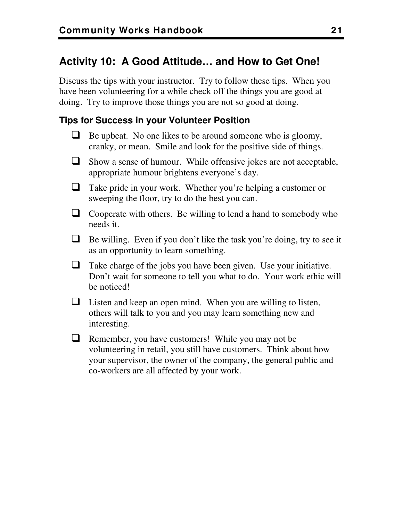#### **Activity 10: A Good Attitude… and How to Get One!**

Discuss the tips with your instructor. Try to follow these tips. When you have been volunteering for a while check off the things you are good at doing. Try to improve those things you are not so good at doing.

#### <span id="page-24-0"></span>**Tips for Success in your Volunteer Position**

- $\Box$  Be upbeat. No one likes to be around someone who is gloomy, cranky, or mean. Smile and look for the positive side of things.
- Show a sense of humour. While offensive jokes are not acceptable, appropriate humour brightens everyone's day.
- Take pride in your work. Whether you're helping a customer or sweeping the floor, try to do the best you can.
- $\Box$  Cooperate with others. Be willing to lend a hand to somebody who needs it.
- $\Box$  Be willing. Even if you don't like the task you're doing, try to see it as an opportunity to learn something.
- $\Box$  Take charge of the jobs you have been given. Use your initiative. Don't wait for someone to tell you what to do. Your work ethic will be noticed!
- $\Box$  Listen and keep an open mind. When you are willing to listen, others will talk to you and you may learn something new and interesting.
- $\Box$  Remember, you have customers! While you may not be volunteering in retail, you still have customers. Think about how your supervisor, the owner of the company, the general public and co-workers are all affected by your work.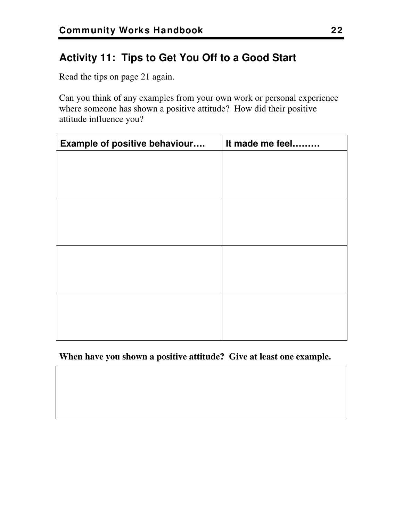#### **Activity 11: Tips to Get You Off to a Good Start**

Read the tips on page [21](#page-24-0) again.

Can you think of any examples from your own work or personal experience where someone has shown a positive attitude? How did their positive attitude influence you?

| Example of positive behaviour | It made me feel |
|-------------------------------|-----------------|
|                               |                 |
|                               |                 |
|                               |                 |
|                               |                 |
|                               |                 |
|                               |                 |
|                               |                 |
|                               |                 |
|                               |                 |
|                               |                 |
|                               |                 |
|                               |                 |

**When have you shown a positive attitude? Give at least one example.**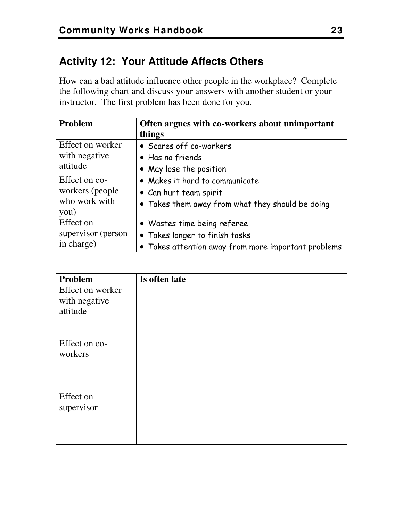#### **Activity 12: Your Attitude Affects Others**

How can a bad attitude influence other people in the workplace? Complete the following chart and discuss your answers with another student or your instructor. The first problem has been done for you.

| Problem            | Often argues with co-workers about unimportant<br>things |  |
|--------------------|----------------------------------------------------------|--|
| Effect on worker   | • Scares off co-workers                                  |  |
| with negative      | • Has no friends                                         |  |
| attitude           | • May lose the position                                  |  |
| Effect on co-      | • Makes it hard to communicate                           |  |
| workers (people)   | • Can hurt team spirit                                   |  |
| who work with      | • Takes them away from what they should be doing         |  |
| you)               |                                                          |  |
| Effect on          | • Wastes time being referee                              |  |
| supervisor (person | • Takes longer to finish tasks                           |  |
| in charge)         | • Takes attention away from more important problems      |  |

| Problem          | Is often late |
|------------------|---------------|
| Effect on worker |               |
| with negative    |               |
| attitude         |               |
|                  |               |
|                  |               |
| Effect on co-    |               |
| workers          |               |
|                  |               |
|                  |               |
|                  |               |
| Effect on        |               |
| supervisor       |               |
|                  |               |
|                  |               |
|                  |               |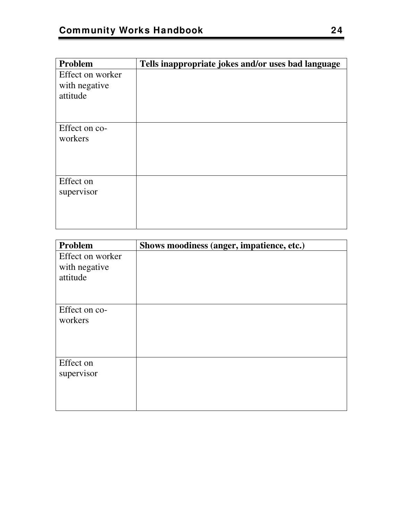| Problem          | Tells inappropriate jokes and/or uses bad language |
|------------------|----------------------------------------------------|
| Effect on worker |                                                    |
| with negative    |                                                    |
| attitude         |                                                    |
|                  |                                                    |
|                  |                                                    |
| Effect on co-    |                                                    |
| workers          |                                                    |
|                  |                                                    |
|                  |                                                    |
|                  |                                                    |
| Effect on        |                                                    |
| supervisor       |                                                    |
|                  |                                                    |
|                  |                                                    |
|                  |                                                    |

| Problem          | Shows moodiness (anger, impatience, etc.) |
|------------------|-------------------------------------------|
| Effect on worker |                                           |
| with negative    |                                           |
| attitude         |                                           |
|                  |                                           |
|                  |                                           |
| Effect on co-    |                                           |
| workers          |                                           |
|                  |                                           |
|                  |                                           |
|                  |                                           |
| Effect on        |                                           |
| supervisor       |                                           |
|                  |                                           |
|                  |                                           |
|                  |                                           |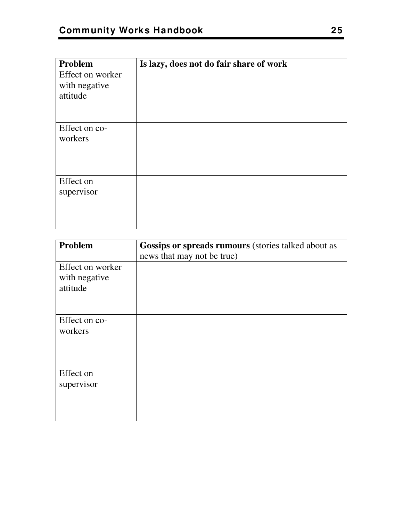| Problem          | Is lazy, does not do fair share of work |
|------------------|-----------------------------------------|
| Effect on worker |                                         |
| with negative    |                                         |
| attitude         |                                         |
|                  |                                         |
|                  |                                         |
| Effect on co-    |                                         |
| workers          |                                         |
|                  |                                         |
|                  |                                         |
|                  |                                         |
| Effect on        |                                         |
| supervisor       |                                         |
|                  |                                         |
|                  |                                         |
|                  |                                         |

| Problem                                       | <b>Gossips or spreads rumours</b> (stories talked about as<br>news that may not be true) |
|-----------------------------------------------|------------------------------------------------------------------------------------------|
| Effect on worker<br>with negative<br>attitude |                                                                                          |
| Effect on co-<br>workers                      |                                                                                          |
| Effect on<br>supervisor                       |                                                                                          |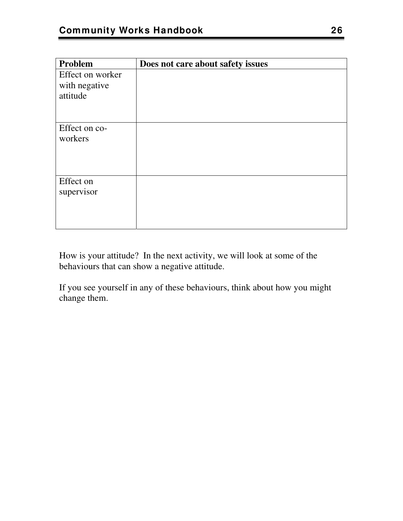| Does not care about safety issues |
|-----------------------------------|
|                                   |
|                                   |
|                                   |
|                                   |
|                                   |
|                                   |
|                                   |
|                                   |
|                                   |
|                                   |
|                                   |
|                                   |
|                                   |
|                                   |
|                                   |
|                                   |

How is your attitude? In the next activity, we will look at some of the behaviours that can show a negative attitude.

If you see yourself in any of these behaviours, think about how you might change them.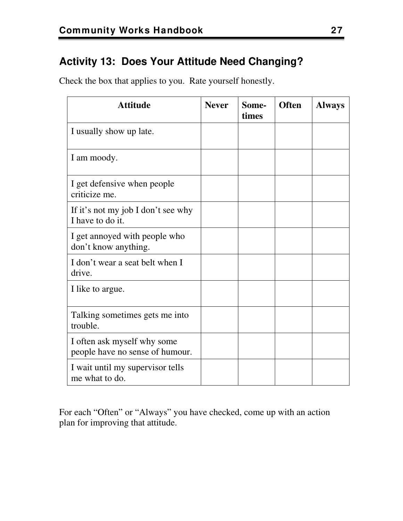#### **Activity 13: Does Your Attitude Need Changing?**

Check the box that applies to you. Rate yourself honestly.

| <b>Attitude</b>                                                | <b>Never</b> | Some-<br>times | <b>Often</b> | <b>Always</b> |
|----------------------------------------------------------------|--------------|----------------|--------------|---------------|
| I usually show up late.                                        |              |                |              |               |
| I am moody.                                                    |              |                |              |               |
| I get defensive when people<br>criticize me.                   |              |                |              |               |
| If it's not my job I don't see why<br>I have to do it.         |              |                |              |               |
| I get annoyed with people who<br>don't know anything.          |              |                |              |               |
| I don't wear a seat belt when I<br>drive.                      |              |                |              |               |
| I like to argue.                                               |              |                |              |               |
| Talking sometimes gets me into<br>trouble.                     |              |                |              |               |
| I often ask myself why some<br>people have no sense of humour. |              |                |              |               |
| I wait until my supervisor tells<br>me what to do.             |              |                |              |               |

For each "Often" or "Always" you have checked, come up with an action plan for improving that attitude.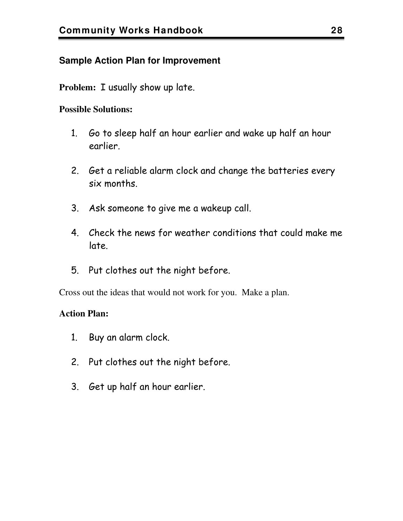#### **Sample Action Plan for Improvement**

**Problem:** I usually show up late.

#### **Possible Solutions:**

- 1. Go to sleep half an hour earlier and wake up half an hour earlier.
- 2. Get a reliable alarm clock and change the batteries every six months.
- 3. Ask someone to give me a wakeup call.
- 4. Check the news for weather conditions that could make me late.
- 5. Put clothes out the night before.

Cross out the ideas that would not work for you. Make a plan.

#### **Action Plan:**

- 1. Buy an alarm clock.
- 2. Put clothes out the night before.
- 3. Get up half an hour earlier.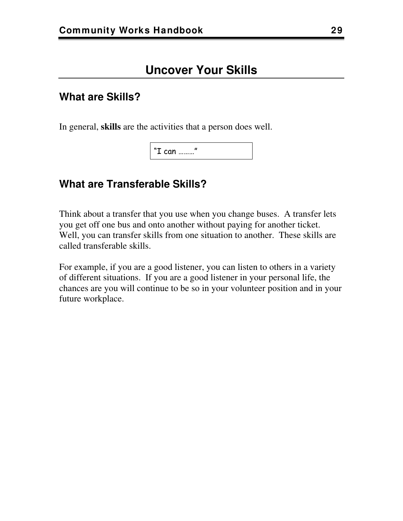#### <span id="page-32-0"></span>**What are Skills?**

In general, **skills** are the activities that a person does well.

"I can ………"

#### **What are Transferable Skills?**

Think about a transfer that you use when you change buses. A transfer lets you get off one bus and onto another without paying for another ticket. Well, you can transfer skills from one situation to another. These skills are called transferable skills.

For example, if you are a good listener, you can listen to others in a variety of different situations. If you are a good listener in your personal life, the chances are you will continue to be so in your volunteer position and in your future workplace.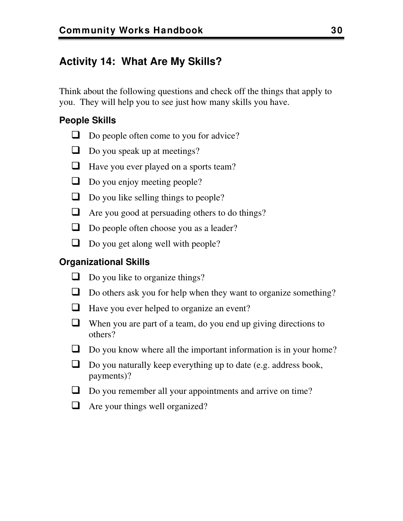#### **Activity 14: What Are My Skills?**

Think about the following questions and check off the things that apply to you. They will help you to see just how many skills you have.

#### **People Skills**

- $\Box$  Do people often come to you for advice?
- $\Box$  Do you speak up at meetings?
- **Have you ever played on a sports team?**
- $\Box$  Do you enjoy meeting people?
- $\Box$  Do you like selling things to people?
- Are you good at persuading others to do things?
- Do people often choose you as a leader?
- $\Box$  Do you get along well with people?

#### **Organizational Skills**

- $\Box$  Do you like to organize things?
- Do others ask you for help when they want to organize something?
- $\Box$  Have you ever helped to organize an event?
- $\Box$  When you are part of a team, do you end up giving directions to others?
- Do you know where all the important information is in your home?
- $\Box$  Do you naturally keep everything up to date (e.g. address book, payments)?
- Do you remember all your appointments and arrive on time?
- $\Box$  Are your things well organized?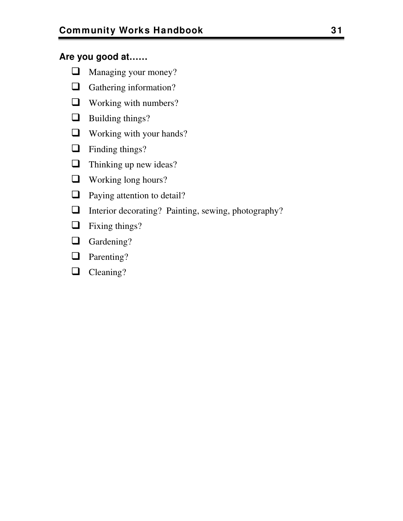#### **Are you good at……**

- Managing your money?
- **Q** Gathering information?
- **Q** Working with numbers?
- **Building things?**
- **Q** Working with your hands?
- $\Box$  Finding things?
- $\Box$  Thinking up new ideas?
- Working long hours?
- **Q** Paying attention to detail?
- Interior decorating? Painting, sewing, photography?
- $\Box$  Fixing things?
- Gardening?
- **Q** Parenting?
- Cleaning?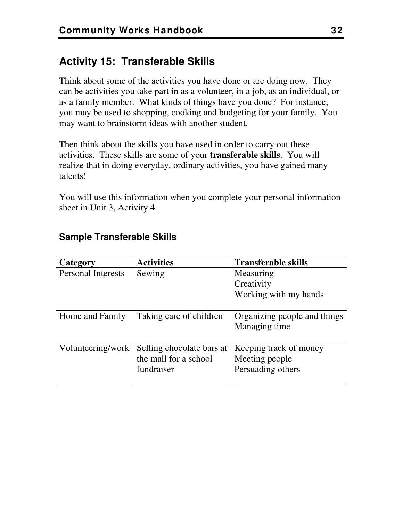#### **Activity 15: Transferable Skills**

Think about some of the activities you have done or are doing now. They can be activities you take part in as a volunteer, in a job, as an individual, or as a family member. What kinds of things have you done? For instance, you may be used to shopping, cooking and budgeting for your family. You may want to brainstorm ideas with another student.

Then think about the skills you have used in order to carry out these activities. These skills are some of your **transferable skills**. You will realize that in doing everyday, ordinary activities, you have gained many talents!

You will use this information when you complete your personal information sheet in Unit 3, Activity 4.

| Category                  | <b>Activities</b>         | <b>Transferable skills</b>   |
|---------------------------|---------------------------|------------------------------|
| <b>Personal Interests</b> | Sewing                    | Measuring                    |
|                           |                           | Creativity                   |
|                           |                           | Working with my hands        |
|                           |                           |                              |
| Home and Family           | Taking care of children   | Organizing people and things |
|                           |                           | Managing time                |
|                           |                           |                              |
| Volunteering/work         | Selling chocolate bars at | Keeping track of money       |
|                           | the mall for a school     | Meeting people               |
|                           | fundraiser                | Persuading others            |
|                           |                           |                              |

#### **Sample Transferable Skills**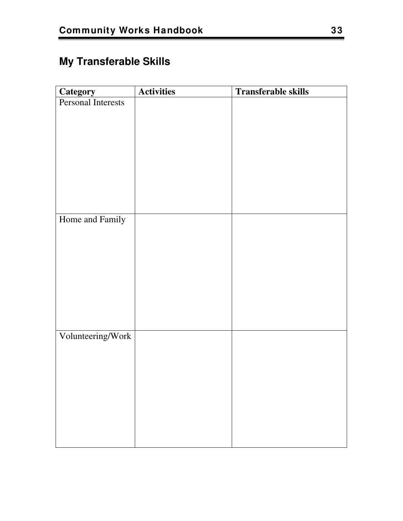# <span id="page-36-0"></span>**My Transferable Skills**

| <b>Category</b>    | <b>Activities</b> | <b>Transferable skills</b> |
|--------------------|-------------------|----------------------------|
| Personal Interests |                   |                            |
|                    |                   |                            |
|                    |                   |                            |
|                    |                   |                            |
|                    |                   |                            |
|                    |                   |                            |
|                    |                   |                            |
|                    |                   |                            |
|                    |                   |                            |
| Home and Family    |                   |                            |
|                    |                   |                            |
|                    |                   |                            |
|                    |                   |                            |
|                    |                   |                            |
|                    |                   |                            |
|                    |                   |                            |
|                    |                   |                            |
|                    |                   |                            |
| Volunteering/Work  |                   |                            |
|                    |                   |                            |
|                    |                   |                            |
|                    |                   |                            |
|                    |                   |                            |
|                    |                   |                            |
|                    |                   |                            |
|                    |                   |                            |
|                    |                   |                            |
|                    |                   |                            |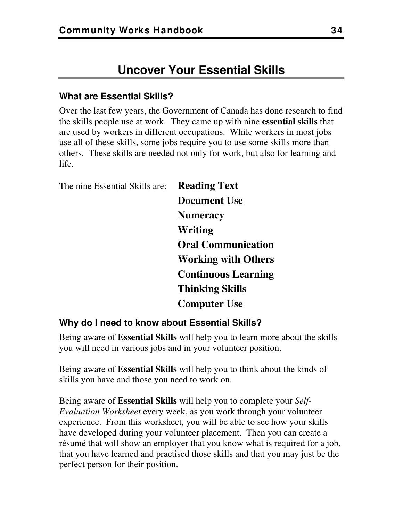# **Uncover Your Essential Skills**

#### **What are Essential Skills?**

Over the last few years, the Government of Canada has done research to find the skills people use at work. They came up with nine **essential skills** that are used by workers in different occupations. While workers in most jobs use all of these skills, some jobs require you to use some skills more than others. These skills are needed not only for work, but also for learning and life.

The nine Essential Skills are: **Reading Text Document Use Numeracy Writing Oral Communication Working with Others Continuous Learning Thinking Skills Computer Use** 

#### **Why do I need to know about Essential Skills?**

Being aware of **Essential Skills** will help you to learn more about the skills you will need in various jobs and in your volunteer position.

Being aware of **Essential Skills** will help you to think about the kinds of skills you have and those you need to work on.

Being aware of **Essential Skills** will help you to complete your *Self-Evaluation Worksheet* every week, as you work through your volunteer experience. From this worksheet, you will be able to see how your skills have developed during your volunteer placement. Then you can create a résumé that will show an employer that you know what is required for a job, that you have learned and practised those skills and that you may just be the perfect person for their position.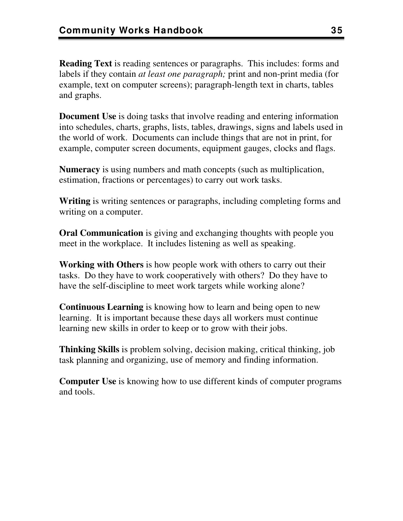**Reading Text** is reading sentences or paragraphs. This includes: forms and labels if they contain *at least one paragraph;* print and non-print media (for example, text on computer screens); paragraph-length text in charts, tables and graphs.

**Document Use** is doing tasks that involve reading and entering information into schedules, charts, graphs, lists, tables, drawings, signs and labels used in the world of work. Documents can include things that are not in print, for example, computer screen documents, equipment gauges, clocks and flags.

**Numeracy** is using numbers and math concepts (such as multiplication, estimation, fractions or percentages) to carry out work tasks.

**Writing** is writing sentences or paragraphs, including completing forms and writing on a computer.

**Oral Communication** is giving and exchanging thoughts with people you meet in the workplace. It includes listening as well as speaking.

**Working with Others** is how people work with others to carry out their tasks. Do they have to work cooperatively with others? Do they have to have the self-discipline to meet work targets while working alone?

**Continuous Learning** is knowing how to learn and being open to new learning. It is important because these days all workers must continue learning new skills in order to keep or to grow with their jobs.

**Thinking Skills** is problem solving, decision making, critical thinking, job task planning and organizing, use of memory and finding information.

**Computer Use** is knowing how to use different kinds of computer programs and tools.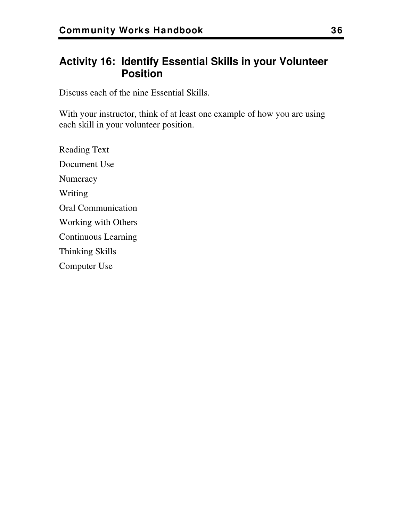# **Activity 16: Identify Essential Skills in your Volunteer Position**

Discuss each of the nine Essential Skills.

With your instructor, think of at least one example of how you are using each skill in your volunteer position.

Reading Text Document Use **Numeracy** Writing Oral Communication Working with Others Continuous Learning Thinking Skills Computer Use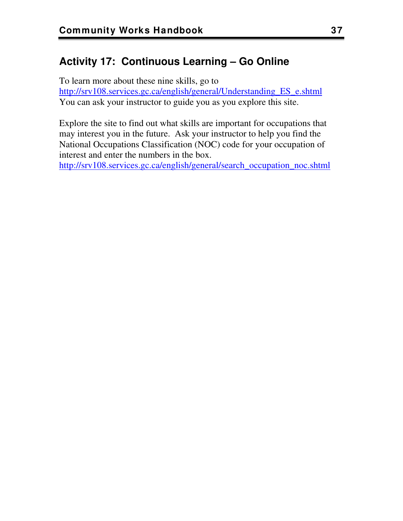# **Activity 17: Continuous Learning – Go Online**

To learn more about these nine skills, go to [http://srv108.services.gc.ca/english/general/Understanding\\_ES\\_e.shtml](http://srv108.services.gc.ca/english/general/Understanding_ES_e.shtml) You can ask your instructor to guide you as you explore this site.

Explore the site to find out what skills are important for occupations that may interest you in the future. Ask your instructor to help you find the National Occupations Classification (NOC) code for your occupation of interest and enter the numbers in the box.

[http://srv108.services.gc.ca/english/general/search\\_occupation\\_noc.shtml](http://srv108.services.gc.ca/english/general/search_occupation_noc.shtml)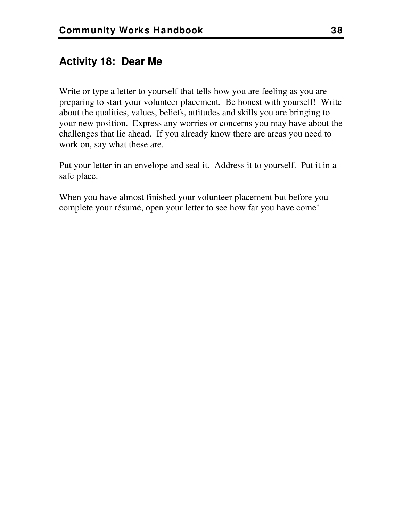# **Activity 18: Dear Me**

Write or type a letter to yourself that tells how you are feeling as you are preparing to start your volunteer placement. Be honest with yourself! Write about the qualities, values, beliefs, attitudes and skills you are bringing to your new position. Express any worries or concerns you may have about the challenges that lie ahead. If you already know there are areas you need to work on, say what these are.

Put your letter in an envelope and seal it. Address it to yourself. Put it in a safe place.

When you have almost finished your volunteer placement but before you complete your résumé, open your letter to see how far you have come!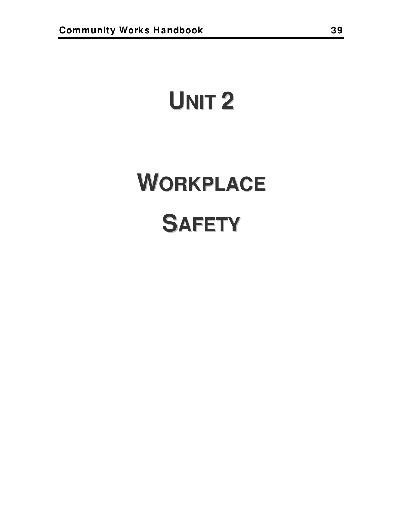# **UNIT 2**

# **WORKPLACE SAFETY**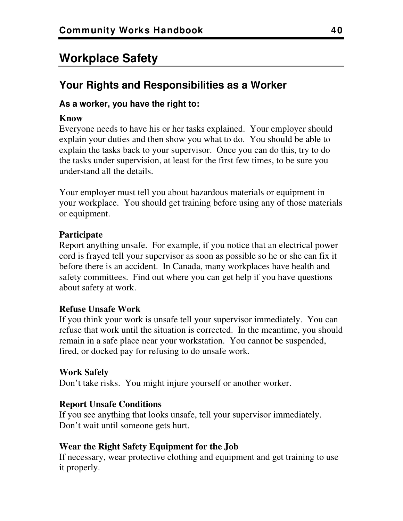# **Workplace Safety**

# **Your Rights and Responsibilities as a Worker**

#### **As a worker, you have the right to:**

#### **Know**

Everyone needs to have his or her tasks explained. Your employer should explain your duties and then show you what to do. You should be able to explain the tasks back to your supervisor. Once you can do this, try to do the tasks under supervision, at least for the first few times, to be sure you understand all the details.

Your employer must tell you about hazardous materials or equipment in your workplace. You should get training before using any of those materials or equipment.

#### **Participate**

Report anything unsafe. For example, if you notice that an electrical power cord is frayed tell your supervisor as soon as possible so he or she can fix it before there is an accident. In Canada, many workplaces have health and safety committees. Find out where you can get help if you have questions about safety at work.

#### **Refuse Unsafe Work**

If you think your work is unsafe tell your supervisor immediately. You can refuse that work until the situation is corrected. In the meantime, you should remain in a safe place near your workstation. You cannot be suspended, fired, or docked pay for refusing to do unsafe work.

#### **Work Safely**

Don't take risks. You might injure yourself or another worker.

#### **Report Unsafe Conditions**

If you see anything that looks unsafe, tell your supervisor immediately. Don't wait until someone gets hurt.

#### **Wear the Right Safety Equipment for the Job**

If necessary, wear protective clothing and equipment and get training to use it properly.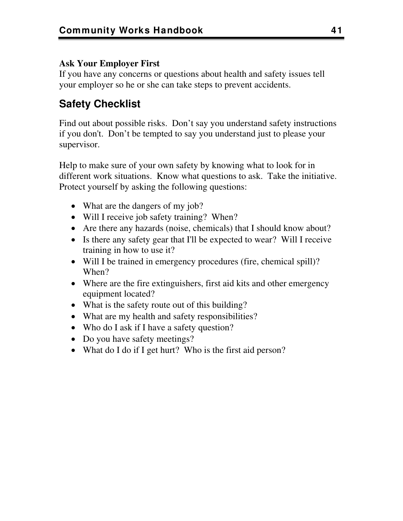#### **Ask Your Employer First**

If you have any concerns or questions about health and safety issues tell your employer so he or she can take steps to prevent accidents.

# **Safety Checklist**

Find out about possible risks. Don't say you understand safety instructions if you don't. Don't be tempted to say you understand just to please your supervisor.

Help to make sure of your own safety by knowing what to look for in different work situations. Know what questions to ask. Take the initiative. Protect yourself by asking the following questions:

- What are the dangers of my job?
- Will I receive job safety training? When?
- Are there any hazards (noise, chemicals) that I should know about?
- Is there any safety gear that I'll be expected to wear? Will I receive training in how to use it?
- Will I be trained in emergency procedures (fire, chemical spill)? When?
- Where are the fire extinguishers, first aid kits and other emergency equipment located?
- What is the safety route out of this building?
- What are my health and safety responsibilities?
- Who do I ask if I have a safety question?
- Do you have safety meetings?
- What do I do if I get hurt? Who is the first aid person?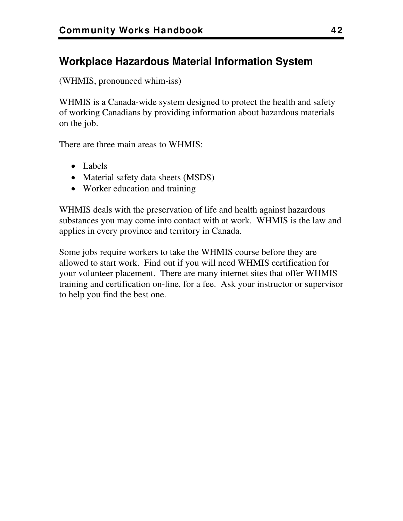# **Workplace Hazardous Material Information System**

(WHMIS, pronounced whim-iss)

WHMIS is a Canada-wide system designed to protect the health and safety of working Canadians by providing information about hazardous materials on the job.

There are three main areas to WHMIS:

- Labels
- Material safety data sheets (MSDS)
- Worker education and training

WHMIS deals with the preservation of life and health against hazardous substances you may come into contact with at work. WHMIS is the law and applies in every province and territory in Canada.

Some jobs require workers to take the WHMIS course before they are allowed to start work. Find out if you will need WHMIS certification for your volunteer placement. There are many internet sites that offer WHMIS training and certification on-line, for a fee. Ask your instructor or supervisor to help you find the best one.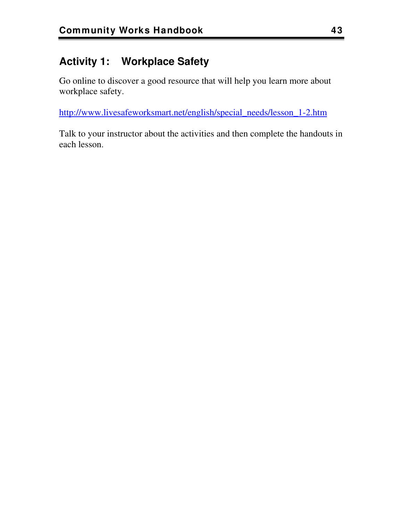# **Activity 1: Workplace Safety**

Go online to discover a good resource that will help you learn more about workplace safety.

[http://www.livesafeworksmart.net/english/special\\_needs/lesson\\_1-2.htm](http://www.livesafeworksmart.net/english/special_needs/lesson_1-2.htm)

Talk to your instructor about the activities and then complete the handouts in each lesson.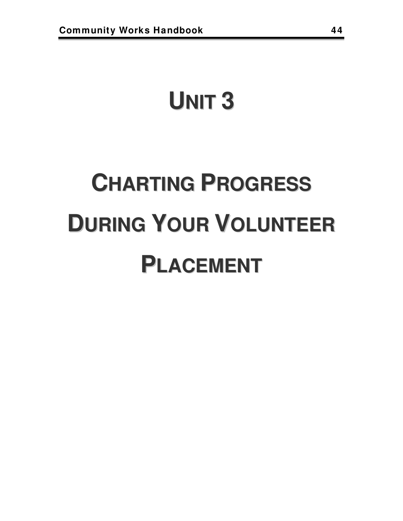# **UNIT 3**

# **CHARTING PROGRESS DURING YOUR VOLUNTEER PLACEMENT**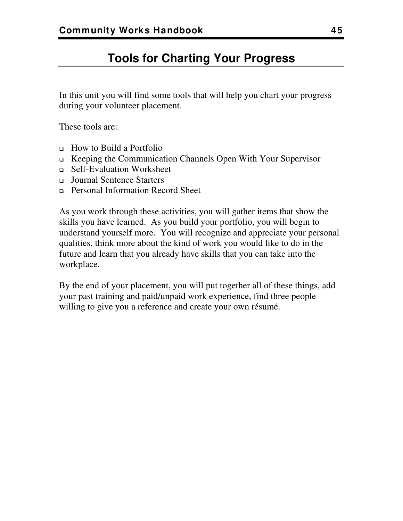# **Tools for Charting Your Progress**

In this unit you will find some tools that will help you chart your progress during your volunteer placement.

These tools are:

- How to Build a Portfolio
- Keeping the Communication Channels Open With Your Supervisor
- Self-Evaluation Worksheet
- Journal Sentence Starters
- Personal Information Record Sheet

As you work through these activities, you will gather items that show the skills you have learned. As you build your portfolio, you will begin to understand yourself more. You will recognize and appreciate your personal qualities, think more about the kind of work you would like to do in the future and learn that you already have skills that you can take into the workplace.

By the end of your placement, you will put together all of these things, add your past training and paid/unpaid work experience, find three people willing to give you a reference and create your own résumé.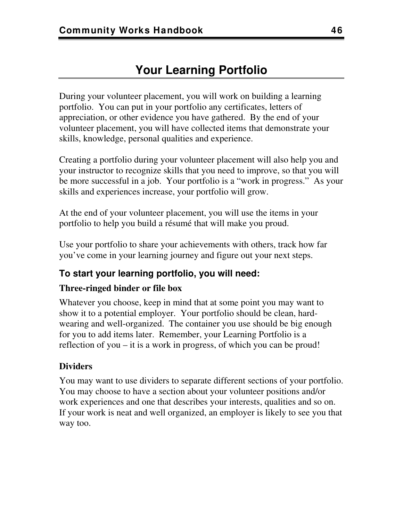During your volunteer placement, you will work on building a learning portfolio. You can put in your portfolio any certificates, letters of appreciation, or other evidence you have gathered. By the end of your volunteer placement, you will have collected items that demonstrate your skills, knowledge, personal qualities and experience.

Creating a portfolio during your volunteer placement will also help you and your instructor to recognize skills that you need to improve, so that you will be more successful in a job. Your portfolio is a "work in progress." As your skills and experiences increase, your portfolio will grow.

At the end of your volunteer placement, you will use the items in your portfolio to help you build a résumé that will make you proud.

Use your portfolio to share your achievements with others, track how far you've come in your learning journey and figure out your next steps.

## **To start your learning portfolio, you will need:**

#### **Three-ringed binder or file box**

Whatever you choose, keep in mind that at some point you may want to show it to a potential employer. Your portfolio should be clean, hardwearing and well-organized. The container you use should be big enough for you to add items later. Remember, your Learning Portfolio is a reflection of you – it is a work in progress, of which you can be proud!

### **Dividers**

You may want to use dividers to separate different sections of your portfolio. You may choose to have a section about your volunteer positions and/or work experiences and one that describes your interests, qualities and so on. If your work is neat and well organized, an employer is likely to see you that way too.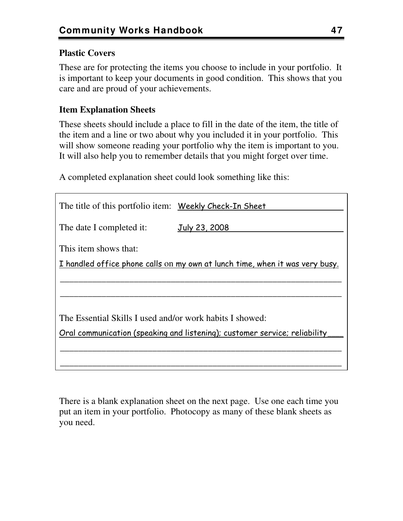#### **Plastic Covers**

These are for protecting the items you choose to include in your portfolio. It is important to keep your documents in good condition. This shows that you care and are proud of your achievements.

#### **Item Explanation Sheets**

These sheets should include a place to fill in the date of the item, the title of the item and a line or two about why you included it in your portfolio. This will show someone reading your portfolio why the item is important to you. It will also help you to remember details that you might forget over time.

A completed explanation sheet could look something like this:

| The title of this portfolio item: Weekly Check-In Sheet                      |                                                                            |  |  |  |
|------------------------------------------------------------------------------|----------------------------------------------------------------------------|--|--|--|
| The date I completed it:                                                     | July 23, 2008                                                              |  |  |  |
| This item shows that:                                                        |                                                                            |  |  |  |
| I handled office phone calls on my own at lunch time, when it was very busy. |                                                                            |  |  |  |
|                                                                              |                                                                            |  |  |  |
|                                                                              |                                                                            |  |  |  |
| The Essential Skills I used and/or work habits I showed:                     |                                                                            |  |  |  |
|                                                                              | Oral communication (speaking and listening); customer service; reliability |  |  |  |
|                                                                              |                                                                            |  |  |  |
|                                                                              |                                                                            |  |  |  |
|                                                                              |                                                                            |  |  |  |

There is a blank explanation sheet on the next page. Use one each time you put an item in your portfolio. Photocopy as many of these blank sheets as you need.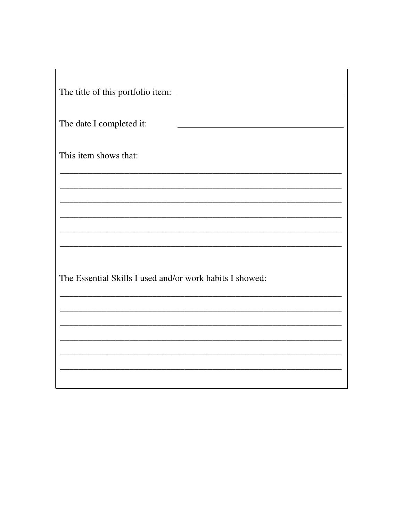| The title of this portfolio item:                        |  |
|----------------------------------------------------------|--|
| The date I completed it:                                 |  |
| This item shows that:                                    |  |
|                                                          |  |
|                                                          |  |
|                                                          |  |
| The Essential Skills I used and/or work habits I showed: |  |
|                                                          |  |
|                                                          |  |
|                                                          |  |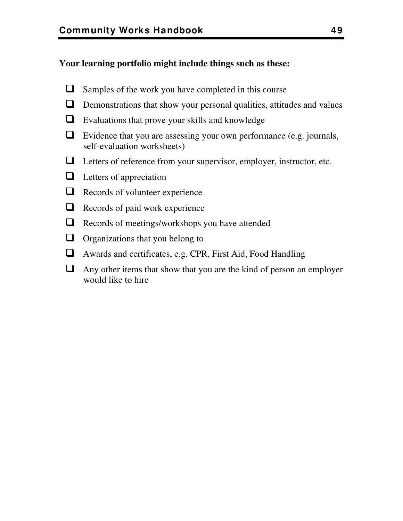#### **Your learning portfolio might include things such as these:**

- $\Box$  Samples of the work you have completed in this course
- $\Box$  Demonstrations that show your personal qualities, attitudes and values
- Evaluations that prove your skills and knowledge
- $\Box$  Evidence that you are assessing your own performance (e.g. journals, self-evaluation worksheets)
- Letters of reference from your supervisor, employer, instructor, etc.
- $\Box$  Letters of appreciation
- $\Box$  Records of volunteer experience
- $\Box$  Records of paid work experience
- Records of meetings/workshops you have attended
- $\Box$  Organizations that you belong to
- Awards and certificates, e.g. CPR, First Aid, Food Handling
- $\Box$  Any other items that show that you are the kind of person an employer would like to hire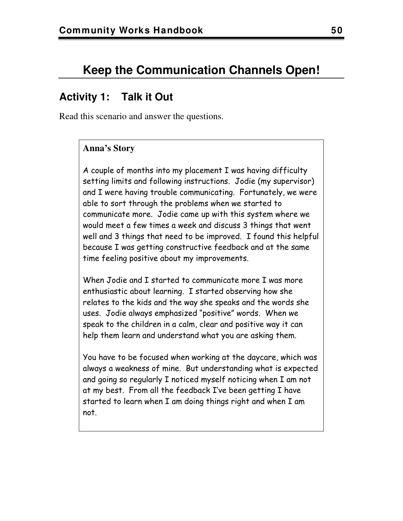# **Keep the Communication Channels Open!**

# **Activity 1: Talk it Out**

Read this scenario and answer the questions.

#### **Anna's Story**

A couple of months into my placement I was having difficulty setting limits and following instructions. Jodie (my supervisor) and I were having trouble communicating. Fortunately, we were able to sort through the problems when we started to communicate more. Jodie came up with this system where we would meet a few times a week and discuss 3 things that went well and 3 things that need to be improved. I found this helpful because I was getting constructive feedback and at the same time feeling positive about my improvements.

When Jodie and I started to communicate more I was more enthusiastic about learning. I started observing how she relates to the kids and the way she speaks and the words she uses. Jodie always emphasized "positive" words. When we speak to the children in a calm, clear and positive way it can help them learn and understand what you are asking them.

You have to be focused when working at the daycare, which was always a weakness of mine. But understanding what is expected and going so regularly I noticed myself noticing when I am not at my best. From all the feedback I've been getting I have started to learn when I am doing things right and when I am not.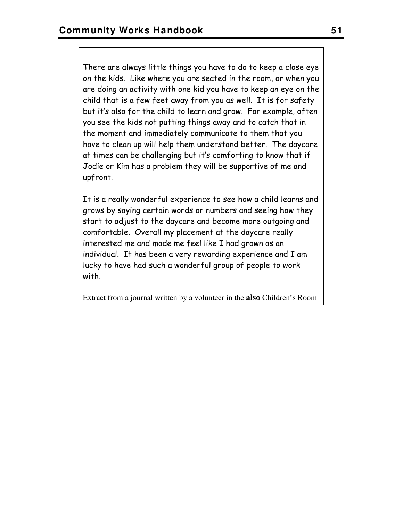There are always little things you have to do to keep a close eye on the kids. Like where you are seated in the room, or when you are doing an activity with one kid you have to keep an eye on the child that is a few feet away from you as well. It is for safety but it's also for the child to learn and grow. For example, often you see the kids not putting things away and to catch that in the moment and immediately communicate to them that you have to clean up will help them understand better. The daycare at times can be challenging but it's comforting to know that if Jodie or Kim has a problem they will be supportive of me and upfront.

It is a really wonderful experience to see how a child learns and grows by saying certain words or numbers and seeing how they start to adjust to the daycare and become more outgoing and comfortable. Overall my placement at the daycare really interested me and made me feel like I had grown as an individual. It has been a very rewarding experience and I am lucky to have had such a wonderful group of people to work with.

Extract from a journal written by a volunteer in the **also** Children's Room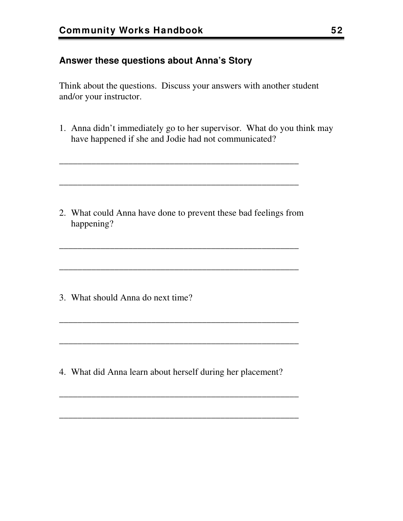#### **Answer these questions about Anna's Story**

Think about the questions. Discuss your answers with another student and/or your instructor.

1. Anna didn't immediately go to her supervisor. What do you think may have happened if she and Jodie had not communicated?

2. What could Anna have done to prevent these bad feelings from happening?

\_\_\_\_\_\_\_\_\_\_\_\_\_\_\_\_\_\_\_\_\_\_\_\_\_\_\_\_\_\_\_\_\_\_\_\_\_\_\_\_\_\_\_\_\_\_\_\_\_\_\_\_

\_\_\_\_\_\_\_\_\_\_\_\_\_\_\_\_\_\_\_\_\_\_\_\_\_\_\_\_\_\_\_\_\_\_\_\_\_\_\_\_\_\_\_\_\_\_\_\_\_\_\_\_

\_\_\_\_\_\_\_\_\_\_\_\_\_\_\_\_\_\_\_\_\_\_\_\_\_\_\_\_\_\_\_\_\_\_\_\_\_\_\_\_\_\_\_\_\_\_\_\_\_\_\_\_

\_\_\_\_\_\_\_\_\_\_\_\_\_\_\_\_\_\_\_\_\_\_\_\_\_\_\_\_\_\_\_\_\_\_\_\_\_\_\_\_\_\_\_\_\_\_\_\_\_\_\_\_

\_\_\_\_\_\_\_\_\_\_\_\_\_\_\_\_\_\_\_\_\_\_\_\_\_\_\_\_\_\_\_\_\_\_\_\_\_\_\_\_\_\_\_\_\_\_\_\_\_\_\_\_

\_\_\_\_\_\_\_\_\_\_\_\_\_\_\_\_\_\_\_\_\_\_\_\_\_\_\_\_\_\_\_\_\_\_\_\_\_\_\_\_\_\_\_\_\_\_\_\_\_\_\_\_

\_\_\_\_\_\_\_\_\_\_\_\_\_\_\_\_\_\_\_\_\_\_\_\_\_\_\_\_\_\_\_\_\_\_\_\_\_\_\_\_\_\_\_\_\_\_\_\_\_\_\_\_

\_\_\_\_\_\_\_\_\_\_\_\_\_\_\_\_\_\_\_\_\_\_\_\_\_\_\_\_\_\_\_\_\_\_\_\_\_\_\_\_\_\_\_\_\_\_\_\_\_\_\_\_

3. What should Anna do next time?

4. What did Anna learn about herself during her placement?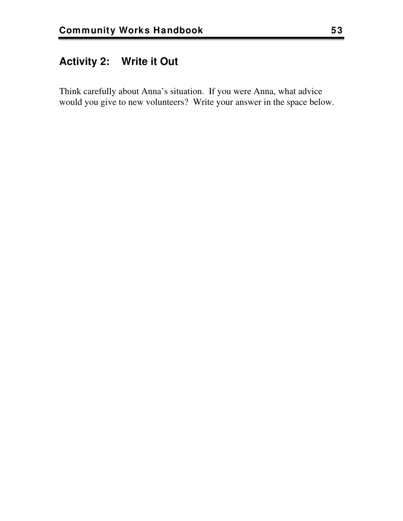# **Activity 2: Write it Out**

Think carefully about Anna's situation. If you were Anna, what advice would you give to new volunteers? Write your answer in the space below.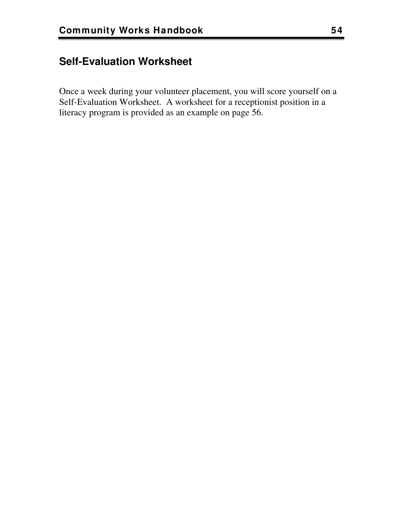# **Self-Evaluation Worksheet**

Once a week during your volunteer placement, you will score yourself on a Self-Evaluation Worksheet. A worksheet for a receptionist position in a literacy program is provided as an example on page [56.](#page-59-0)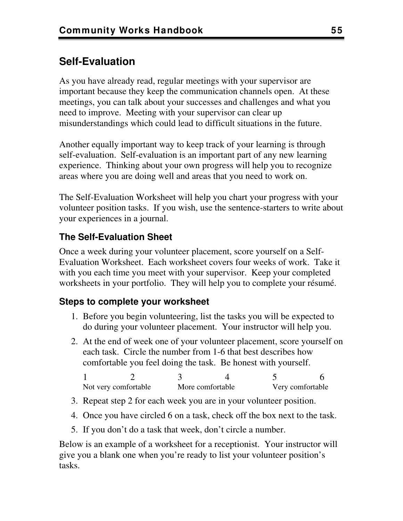# **Self-Evaluation**

As you have already read, regular meetings with your supervisor are important because they keep the communication channels open. At these meetings, you can talk about your successes and challenges and what you need to improve. Meeting with your supervisor can clear up misunderstandings which could lead to difficult situations in the future.

Another equally important way to keep track of your learning is through self-evaluation. Self-evaluation is an important part of any new learning experience. Thinking about your own progress will help you to recognize areas where you are doing well and areas that you need to work on.

The Self-Evaluation Worksheet will help you chart your progress with your volunteer position tasks. If you wish, use the sentence-starters to write about your experiences in a journal.

### **The Self-Evaluation Sheet**

Once a week during your volunteer placement, score yourself on a Self-Evaluation Worksheet. Each worksheet covers four weeks of work. Take it with you each time you meet with your supervisor. Keep your completed worksheets in your portfolio. They will help you to complete your résumé.

### **Steps to complete your worksheet**

- 1. Before you begin volunteering, list the tasks you will be expected to do during your volunteer placement. Your instructor will help you.
- 2. At the end of week one of your volunteer placement, score yourself on each task. Circle the number from 1-6 that best describes how comfortable you feel doing the task. Be honest with yourself.

| Not very comfortable | More comfortable | Very comfortable |
|----------------------|------------------|------------------|

- 3. Repeat step 2 for each week you are in your volunteer position.
- 4. Once you have circled 6 on a task, check off the box next to the task.
- 5. If you don't do a task that week, don't circle a number.

Below is an example of a worksheet for a receptionist. Your instructor will give you a blank one when you're ready to list your volunteer position's tasks.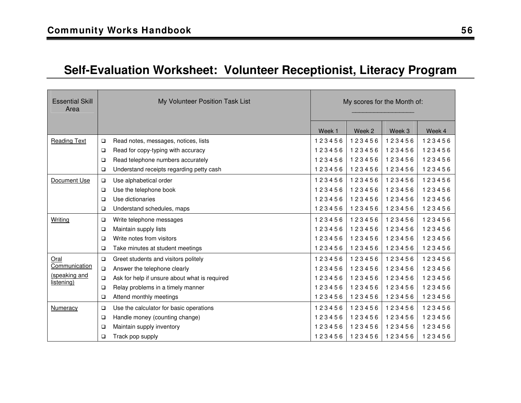# **Self-Evaluation Worksheet: Volunteer Receptionist, Literacy Program**

<span id="page-59-0"></span>

| <b>Essential Skill</b><br>Area |        | My Volunteer Position Task List               | My scores for the Month of: |        |        |        |
|--------------------------------|--------|-----------------------------------------------|-----------------------------|--------|--------|--------|
|                                |        |                                               | Week 1                      | Week 2 | Week 3 | Week 4 |
| <b>Reading Text</b>            | o      | Read notes, messages, notices, lists          | 123456                      | 123456 | 123456 | 123456 |
|                                | $\Box$ | Read for copy-typing with accuracy            | 123456                      | 123456 | 123456 | 123456 |
|                                | $\Box$ | Read telephone numbers accurately             | 123456                      | 123456 | 123456 | 123456 |
|                                | □      | Understand receipts regarding petty cash      | 123456                      | 123456 | 123456 | 123456 |
| Document Use                   | $\Box$ | Use alphabetical order                        | 123456                      | 123456 | 123456 | 123456 |
|                                | $\Box$ | Use the telephone book                        | 123456                      | 123456 | 123456 | 123456 |
|                                | $\Box$ | Use dictionaries                              | 123456                      | 123456 | 123456 | 123456 |
|                                | $\Box$ | Understand schedules, maps                    | 123456                      | 123456 | 123456 | 123456 |
| Writing                        | о      | Write telephone messages                      | 123456                      | 123456 | 123456 | 123456 |
|                                | □      | Maintain supply lists                         | 123456                      | 123456 | 123456 | 123456 |
|                                | $\Box$ | Write notes from visitors                     | 123456                      | 123456 | 123456 | 123456 |
|                                | $\Box$ | Take minutes at student meetings              | 123456                      | 123456 | 123456 | 123456 |
| Oral                           | $\Box$ | Greet students and visitors politely          | 123456                      | 123456 | 123456 | 123456 |
| Communication                  | $\Box$ | Answer the telephone clearly                  | 123456                      | 123456 | 123456 | 123456 |
| (speaking and<br>listening)    | $\Box$ | Ask for help if unsure about what is required | 123456                      | 123456 | 123456 | 123456 |
|                                | $\Box$ | Relay problems in a timely manner             | 123456                      | 123456 | 123456 | 123456 |
|                                | $\Box$ | Attend monthly meetings                       | 123456                      | 123456 | 123456 | 123456 |
| Numeracy                       | о      | Use the calculator for basic operations       | 123456                      | 123456 | 123456 | 123456 |
|                                | $\Box$ | Handle money (counting change)                | 123456                      | 123456 | 123456 | 123456 |
|                                | □      | Maintain supply inventory                     | 123456                      | 123456 | 123456 | 123456 |
|                                | □      | Track pop supply                              | 123456                      | 123456 | 123456 | 123456 |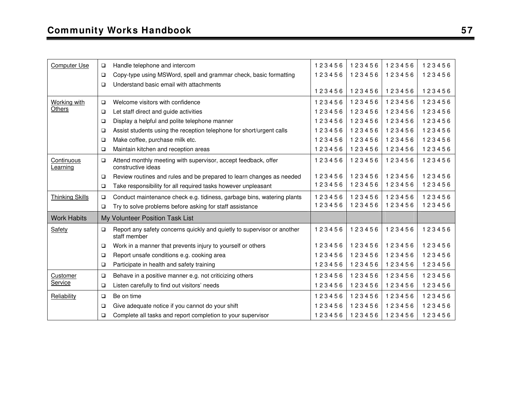| Computer Use                  | $\Box$ | Handle telephone and intercom                                                           | 123456 | 123456 | 123456 | 123456 |
|-------------------------------|--------|-----------------------------------------------------------------------------------------|--------|--------|--------|--------|
|                               | $\Box$ | Copy-type using MSWord, spell and grammar check, basic formatting                       | 123456 | 123456 | 123456 | 123456 |
|                               | $\Box$ | Understand basic email with attachments                                                 |        |        |        |        |
|                               |        |                                                                                         | 123456 | 123456 | 123456 | 123456 |
| Working with                  | $\Box$ | Welcome visitors with confidence                                                        | 123456 | 123456 | 123456 | 123456 |
| Others                        | $\Box$ | Let staff direct and guide activities                                                   | 123456 | 123456 | 123456 | 123456 |
|                               | $\Box$ | Display a helpful and polite telephone manner                                           | 123456 | 123456 | 123456 | 123456 |
|                               | $\Box$ | Assist students using the reception telephone for short/urgent calls                    | 123456 | 123456 | 123456 | 123456 |
|                               | $\Box$ | Make coffee, purchase milk etc.                                                         | 123456 | 123456 | 123456 | 123456 |
|                               | $\Box$ | Maintain kitchen and reception areas                                                    | 123456 | 123456 | 123456 | 123456 |
| <b>Continuous</b><br>Learning | $\Box$ | Attend monthly meeting with supervisor, accept feedback, offer<br>constructive ideas    | 123456 | 123456 | 123456 | 123456 |
|                               | $\Box$ | Review routines and rules and be prepared to learn changes as needed                    | 123456 | 123456 | 123456 | 123456 |
|                               | $\Box$ | Take responsibility for all required tasks however unpleasant                           | 123456 | 123456 | 123456 | 123456 |
| <b>Thinking Skills</b>        | $\Box$ | Conduct maintenance check e.g. tidiness, garbage bins, watering plants                  | 123456 | 123456 | 123456 | 123456 |
|                               | $\Box$ | Try to solve problems before asking for staff assistance                                | 123456 | 123456 | 123456 | 123456 |
| <b>Work Habits</b>            |        | My Volunteer Position Task List                                                         |        |        |        |        |
| Safety                        | $\Box$ | Report any safety concerns quickly and quietly to supervisor or another<br>staff member | 123456 | 123456 | 123456 | 123456 |
|                               | $\Box$ | Work in a manner that prevents injury to yourself or others                             | 123456 | 123456 | 123456 | 123456 |
|                               | $\Box$ | Report unsafe conditions e.g. cooking area                                              | 123456 | 123456 | 123456 | 123456 |
|                               | $\Box$ | Participate in health and safety training                                               | 123456 | 123456 | 123456 | 123456 |
| Customer                      | $\Box$ | Behave in a positive manner e.g. not criticizing others                                 | 123456 | 123456 | 123456 | 123456 |
| Service                       | $\Box$ | Listen carefully to find out visitors' needs                                            | 123456 | 123456 | 123456 | 123456 |
| Reliability                   | $\Box$ | Be on time                                                                              | 123456 | 123456 | 123456 | 123456 |
|                               | $\Box$ | Give adequate notice if you cannot do your shift                                        | 123456 | 123456 | 123456 | 123456 |
|                               | $\Box$ | Complete all tasks and report completion to your supervisor                             | 123456 | 123456 | 123456 | 123456 |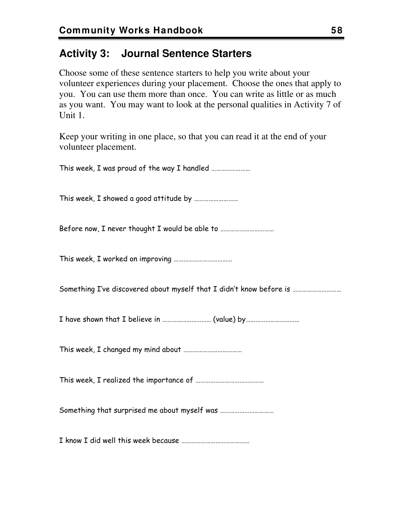# **Activity 3: Journal Sentence Starters**

Choose some of these sentence starters to help you write about your volunteer experiences during your placement. Choose the ones that apply to you. You can use them more than once. You can write as little or as much as you want. You may want to look at the personal qualities in Activity 7 of Unit 1.

Keep your writing in one place, so that you can read it at the end of your volunteer placement.

This week, I was proud of the way I handled …………………… This week, I showed a good attitude by ……………………… Before now, I never thought I would be able to ................................. This week, I worked on improving ……………………………… Something I've discovered about myself that I didn't know before is ……………………………… I have shown that I believe in ………………………… (value) by…………………………… This week, I changed my mind about ……………………………… This week, I realized the importance of …………………………………… Something that surprised me about myself was …………………………… I know I did well this week because ……………………………………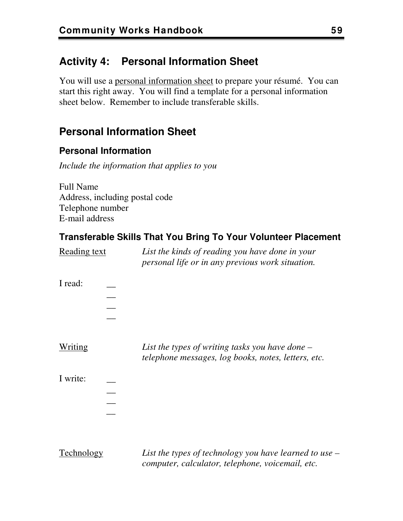# **Activity 4: Personal Information Sheet**

You will use a personal information sheet to prepare your résumé. You can start this right away. You will find a template for a personal information sheet below. Remember to include transferable skills.

# **Personal Information Sheet**

#### **Personal Information**

*Include the information that applies to you* 

Full Name Address, including postal code Telephone number E-mail address

### **Transferable Skills That You Bring To Your Volunteer Placement**

| <u>Reading text</u> |  | List the kinds of reading you have done in your<br>personal life or in any previous work situation.      |
|---------------------|--|----------------------------------------------------------------------------------------------------------|
| I read:             |  |                                                                                                          |
| Writing             |  | List the types of writing tasks you have done $-$<br>telephone messages, log books, notes, letters, etc. |
| I write:            |  |                                                                                                          |
| Technology          |  | List the types of technology you have learned to use                                                     |

<u>rechnology</u> List the types of technology you have learned to use – *computer, calculator, telephone, voicemail, etc.*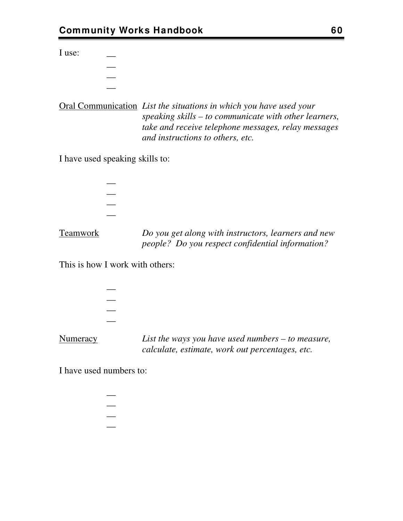I use:

| ___ |  |
|-----|--|
| ___ |  |
|     |  |
| ___ |  |

Oral Communication *List the situations in which you have used your speaking skills – to communicate with other learners, take and receive telephone messages, relay messages and instructions to others, etc.* 

I have used speaking skills to:

 $\overline{\phantom{a}}$  $\overline{\phantom{a}}$  $\overline{\phantom{a}}$  $\overline{\phantom{a}}$ Teamwork *Do you get along with instructors, learners and new people? Do you respect confidential information?* 

This is how I work with others:

| List the wave you have used numbers to measure |  |
|------------------------------------------------|--|

Numeracy *List the ways you have used numbers – to measure, calculate, estimate, work out percentages, etc.* 

I have used numbers to:

 $\overline{\phantom{a}}$  $\overline{\phantom{a}}$  $\overline{\phantom{a}}$  $\overline{\phantom{a}}$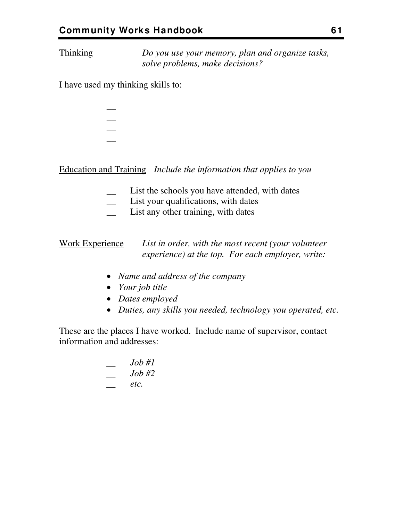Thinking *Do you use your memory, plan and organize tasks, solve problems, make decisions?* 

I have used my thinking skills to:

| ä, |  |
|----|--|
|    |  |
| -  |  |
|    |  |

Education and Training *Include the information that applies to you* 

- List the schools you have attended, with dates
- List your qualifications, with dates
- List any other training, with dates

Work Experience *List in order, with the most recent (your volunteer experience) at the top. For each employer, write:* 

- *Name and address of the company*
- *Your job title*
- *Dates employed*
- *Duties, any skills you needed, technology you operated, etc.*

These are the places I have worked. Include name of supervisor, contact information and addresses:

$$
\begin{array}{ccc}\n & Job \#1 \\
- & Job \#2 \\
- & etc.\n \end{array}
$$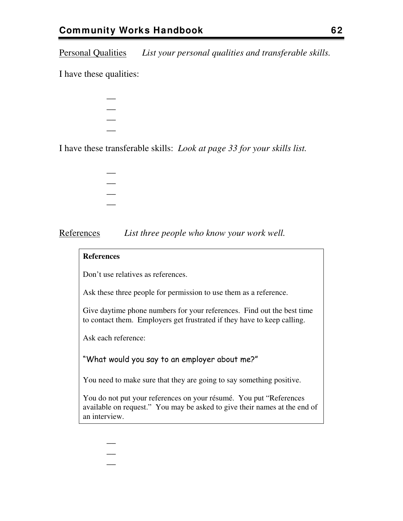Personal Qualities *List your personal qualities and transferable skills.* 

I have these qualities:

| -<br>$\overline{\phantom{a}}$ |  |
|-------------------------------|--|
| ___                           |  |
|                               |  |
| ı                             |  |

I have these transferable skills: *Look at page [33](#page-36-0) for your skills list.*

| ___ |  |  |
|-----|--|--|
| ___ |  |  |
| ___ |  |  |
| ___ |  |  |

References *List three people who know your work well.* 

#### **References**

Don't use relatives as references.

Ask these three people for permission to use them as a reference.

Give daytime phone numbers for your references. Find out the best time to contact them. Employers get frustrated if they have to keep calling.

Ask each reference:

 $\overline{\phantom{a}}$  $\overline{\phantom{a}}$  $\overline{\phantom{a}}$ 

"What would you say to an employer about me?"

You need to make sure that they are going to say something positive.

You do not put your references on your résumé. You put "References available on request." You may be asked to give their names at the end of an interview.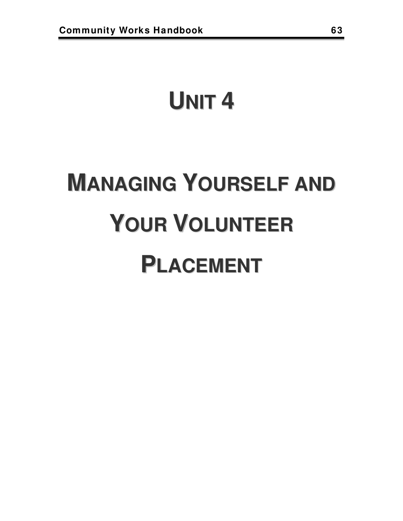# **UNIT 4**

# **MANAGING YOURSELF AND YOUR VOLUNTEER PLACEMENT**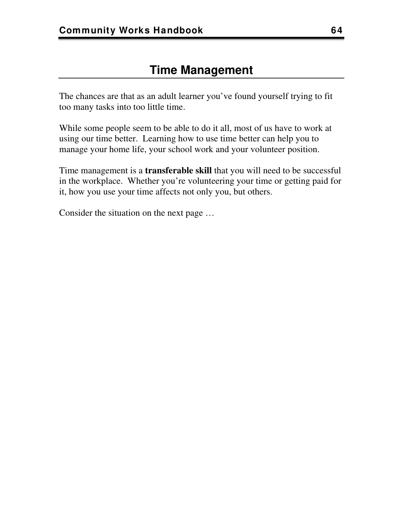# **Time Management**

The chances are that as an adult learner you've found yourself trying to fit too many tasks into too little time.

While some people seem to be able to do it all, most of us have to work at using our time better. Learning how to use time better can help you to manage your home life, your school work and your volunteer position.

Time management is a **transferable skill** that you will need to be successful in the workplace. Whether you're volunteering your time or getting paid for it, how you use your time affects not only you, but others.

Consider the situation on the next page …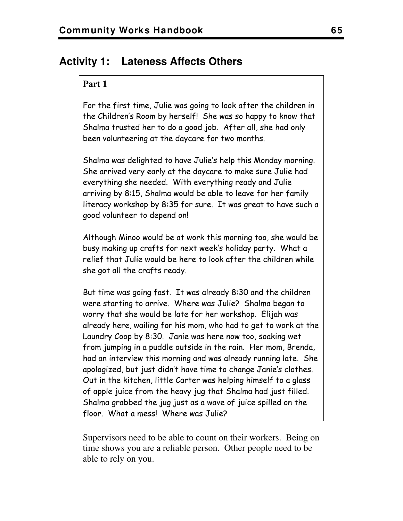## **Activity 1: Lateness Affects Others**

#### **Part 1**

For the first time, Julie was going to look after the children in the Children's Room by herself! She was so happy to know that Shalma trusted her to do a good job. After all, she had only been volunteering at the daycare for two months.

Shalma was delighted to have Julie's help this Monday morning. She arrived very early at the daycare to make sure Julie had everything she needed. With everything ready and Julie arriving by 8:15, Shalma would be able to leave for her family literacy workshop by 8:35 for sure. It was great to have such a good volunteer to depend on!

Although Minoo would be at work this morning too, she would be busy making up crafts for next week's holiday party. What a relief that Julie would be here to look after the children while she got all the crafts ready.

But time was going fast. It was already 8:30 and the children were starting to arrive. Where was Julie? Shalma began to worry that she would be late for her workshop. Elijah was already here, wailing for his mom, who had to get to work at the Laundry Coop by 8:30. Janie was here now too, soaking wet from jumping in a puddle outside in the rain. Her mom, Brenda, had an interview this morning and was already running late. She apologized, but just didn't have time to change Janie's clothes. Out in the kitchen, little Carter was helping himself to a glass of apple juice from the heavy jug that Shalma had just filled. Shalma grabbed the jug just as a wave of juice spilled on the floor. What a mess! Where was Julie?

Supervisors need to be able to count on their workers. Being on time shows you are a reliable person. Other people need to be able to rely on you.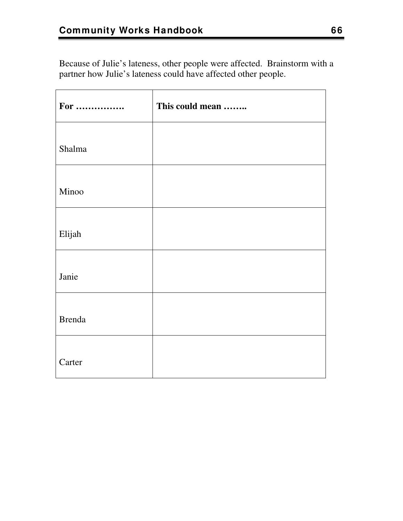Because of Julie's lateness, other people were affected. Brainstorm with a partner how Julie's lateness could have affected other people.

| For           | This could mean |
|---------------|-----------------|
| Shalma        |                 |
|               |                 |
| Minoo         |                 |
| Elijah        |                 |
|               |                 |
| Janie         |                 |
| <b>Brenda</b> |                 |
|               |                 |
| Carter        |                 |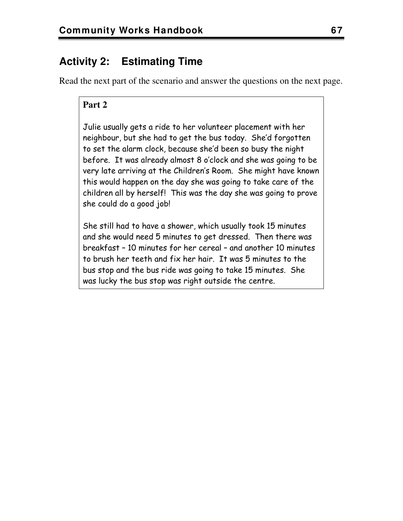# **Activity 2: Estimating Time**

Read the next part of the scenario and answer the questions on the next page.

#### **Part 2**

Julie usually gets a ride to her volunteer placement with her neighbour, but she had to get the bus today. She'd forgotten to set the alarm clock, because she'd been so busy the night before. It was already almost 8 o'clock and she was going to be very late arriving at the Children's Room. She might have known this would happen on the day she was going to take care of the children all by herself! This was the day she was going to prove she could do a good job!

She still had to have a shower, which usually took 15 minutes and she would need 5 minutes to get dressed. Then there was breakfast – 10 minutes for her cereal – and another 10 minutes to brush her teeth and fix her hair. It was 5 minutes to the bus stop and the bus ride was going to take 15 minutes. She was lucky the bus stop was right outside the centre.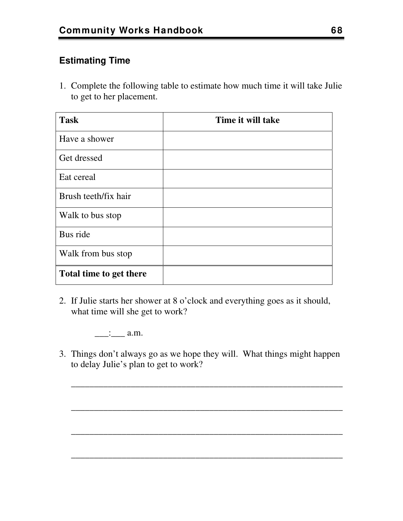### **Estimating Time**

1. Complete the following table to estimate how much time it will take Julie to get to her placement.

| <b>Task</b>             | Time it will take |
|-------------------------|-------------------|
| Have a shower           |                   |
| Get dressed             |                   |
| Eat cereal              |                   |
| Brush teeth/fix hair    |                   |
| Walk to bus stop        |                   |
| Bus ride                |                   |
| Walk from bus stop      |                   |
| Total time to get there |                   |

2. If Julie starts her shower at 8 o'clock and everything goes as it should, what time will she get to work?

 $\therefore$  a.m.

3. Things don't always go as we hope they will. What things might happen to delay Julie's plan to get to work?

\_\_\_\_\_\_\_\_\_\_\_\_\_\_\_\_\_\_\_\_\_\_\_\_\_\_\_\_\_\_\_\_\_\_\_\_\_\_\_\_\_\_\_\_\_\_\_\_\_\_\_\_\_\_\_\_\_\_\_

\_\_\_\_\_\_\_\_\_\_\_\_\_\_\_\_\_\_\_\_\_\_\_\_\_\_\_\_\_\_\_\_\_\_\_\_\_\_\_\_\_\_\_\_\_\_\_\_\_\_\_\_\_\_\_\_\_\_\_

\_\_\_\_\_\_\_\_\_\_\_\_\_\_\_\_\_\_\_\_\_\_\_\_\_\_\_\_\_\_\_\_\_\_\_\_\_\_\_\_\_\_\_\_\_\_\_\_\_\_\_\_\_\_\_\_\_\_\_

\_\_\_\_\_\_\_\_\_\_\_\_\_\_\_\_\_\_\_\_\_\_\_\_\_\_\_\_\_\_\_\_\_\_\_\_\_\_\_\_\_\_\_\_\_\_\_\_\_\_\_\_\_\_\_\_\_\_\_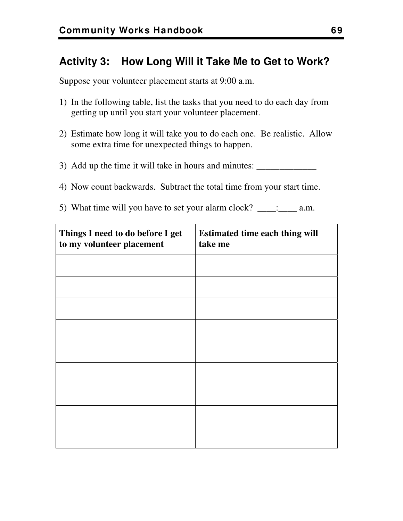## **Activity 3: How Long Will it Take Me to Get to Work?**

Suppose your volunteer placement starts at 9:00 a.m.

- 1) In the following table, list the tasks that you need to do each day from getting up until you start your volunteer placement.
- 2) Estimate how long it will take you to do each one. Be realistic. Allow some extra time for unexpected things to happen.
- 3) Add up the time it will take in hours and minutes: \_\_\_\_\_\_\_\_\_\_\_\_\_\_\_\_\_\_\_\_\_\_\_\_\_\_\_
- 4) Now count backwards. Subtract the total time from your start time.
- 5) What time will you have to set your alarm clock?  $\therefore$  a.m.

| Things I need to do before I get<br>to my volunteer placement | <b>Estimated time each thing will</b><br>take me |
|---------------------------------------------------------------|--------------------------------------------------|
|                                                               |                                                  |
|                                                               |                                                  |
|                                                               |                                                  |
|                                                               |                                                  |
|                                                               |                                                  |
|                                                               |                                                  |
|                                                               |                                                  |
|                                                               |                                                  |
|                                                               |                                                  |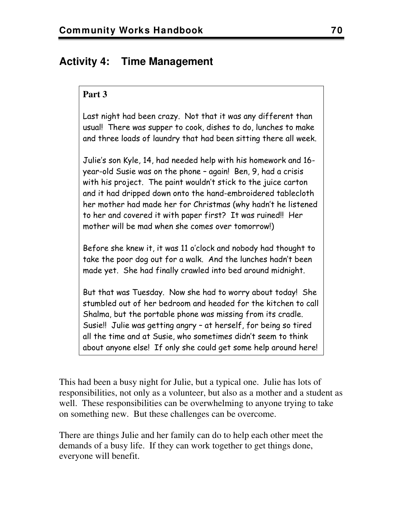## **Activity 4: Time Management**

#### **Part 3**

Last night had been crazy. Not that it was any different than usual! There was supper to cook, dishes to do, lunches to make and three loads of laundry that had been sitting there all week.

Julie's son Kyle, 14, had needed help with his homework and 16 year-old Susie was on the phone – again! Ben, 9, had a crisis with his project. The paint wouldn't stick to the juice carton and it had dripped down onto the hand-embroidered tablecloth her mother had made her for Christmas (why hadn't he listened to her and covered it with paper first? It was ruined!! Her mother will be mad when she comes over tomorrow!)

Before she knew it, it was 11 o'clock and nobody had thought to take the poor dog out for a walk. And the lunches hadn't been made yet. She had finally crawled into bed around midnight.

But that was Tuesday. Now she had to worry about today! She stumbled out of her bedroom and headed for the kitchen to call Shalma, but the portable phone was missing from its cradle. Susie!! Julie was getting angry – at herself, for being so tired all the time and at Susie, who sometimes didn't seem to think about anyone else! If only she could get some help around here!

This had been a busy night for Julie, but a typical one. Julie has lots of responsibilities, not only as a volunteer, but also as a mother and a student as well. These responsibilities can be overwhelming to anyone trying to take on something new. But these challenges can be overcome.

There are things Julie and her family can do to help each other meet the demands of a busy life. If they can work together to get things done, everyone will benefit.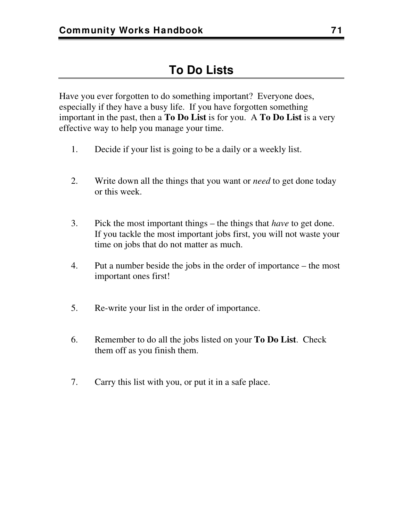Have you ever forgotten to do something important? Everyone does, especially if they have a busy life. If you have forgotten something important in the past, then a **To Do List** is for you. A **To Do List** is a very effective way to help you manage your time.

- 1. Decide if your list is going to be a daily or a weekly list.
- 2. Write down all the things that you want or *need* to get done today or this week.
- 3. Pick the most important things the things that *have* to get done. If you tackle the most important jobs first, you will not waste your time on jobs that do not matter as much.
- 4. Put a number beside the jobs in the order of importance the most important ones first!
- 5. Re-write your list in the order of importance.
- 6. Remember to do all the jobs listed on your **To Do List**. Check them off as you finish them.
- 7. Carry this list with you, or put it in a safe place.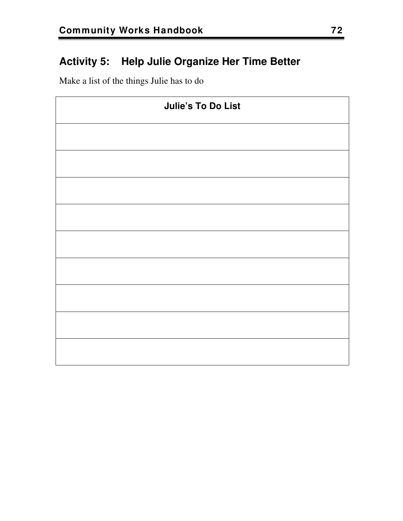## **Activity 5: Help Julie Organize Her Time Better**

Make a list of the things Julie has to do

| <b>Julie's To Do List</b> |  |
|---------------------------|--|
|                           |  |
|                           |  |
|                           |  |
|                           |  |
|                           |  |
|                           |  |
|                           |  |
|                           |  |
|                           |  |
|                           |  |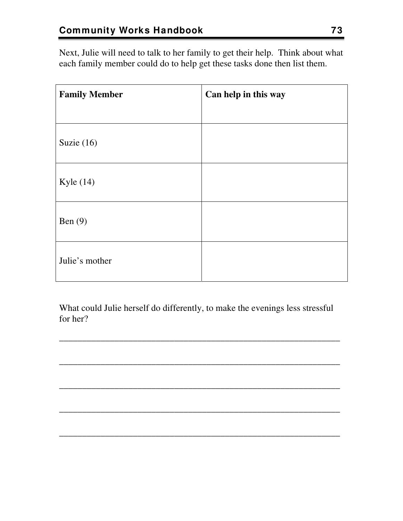Next, Julie will need to talk to her family to get their help. Think about what each family member could do to help get these tasks done then list them.

| <b>Family Member</b> | Can help in this way |
|----------------------|----------------------|
|                      |                      |
| Suzie $(16)$         |                      |
| Kyle $(14)$          |                      |
| Ben $(9)$            |                      |
| Julie's mother       |                      |

What could Julie herself do differently, to make the evenings less stressful for her?

\_\_\_\_\_\_\_\_\_\_\_\_\_\_\_\_\_\_\_\_\_\_\_\_\_\_\_\_\_\_\_\_\_\_\_\_\_\_\_\_\_\_\_\_\_\_\_\_\_\_\_\_\_\_\_\_\_\_\_\_\_

\_\_\_\_\_\_\_\_\_\_\_\_\_\_\_\_\_\_\_\_\_\_\_\_\_\_\_\_\_\_\_\_\_\_\_\_\_\_\_\_\_\_\_\_\_\_\_\_\_\_\_\_\_\_\_\_\_\_\_\_\_

\_\_\_\_\_\_\_\_\_\_\_\_\_\_\_\_\_\_\_\_\_\_\_\_\_\_\_\_\_\_\_\_\_\_\_\_\_\_\_\_\_\_\_\_\_\_\_\_\_\_\_\_\_\_\_\_\_\_\_\_\_

\_\_\_\_\_\_\_\_\_\_\_\_\_\_\_\_\_\_\_\_\_\_\_\_\_\_\_\_\_\_\_\_\_\_\_\_\_\_\_\_\_\_\_\_\_\_\_\_\_\_\_\_\_\_\_\_\_\_\_\_\_

\_\_\_\_\_\_\_\_\_\_\_\_\_\_\_\_\_\_\_\_\_\_\_\_\_\_\_\_\_\_\_\_\_\_\_\_\_\_\_\_\_\_\_\_\_\_\_\_\_\_\_\_\_\_\_\_\_\_\_\_\_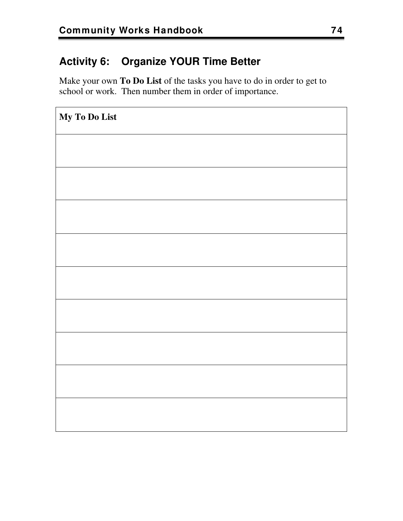## **Activity 6: Organize YOUR Time Better**

Make your own **To Do List** of the tasks you have to do in order to get to school or work. Then number them in order of importance.

| My To Do List |
|---------------|
|               |
|               |
|               |
|               |
|               |
|               |
|               |
|               |
|               |
|               |
|               |
|               |
|               |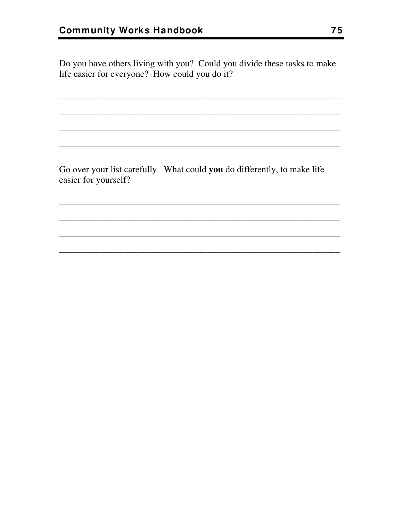Do you have others living with you? Could you divide these tasks to make life easier for everyone? How could you do it?

Go over your list carefully. What could you do differently, to make life easier for yourself?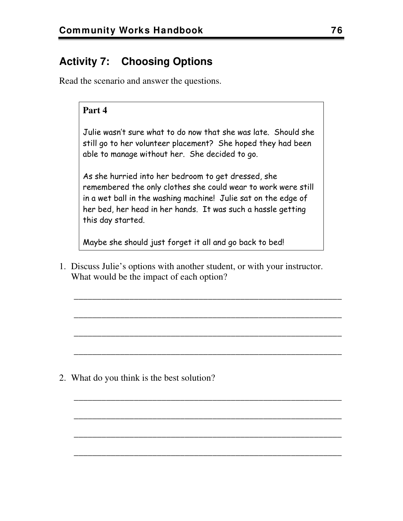## **Activity 7: Choosing Options**

Read the scenario and answer the questions.

#### **Part 4**

Julie wasn't sure what to do now that she was late. Should she still go to her volunteer placement? She hoped they had been able to manage without her. She decided to go.

As she hurried into her bedroom to get dressed, she remembered the only clothes she could wear to work were still in a wet ball in the washing machine! Julie sat on the edge of her bed, her head in her hands. It was such a hassle getting this day started.

Maybe she should just forget it all and go back to bed!

1. Discuss Julie's options with another student, or with your instructor. What would be the impact of each option?

\_\_\_\_\_\_\_\_\_\_\_\_\_\_\_\_\_\_\_\_\_\_\_\_\_\_\_\_\_\_\_\_\_\_\_\_\_\_\_\_\_\_\_\_\_\_\_\_\_\_\_\_\_\_\_\_\_\_

\_\_\_\_\_\_\_\_\_\_\_\_\_\_\_\_\_\_\_\_\_\_\_\_\_\_\_\_\_\_\_\_\_\_\_\_\_\_\_\_\_\_\_\_\_\_\_\_\_\_\_\_\_\_\_\_\_\_

\_\_\_\_\_\_\_\_\_\_\_\_\_\_\_\_\_\_\_\_\_\_\_\_\_\_\_\_\_\_\_\_\_\_\_\_\_\_\_\_\_\_\_\_\_\_\_\_\_\_\_\_\_\_\_\_\_\_

\_\_\_\_\_\_\_\_\_\_\_\_\_\_\_\_\_\_\_\_\_\_\_\_\_\_\_\_\_\_\_\_\_\_\_\_\_\_\_\_\_\_\_\_\_\_\_\_\_\_\_\_\_\_\_\_\_\_

\_\_\_\_\_\_\_\_\_\_\_\_\_\_\_\_\_\_\_\_\_\_\_\_\_\_\_\_\_\_\_\_\_\_\_\_\_\_\_\_\_\_\_\_\_\_\_\_\_\_\_\_\_\_\_\_\_\_

\_\_\_\_\_\_\_\_\_\_\_\_\_\_\_\_\_\_\_\_\_\_\_\_\_\_\_\_\_\_\_\_\_\_\_\_\_\_\_\_\_\_\_\_\_\_\_\_\_\_\_\_\_\_\_\_\_\_

\_\_\_\_\_\_\_\_\_\_\_\_\_\_\_\_\_\_\_\_\_\_\_\_\_\_\_\_\_\_\_\_\_\_\_\_\_\_\_\_\_\_\_\_\_\_\_\_\_\_\_\_\_\_\_\_\_\_

\_\_\_\_\_\_\_\_\_\_\_\_\_\_\_\_\_\_\_\_\_\_\_\_\_\_\_\_\_\_\_\_\_\_\_\_\_\_\_\_\_\_\_\_\_\_\_\_\_\_\_\_\_\_\_\_\_\_

2. What do you think is the best solution?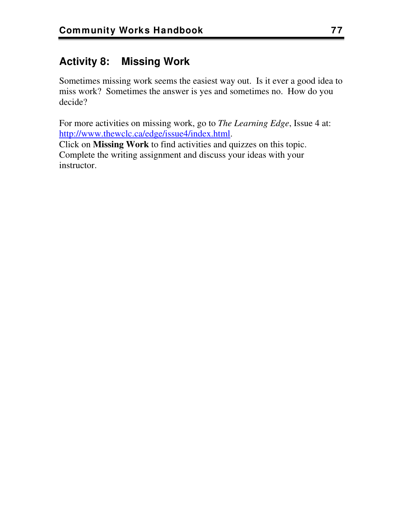## **Activity 8: Missing Work**

Sometimes missing work seems the easiest way out. Is it ever a good idea to miss work? Sometimes the answer is yes and sometimes no. How do you decide?

For more activities on missing work, go to *The Learning Edge*, Issue 4 at: <http://www.thewclc.ca/edge/issue4/index.html>.

Click on **Missing Work** to find activities and quizzes on this topic. Complete the writing assignment and discuss your ideas with your instructor.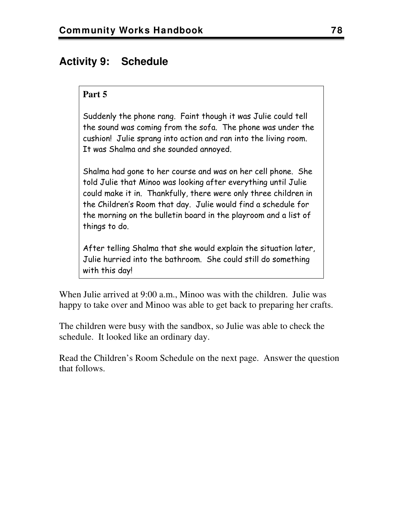### **Activity 9: Schedule**

#### **Part 5**

Suddenly the phone rang. Faint though it was Julie could tell the sound was coming from the sofa. The phone was under the cushion! Julie sprang into action and ran into the living room. It was Shalma and she sounded annoyed.

Shalma had gone to her course and was on her cell phone. She told Julie that Minoo was looking after everything until Julie could make it in. Thankfully, there were only three children in the Children's Room that day. Julie would find a schedule for the morning on the bulletin board in the playroom and a list of things to do.

After telling Shalma that she would explain the situation later, Julie hurried into the bathroom. She could still do something with this day!

When Julie arrived at 9:00 a.m., Minoo was with the children. Julie was happy to take over and Minoo was able to get back to preparing her crafts.

The children were busy with the sandbox, so Julie was able to check the schedule. It looked like an ordinary day.

Read the Children's Room Schedule on the next page. Answer the question that follows.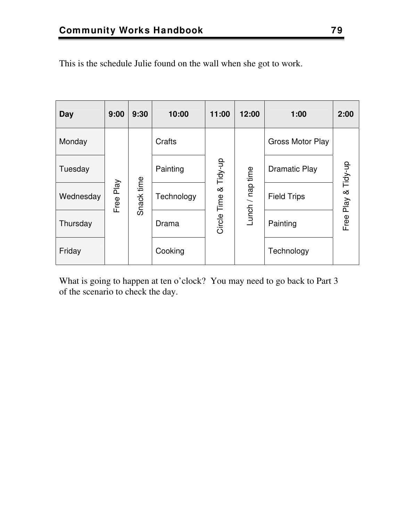| Day       | 9:00         | 9:30       | 10:00      | 11:00       | 12:00            | 1:00                    | 2:00                |
|-----------|--------------|------------|------------|-------------|------------------|-------------------------|---------------------|
| Monday    |              |            | Crafts     |             |                  | <b>Gross Motor Play</b> |                     |
| Tuesday   |              |            | Painting   | Tidy-up     |                  | Dramatic Play           |                     |
| Wednesday | Play<br>Free | Snack time | Technology | య           | Lunch / nap time | <b>Field Trips</b>      | Free Play & Tidy-up |
| Thursday  |              |            | Drama      | Circle Time |                  | Painting                |                     |
| Friday    |              |            | Cooking    |             |                  | Technology              |                     |

This is the schedule Julie found on the wall when she got to work.

What is going to happen at ten o'clock? You may need to go back to Part 3 of the scenario to check the day.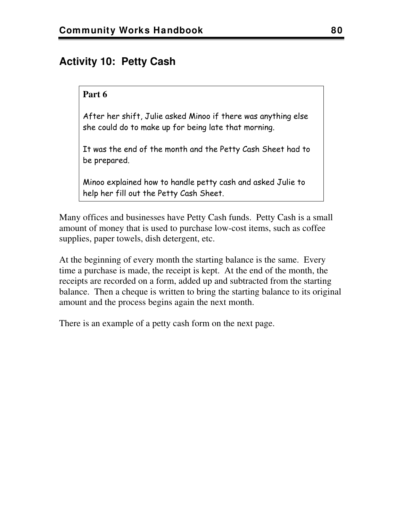## **Activity 10: Petty Cash**

#### **Part 6**

After her shift, Julie asked Minoo if there was anything else she could do to make up for being late that morning.

It was the end of the month and the Petty Cash Sheet had to be prepared.

Minoo explained how to handle petty cash and asked Julie to help her fill out the Petty Cash Sheet.

Many offices and businesses have Petty Cash funds. Petty Cash is a small amount of money that is used to purchase low-cost items, such as coffee supplies, paper towels, dish detergent, etc.

At the beginning of every month the starting balance is the same. Every time a purchase is made, the receipt is kept. At the end of the month, the receipts are recorded on a form, added up and subtracted from the starting balance. Then a cheque is written to bring the starting balance to its original amount and the process begins again the next month.

There is an example of a petty cash form on the next page.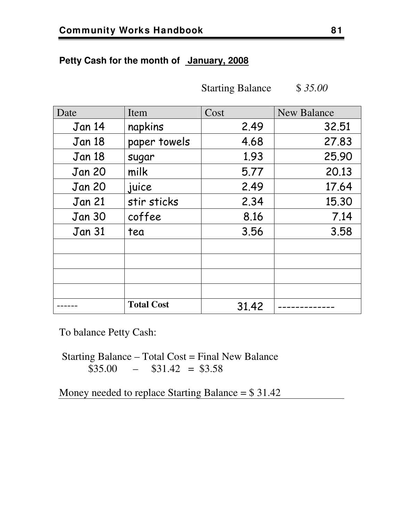#### **Petty Cash for the month of January, 2008**

Starting Balance \$ *35.00*

| Date          | Item              | Cost  | <b>New Balance</b> |
|---------------|-------------------|-------|--------------------|
| Jan 14        | napkins           | 2.49  | 32.51              |
| Jan 18        | paper towels      | 4.68  | 27.83              |
| <b>Jan 18</b> | sugar             | 1.93  | 25.90              |
| <b>Jan 20</b> | milk              | 5.77  | 20.13              |
| <b>Jan 20</b> | juice             | 2.49  | 17.64              |
| <b>Jan 21</b> | stir sticks       | 2.34  | 15.30              |
| Jan 30        | coffee            | 8.16  | 7.14               |
| <b>Jan 31</b> | tea               | 3.56  | 3.58               |
|               |                   |       |                    |
|               |                   |       |                    |
|               |                   |       |                    |
|               |                   |       |                    |
|               | <b>Total Cost</b> | 31.42 |                    |

To balance Petty Cash:

 Starting Balance – Total Cost = Final New Balance  $$35.00$  –  $$31.42 = $3.58$ 

Money needed to replace Starting Balance = \$ 31.42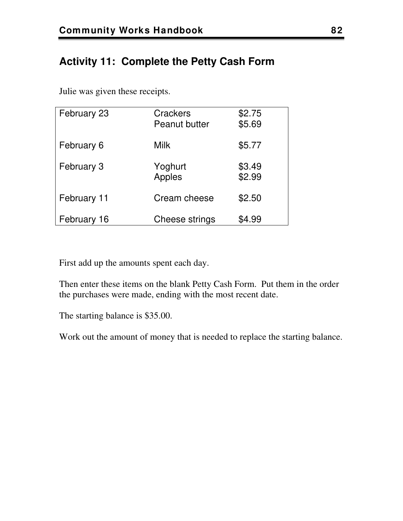## **Activity 11: Complete the Petty Cash Form**

Julie was given these receipts.

| February 23 | Crackers<br><b>Peanut butter</b> | \$2.75<br>\$5.69 |
|-------------|----------------------------------|------------------|
|             |                                  |                  |
| February 6  | <b>Milk</b>                      | \$5.77           |
| February 3  | Yoghurt<br>Apples                | \$3.49<br>\$2.99 |
| February 11 | Cream cheese                     | \$2.50           |
| February 16 | Cheese strings                   | \$4.99           |

First add up the amounts spent each day.

Then enter these items on the blank Petty Cash Form. Put them in the order the purchases were made, ending with the most recent date.

The starting balance is \$35.00.

Work out the amount of money that is needed to replace the starting balance.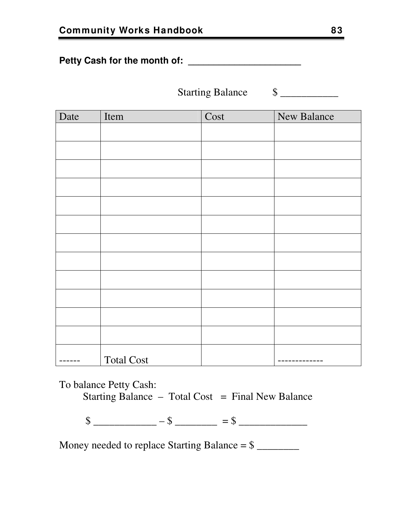**Petty Cash for the month of: \_\_\_\_\_\_\_\_\_\_\_\_\_\_\_\_\_\_\_\_\_\_** 

Starting Balance  $\qquad \quad \text{\$}$ 

| Date | Item              | Cost | <b>New Balance</b> |
|------|-------------------|------|--------------------|
|      |                   |      |                    |
|      |                   |      |                    |
|      |                   |      |                    |
|      |                   |      |                    |
|      |                   |      |                    |
|      |                   |      |                    |
|      |                   |      |                    |
|      |                   |      |                    |
|      |                   |      |                    |
|      |                   |      |                    |
|      |                   |      |                    |
|      |                   |      |                    |
|      | <b>Total Cost</b> |      |                    |

To balance Petty Cash:

Starting Balance  $-$  Total Cost  $=$  Final New Balance

 $\frac{\text{S}}{\text{S}}$  \_\_\_\_\_\_\_\_\_\_\_\_\_\_\_\_ –  $\text{S}$  \_\_\_\_\_\_\_\_\_\_\_ =  $\text{S}$  \_\_\_\_\_\_\_\_\_\_\_\_\_\_\_\_

Money needed to replace Starting Balance = \$ \_\_\_\_\_\_\_\_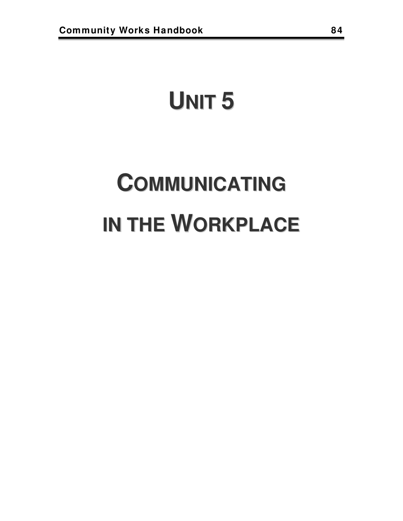## **UNIT 5**

# **COMMUNICATING IN THE WORKPLACE**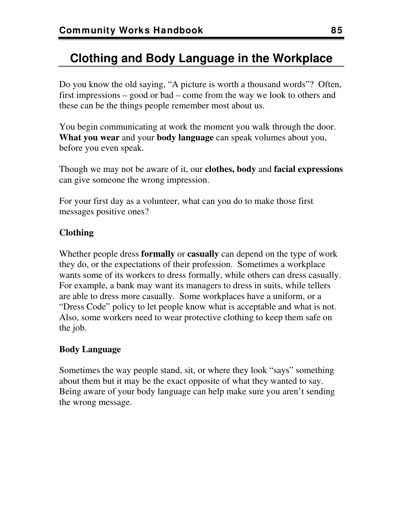## **Clothing and Body Language in the Workplace**

Do you know the old saying, "A picture is worth a thousand words"? Often, first impressions – good or bad – come from the way we look to others and these can be the things people remember most about us.

You begin communicating at work the moment you walk through the door. **What you wear** and your **body language** can speak volumes about you, before you even speak.

Though we may not be aware of it, our **clothes, body** and **facial expressions** can give someone the wrong impression.

For your first day as a volunteer, what can you do to make those first messages positive ones?

#### **Clothing**

Whether people dress **formally** or **casually** can depend on the type of work they do, or the expectations of their profession. Sometimes a workplace wants some of its workers to dress formally, while others can dress casually. For example, a bank may want its managers to dress in suits, while tellers are able to dress more casually. Some workplaces have a uniform, or a "Dress Code" policy to let people know what is acceptable and what is not. Also, some workers need to wear protective clothing to keep them safe on the job.

#### **Body Language**

Sometimes the way people stand, sit, or where they look "says" something about them but it may be the exact opposite of what they wanted to say. Being aware of your body language can help make sure you aren't sending the wrong message.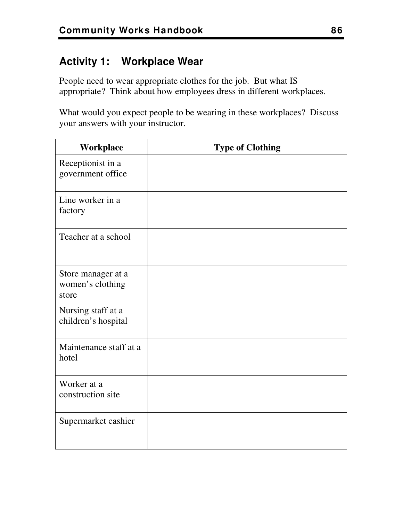## **Activity 1: Workplace Wear**

People need to wear appropriate clothes for the job. But what IS appropriate? Think about how employees dress in different workplaces.

What would you expect people to be wearing in these workplaces? Discuss your answers with your instructor.

| Workplace                                       | <b>Type of Clothing</b> |
|-------------------------------------------------|-------------------------|
| Receptionist in a<br>government office          |                         |
| Line worker in a<br>factory                     |                         |
| Teacher at a school                             |                         |
| Store manager at a<br>women's clothing<br>store |                         |
| Nursing staff at a<br>children's hospital       |                         |
| Maintenance staff at a<br>hotel                 |                         |
| Worker at a<br>construction site                |                         |
| Supermarket cashier                             |                         |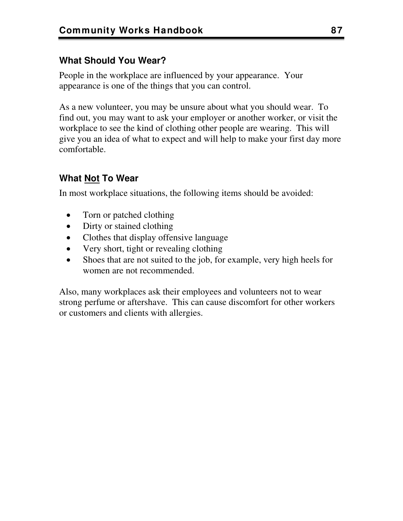#### **What Should You Wear?**

People in the workplace are influenced by your appearance. Your appearance is one of the things that you can control.

As a new volunteer, you may be unsure about what you should wear. To find out, you may want to ask your employer or another worker, or visit the workplace to see the kind of clothing other people are wearing. This will give you an idea of what to expect and will help to make your first day more comfortable.

#### **What Not To Wear**

In most workplace situations, the following items should be avoided:

- Torn or patched clothing
- Dirty or stained clothing
- Clothes that display offensive language
- Very short, tight or revealing clothing
- Shoes that are not suited to the job, for example, very high heels for women are not recommended.

Also, many workplaces ask their employees and volunteers not to wear strong perfume or aftershave. This can cause discomfort for other workers or customers and clients with allergies.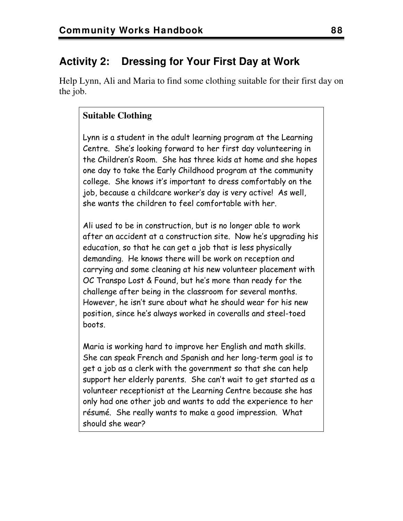## **Activity 2: Dressing for Your First Day at Work**

Help Lynn, Ali and Maria to find some clothing suitable for their first day on the job.

#### **Suitable Clothing**

Lynn is a student in the adult learning program at the Learning Centre. She's looking forward to her first day volunteering in the Children's Room. She has three kids at home and she hopes one day to take the Early Childhood program at the community college. She knows it's important to dress comfortably on the job, because a childcare worker's day is very active! As well, she wants the children to feel comfortable with her.

Ali used to be in construction, but is no longer able to work after an accident at a construction site. Now he's upgrading his education, so that he can get a job that is less physically demanding. He knows there will be work on reception and carrying and some cleaning at his new volunteer placement with OC Transpo Lost & Found, but he's more than ready for the challenge after being in the classroom for several months. However, he isn't sure about what he should wear for his new position, since he's always worked in coveralls and steel-toed boots.

Maria is working hard to improve her English and math skills. She can speak French and Spanish and her long-term goal is to get a job as a clerk with the government so that she can help support her elderly parents. She can't wait to get started as a volunteer receptionist at the Learning Centre because she has only had one other job and wants to add the experience to her résumé. She really wants to make a good impression. What should she wear?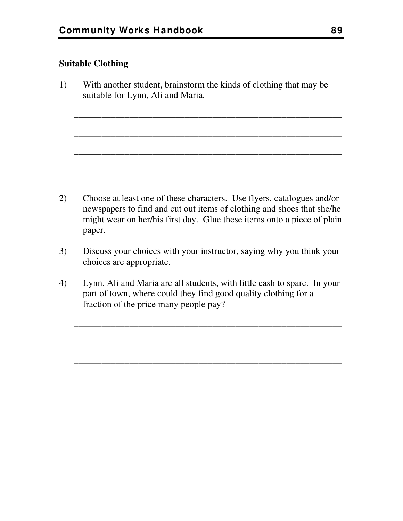#### **Suitable Clothing**

1) With another student, brainstorm the kinds of clothing that may be suitable for Lynn, Ali and Maria.

\_\_\_\_\_\_\_\_\_\_\_\_\_\_\_\_\_\_\_\_\_\_\_\_\_\_\_\_\_\_\_\_\_\_\_\_\_\_\_\_\_\_\_\_\_\_\_\_\_\_\_\_\_\_\_\_\_\_

\_\_\_\_\_\_\_\_\_\_\_\_\_\_\_\_\_\_\_\_\_\_\_\_\_\_\_\_\_\_\_\_\_\_\_\_\_\_\_\_\_\_\_\_\_\_\_\_\_\_\_\_\_\_\_\_\_\_

\_\_\_\_\_\_\_\_\_\_\_\_\_\_\_\_\_\_\_\_\_\_\_\_\_\_\_\_\_\_\_\_\_\_\_\_\_\_\_\_\_\_\_\_\_\_\_\_\_\_\_\_\_\_\_\_\_\_

\_\_\_\_\_\_\_\_\_\_\_\_\_\_\_\_\_\_\_\_\_\_\_\_\_\_\_\_\_\_\_\_\_\_\_\_\_\_\_\_\_\_\_\_\_\_\_\_\_\_\_\_\_\_\_\_\_\_

- 2) Choose at least one of these characters. Use flyers, catalogues and/or newspapers to find and cut out items of clothing and shoes that she/he might wear on her/his first day. Glue these items onto a piece of plain paper.
- 3) Discuss your choices with your instructor, saying why you think your choices are appropriate.
- 4) Lynn, Ali and Maria are all students, with little cash to spare. In your part of town, where could they find good quality clothing for a fraction of the price many people pay?

\_\_\_\_\_\_\_\_\_\_\_\_\_\_\_\_\_\_\_\_\_\_\_\_\_\_\_\_\_\_\_\_\_\_\_\_\_\_\_\_\_\_\_\_\_\_\_\_\_\_\_\_\_\_\_\_\_\_

\_\_\_\_\_\_\_\_\_\_\_\_\_\_\_\_\_\_\_\_\_\_\_\_\_\_\_\_\_\_\_\_\_\_\_\_\_\_\_\_\_\_\_\_\_\_\_\_\_\_\_\_\_\_\_\_\_\_

\_\_\_\_\_\_\_\_\_\_\_\_\_\_\_\_\_\_\_\_\_\_\_\_\_\_\_\_\_\_\_\_\_\_\_\_\_\_\_\_\_\_\_\_\_\_\_\_\_\_\_\_\_\_\_\_\_\_

\_\_\_\_\_\_\_\_\_\_\_\_\_\_\_\_\_\_\_\_\_\_\_\_\_\_\_\_\_\_\_\_\_\_\_\_\_\_\_\_\_\_\_\_\_\_\_\_\_\_\_\_\_\_\_\_\_\_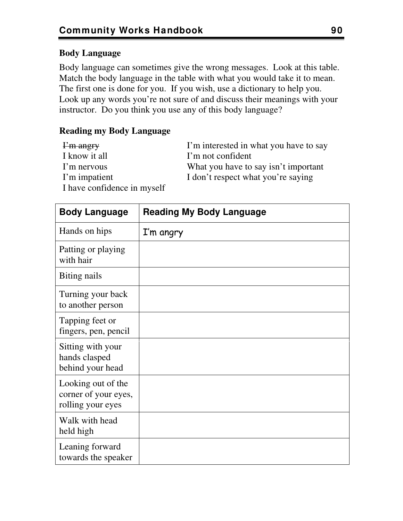#### **Body Language**

Body language can sometimes give the wrong messages. Look at this table. Match the body language in the table with what you would take it to mean. The first one is done for you. If you wish, use a dictionary to help you. Look up any words you're not sure of and discuss their meanings with your instructor. Do you think you use any of this body language?

#### **Reading my Body Language**

| I'm angry                   | I'm interested in what you have to say |
|-----------------------------|----------------------------------------|
| I know it all               | I'm not confident                      |
| I'm nervous                 | What you have to say isn't important   |
| I'm impatient               | I don't respect what you're saying     |
| I have confidence in myself |                                        |

| <b>Body Language</b>                                            | <b>Reading My Body Language</b> |
|-----------------------------------------------------------------|---------------------------------|
| Hands on hips                                                   | I'm angry                       |
| Patting or playing<br>with hair                                 |                                 |
| Biting nails                                                    |                                 |
| Turning your back<br>to another person                          |                                 |
| Tapping feet or<br>fingers, pen, pencil                         |                                 |
| Sitting with your<br>hands clasped<br>behind your head          |                                 |
| Looking out of the<br>corner of your eyes,<br>rolling your eyes |                                 |
| Walk with head<br>held high                                     |                                 |
| Leaning forward<br>towards the speaker                          |                                 |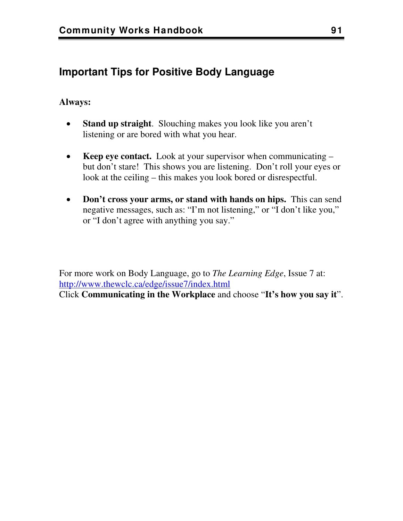## **Important Tips for Positive Body Language**

#### **Always:**

- **Stand up straight**. Slouching makes you look like you aren't listening or are bored with what you hear.
- **Keep eye contact.** Look at your supervisor when communicating but don't stare! This shows you are listening. Don't roll your eyes or look at the ceiling – this makes you look bored or disrespectful.
- **Don't cross your arms, or stand with hands on hips.** This can send negative messages, such as: "I'm not listening," or "I don't like you," or "I don't agree with anything you say."

For more work on Body Language, go to *The Learning Edge*, Issue 7 at: <http://www.thewclc.ca/edge/issue7/index.html> Click **Communicating in the Workplace** and choose "**It's how you say it**".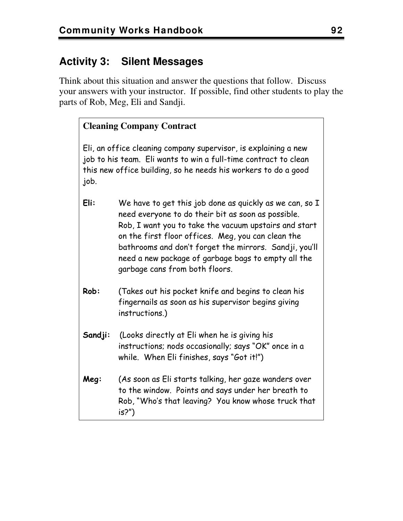## **Activity 3: Silent Messages**

Think about this situation and answer the questions that follow. Discuss your answers with your instructor. If possible, find other students to play the parts of Rob, Meg, Eli and Sandji.

#### **Cleaning Company Contract**

Eli, an office cleaning company supervisor, is explaining a new job to his team. Eli wants to win a full-time contract to clean this new office building, so he needs his workers to do a good job.

- **Eli:** We have to get this job done as quickly as we can, so I need everyone to do their bit as soon as possible. Rob, I want you to take the vacuum upstairs and start on the first floor offices. Meg, you can clean the bathrooms and don't forget the mirrors. Sandji, you'll need a new package of garbage bags to empty all the garbage cans from both floors.
- **Rob:** (Takes out his pocket knife and begins to clean his fingernails as soon as his supervisor begins giving instructions.)
- **Sandji:** (Looks directly at Eli when he is giving his instructions; nods occasionally; says "OK" once in a while. When Eli finishes, says "Got it!")
- **Meg:** (As soon as Eli starts talking, her gaze wanders over to the window. Points and says under her breath to Rob, "Who's that leaving? You know whose truck that is?")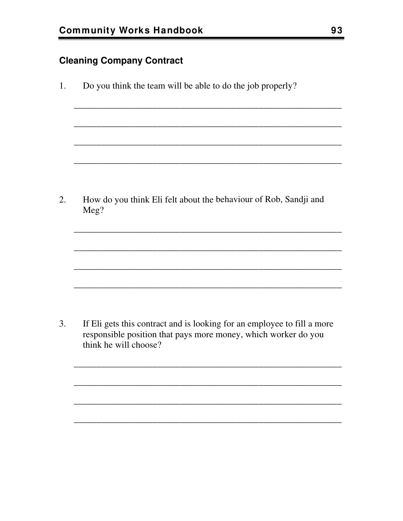#### **Cleaning Company Contract**

Do you think the team will be able to do the job properly? 1.

How do you think Eli felt about the behaviour of Rob, Sandji and  $2.$ Meg?

 $3.$ If Eli gets this contract and is looking for an employee to fill a more responsible position that pays more money, which worker do you think he will choose?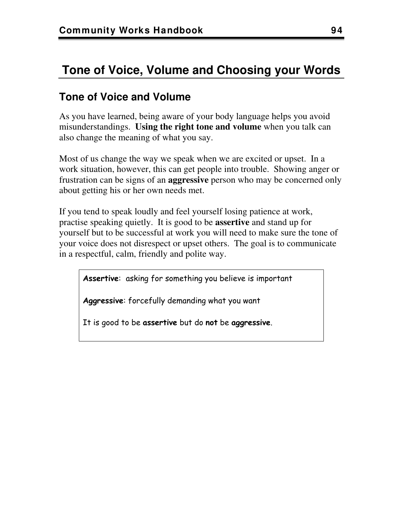## **Tone of Voice, Volume and Choosing your Words**

## **Tone of Voice and Volume**

As you have learned, being aware of your body language helps you avoid misunderstandings. **Using the right tone and volume** when you talk can also change the meaning of what you say.

Most of us change the way we speak when we are excited or upset. In a work situation, however, this can get people into trouble. Showing anger or frustration can be signs of an **aggressive** person who may be concerned only about getting his or her own needs met.

If you tend to speak loudly and feel yourself losing patience at work, practise speaking quietly. It is good to be **assertive** and stand up for yourself but to be successful at work you will need to make sure the tone of your voice does not disrespect or upset others. The goal is to communicate in a respectful, calm, friendly and polite way.

**Assertive**: asking for something you believe is important

**Aggressive**: forcefully demanding what you want

It is good to be **assertive** but do **not** be **aggressive**.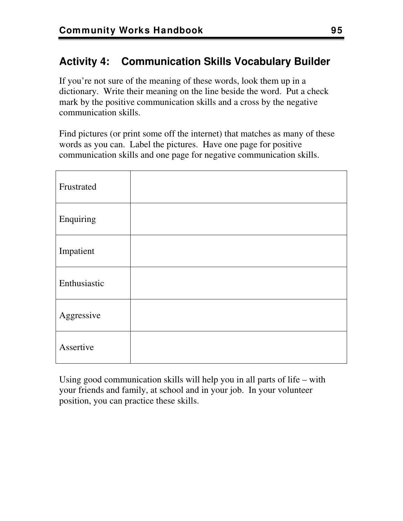## **Activity 4: Communication Skills Vocabulary Builder**

If you're not sure of the meaning of these words, look them up in a dictionary. Write their meaning on the line beside the word. Put a check mark by the positive communication skills and a cross by the negative communication skills.

Find pictures (or print some off the internet) that matches as many of these words as you can. Label the pictures. Have one page for positive communication skills and one page for negative communication skills.

| Frustrated   |  |
|--------------|--|
| Enquiring    |  |
| Impatient    |  |
| Enthusiastic |  |
| Aggressive   |  |
| Assertive    |  |

Using good communication skills will help you in all parts of life – with your friends and family, at school and in your job. In your volunteer position, you can practice these skills.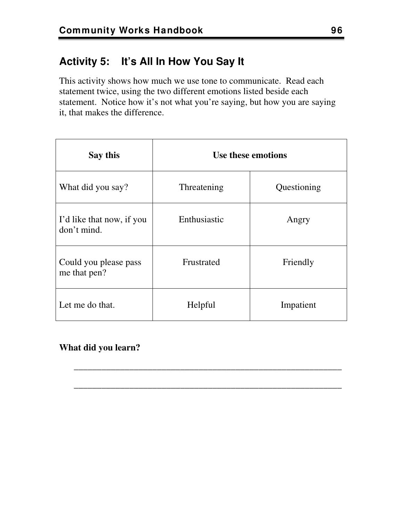## **Activity 5: It's All In How You Say It**

This activity shows how much we use tone to communicate. Read each statement twice, using the two different emotions listed beside each statement. Notice how it's not what you're saying, but how you are saying it, that makes the difference.

| Say this                                 | Use these emotions |             |
|------------------------------------------|--------------------|-------------|
| What did you say?                        | Threatening        | Questioning |
| I'd like that now, if you<br>don't mind. | Enthusiastic       | Angry       |
| Could you please pass<br>me that pen?    | Frustrated         | Friendly    |
| Let me do that.                          | Helpful            | Impatient   |

\_\_\_\_\_\_\_\_\_\_\_\_\_\_\_\_\_\_\_\_\_\_\_\_\_\_\_\_\_\_\_\_\_\_\_\_\_\_\_\_\_\_\_\_\_\_\_\_\_\_\_\_\_\_\_\_\_\_

\_\_\_\_\_\_\_\_\_\_\_\_\_\_\_\_\_\_\_\_\_\_\_\_\_\_\_\_\_\_\_\_\_\_\_\_\_\_\_\_\_\_\_\_\_\_\_\_\_\_\_\_\_\_\_\_\_\_

## **What did you learn?**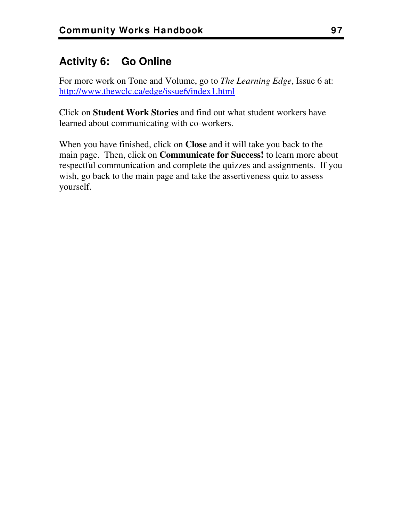## **Activity 6: Go Online**

For more work on Tone and Volume, go to *The Learning Edge*, Issue 6 at: <http://www.thewclc.ca/edge/issue6/index1.html>

Click on **Student Work Stories** and find out what student workers have learned about communicating with co-workers.

When you have finished, click on **Close** and it will take you back to the main page. Then, click on **Communicate for Success!** to learn more about respectful communication and complete the quizzes and assignments. If you wish, go back to the main page and take the assertiveness quiz to assess yourself.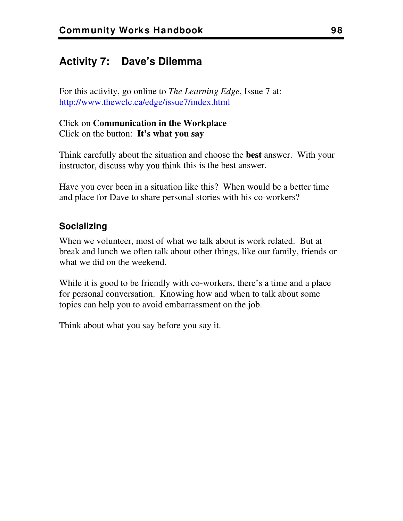## **Activity 7: Dave's Dilemma**

For this activity, go online to *The Learning Edge*, Issue 7 at: <http://www.thewclc.ca/edge/issue7/index.html>

Click on **Communication in the Workplace** Click on the button: **It's what you say**

Think carefully about the situation and choose the **best** answer. With your instructor, discuss why you think this is the best answer.

Have you ever been in a situation like this? When would be a better time and place for Dave to share personal stories with his co-workers?

#### **Socializing**

When we volunteer, most of what we talk about is work related. But at break and lunch we often talk about other things, like our family, friends or what we did on the weekend.

While it is good to be friendly with co-workers, there's a time and a place for personal conversation. Knowing how and when to talk about some topics can help you to avoid embarrassment on the job.

Think about what you say before you say it.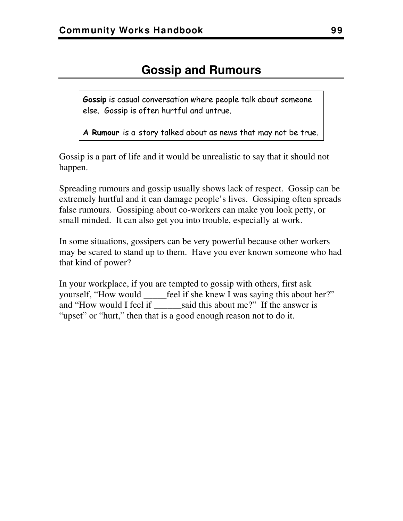**Gossip** is casual conversation where people talk about someone else. Gossip is often hurtful and untrue.

**A Rumour** is a story talked about as news that may not be true.

Gossip is a part of life and it would be unrealistic to say that it should not happen.

Spreading rumours and gossip usually shows lack of respect. Gossip can be extremely hurtful and it can damage people's lives. Gossiping often spreads false rumours. Gossiping about co-workers can make you look petty, or small minded. It can also get you into trouble, especially at work.

In some situations, gossipers can be very powerful because other workers may be scared to stand up to them. Have you ever known someone who had that kind of power?

In your workplace, if you are tempted to gossip with others, first ask yourself, "How would \_\_\_\_\_feel if she knew I was saying this about her?" and "How would I feel if said this about me?" If the answer is "upset" or "hurt," then that is a good enough reason not to do it.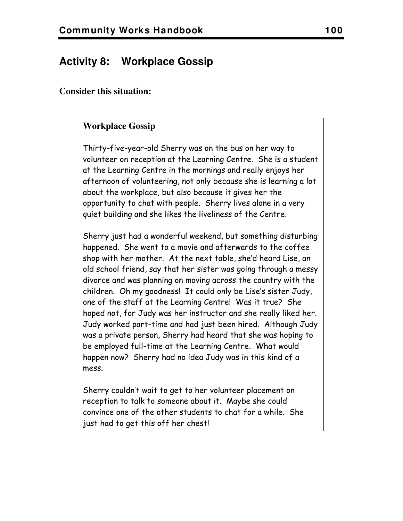## **Activity 8: Workplace Gossip**

#### **Consider this situation:**

#### **Workplace Gossip**

Thirty-five-year-old Sherry was on the bus on her way to volunteer on reception at the Learning Centre. She is a student at the Learning Centre in the mornings and really enjoys her afternoon of volunteering, not only because she is learning a lot about the workplace, but also because it gives her the opportunity to chat with people. Sherry lives alone in a very quiet building and she likes the liveliness of the Centre.

Sherry just had a wonderful weekend, but something disturbing happened. She went to a movie and afterwards to the coffee shop with her mother. At the next table, she'd heard Lise, an old school friend, say that her sister was going through a messy divorce and was planning on moving across the country with the children. Oh my goodness! It could only be Lise's sister Judy, one of the staff at the Learning Centre! Was it true? She hoped not, for Judy was her instructor and she really liked her. Judy worked part-time and had just been hired. Although Judy was a private person, Sherry had heard that she was hoping to be employed full-time at the Learning Centre. What would happen now? Sherry had no idea Judy was in this kind of a mess.

Sherry couldn't wait to get to her volunteer placement on reception to talk to someone about it. Maybe she could convince one of the other students to chat for a while. She just had to get this off her chest!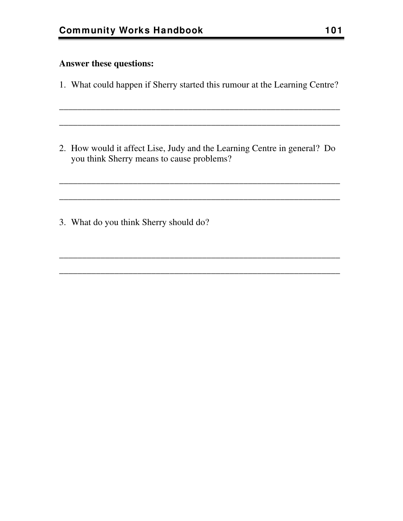#### **Answer these questions:**

1. What could happen if Sherry started this rumour at the Learning Centre?

\_\_\_\_\_\_\_\_\_\_\_\_\_\_\_\_\_\_\_\_\_\_\_\_\_\_\_\_\_\_\_\_\_\_\_\_\_\_\_\_\_\_\_\_\_\_\_\_\_\_\_\_\_\_\_\_\_\_\_\_\_

\_\_\_\_\_\_\_\_\_\_\_\_\_\_\_\_\_\_\_\_\_\_\_\_\_\_\_\_\_\_\_\_\_\_\_\_\_\_\_\_\_\_\_\_\_\_\_\_\_\_\_\_\_\_\_\_\_\_\_\_\_

2. How would it affect Lise, Judy and the Learning Centre in general? Do you think Sherry means to cause problems?

\_\_\_\_\_\_\_\_\_\_\_\_\_\_\_\_\_\_\_\_\_\_\_\_\_\_\_\_\_\_\_\_\_\_\_\_\_\_\_\_\_\_\_\_\_\_\_\_\_\_\_\_\_\_\_\_\_\_\_\_\_

\_\_\_\_\_\_\_\_\_\_\_\_\_\_\_\_\_\_\_\_\_\_\_\_\_\_\_\_\_\_\_\_\_\_\_\_\_\_\_\_\_\_\_\_\_\_\_\_\_\_\_\_\_\_\_\_\_\_\_\_\_

\_\_\_\_\_\_\_\_\_\_\_\_\_\_\_\_\_\_\_\_\_\_\_\_\_\_\_\_\_\_\_\_\_\_\_\_\_\_\_\_\_\_\_\_\_\_\_\_\_\_\_\_\_\_\_\_\_\_\_\_\_

\_\_\_\_\_\_\_\_\_\_\_\_\_\_\_\_\_\_\_\_\_\_\_\_\_\_\_\_\_\_\_\_\_\_\_\_\_\_\_\_\_\_\_\_\_\_\_\_\_\_\_\_\_\_\_\_\_\_\_\_\_

3. What do you think Sherry should do?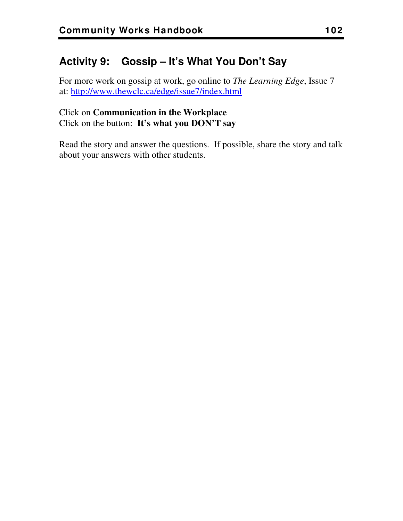## **Activity 9: Gossip – It's What You Don't Say**

For more work on gossip at work, go online to *The Learning Edge*, Issue 7 at:<http://www.thewclc.ca/edge/issue7/index.html>

#### Click on **Communication in the Workplace** Click on the button: **It's what you DON'T say**

Read the story and answer the questions. If possible, share the story and talk about your answers with other students.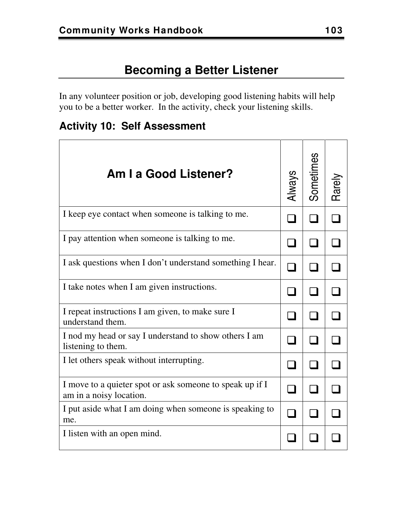In any volunteer position or job, developing good listening habits will help you to be a better worker. In the activity, check your listening skills.

**Activity 10: Self Assessment** 

| Am I a Good Listener?                                                               | <b>Always</b> | Sometimes |  |
|-------------------------------------------------------------------------------------|---------------|-----------|--|
| I keep eye contact when someone is talking to me.                                   |               |           |  |
| I pay attention when someone is talking to me.                                      |               |           |  |
| I ask questions when I don't understand something I hear.                           |               |           |  |
| I take notes when I am given instructions.                                          |               |           |  |
| I repeat instructions I am given, to make sure I<br>understand them.                |               |           |  |
| I nod my head or say I understand to show others I am<br>listening to them.         |               |           |  |
| I let others speak without interrupting.                                            |               |           |  |
| I move to a quieter spot or ask someone to speak up if I<br>am in a noisy location. |               |           |  |
| I put aside what I am doing when someone is speaking to<br>me.                      |               |           |  |
| I listen with an open mind.                                                         |               |           |  |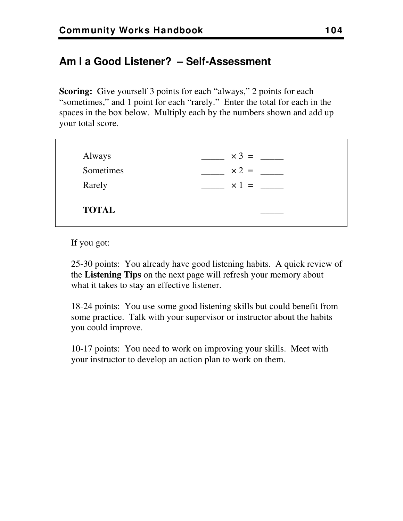## **Am I a Good Listener? – Self-Assessment**

**Scoring:** Give yourself 3 points for each "always," 2 points for each "sometimes," and 1 point for each "rarely." Enter the total for each in the spaces in the box below. Multiply each by the numbers shown and add up your total score.

| Always       | $\times 3 =$ |
|--------------|--------------|
| Sometimes    | $\times 2 =$ |
| Rarely       | $\times 1 =$ |
|              |              |
| <b>TOTAL</b> |              |
|              |              |

If you got:

25-30 points: You already have good listening habits. A quick review of the **Listening Tips** on the next page will refresh your memory about what it takes to stay an effective listener.

18-24 points: You use some good listening skills but could benefit from some practice. Talk with your supervisor or instructor about the habits you could improve.

10-17 points: You need to work on improving your skills. Meet with your instructor to develop an action plan to work on them.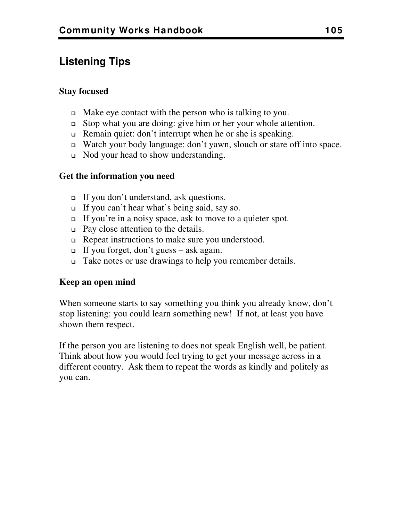## **Listening Tips**

#### **Stay focused**

- $\Box$  Make eye contact with the person who is talking to you.
- Stop what you are doing: give him or her your whole attention.
- □ Remain quiet: don't interrupt when he or she is speaking.
- Watch your body language: don't yawn, slouch or stare off into space.
- Nod your head to show understanding.

#### **Get the information you need**

- If you don't understand, ask questions.
- If you can't hear what's being said, say so.
- If you're in a noisy space, ask to move to a quieter spot.
- □ Pay close attention to the details.
- □ Repeat instructions to make sure you understood.
- If you forget, don't guess ask again.
- Take notes or use drawings to help you remember details.

#### **Keep an open mind**

When someone starts to say something you think you already know, don't stop listening: you could learn something new! If not, at least you have shown them respect.

If the person you are listening to does not speak English well, be patient. Think about how you would feel trying to get your message across in a different country. Ask them to repeat the words as kindly and politely as you can.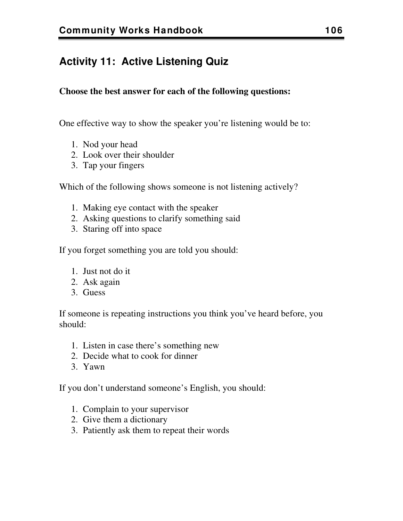## **Activity 11: Active Listening Quiz**

#### **Choose the best answer for each of the following questions:**

One effective way to show the speaker you're listening would be to:

- 1. Nod your head
- 2. Look over their shoulder
- 3. Tap your fingers

Which of the following shows someone is not listening actively?

- 1. Making eye contact with the speaker
- 2. Asking questions to clarify something said
- 3. Staring off into space

If you forget something you are told you should:

- 1. Just not do it
- 2. Ask again
- 3. Guess

If someone is repeating instructions you think you've heard before, you should:

- 1. Listen in case there's something new
- 2. Decide what to cook for dinner
- 3. Yawn

If you don't understand someone's English, you should:

- 1. Complain to your supervisor
- 2. Give them a dictionary
- 3. Patiently ask them to repeat their words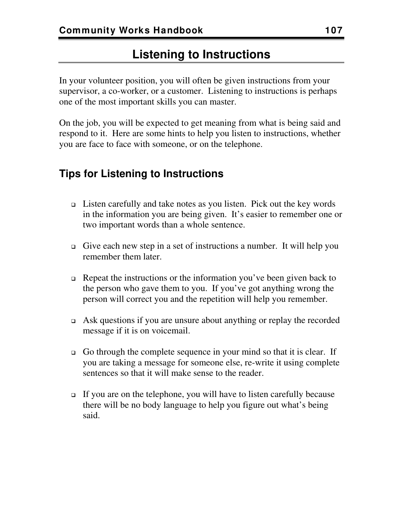## **Listening to Instructions**

In your volunteer position, you will often be given instructions from your supervisor, a co-worker, or a customer. Listening to instructions is perhaps one of the most important skills you can master.

On the job, you will be expected to get meaning from what is being said and respond to it. Here are some hints to help you listen to instructions, whether you are face to face with someone, or on the telephone.

## **Tips for Listening to Instructions**

- $\Box$  Listen carefully and take notes as you listen. Pick out the key words in the information you are being given. It's easier to remember one or two important words than a whole sentence.
- Give each new step in a set of instructions a number. It will help you remember them later.
- $\Box$  Repeat the instructions or the information you've been given back to the person who gave them to you. If you've got anything wrong the person will correct you and the repetition will help you remember.
- $\Box$  Ask questions if you are unsure about anything or replay the recorded message if it is on voicemail.
- Go through the complete sequence in your mind so that it is clear. If you are taking a message for someone else, re-write it using complete sentences so that it will make sense to the reader.
- If you are on the telephone, you will have to listen carefully because there will be no body language to help you figure out what's being said.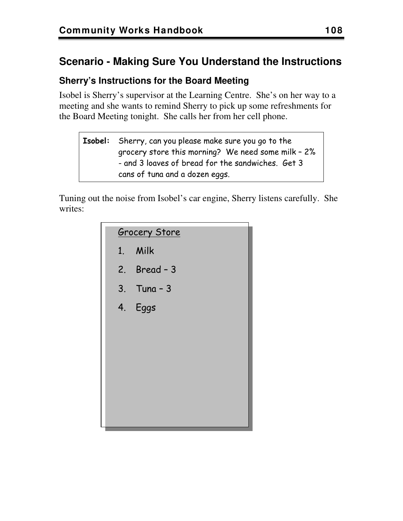## **Scenario - Making Sure You Understand the Instructions**

## **Sherry's Instructions for the Board Meeting**

Isobel is Sherry's supervisor at the Learning Centre. She's on her way to a meeting and she wants to remind Sherry to pick up some refreshments for the Board Meeting tonight. She calls her from her cell phone.

**Isobel:** Sherry, can you please make sure you go to the grocery store this morning? We need some milk – 2% - and 3 loaves of bread for the sandwiches. Get 3 cans of tuna and a dozen eggs.

Tuning out the noise from Isobel's car engine, Sherry listens carefully. She writes:

| <b>Grocery Store</b> |
|----------------------|
| 1. Milk              |
| 2. Bread $-3$        |
| $3.$ Tuna - $3$      |
| 4. Eggs              |
|                      |
|                      |
|                      |
|                      |
|                      |
|                      |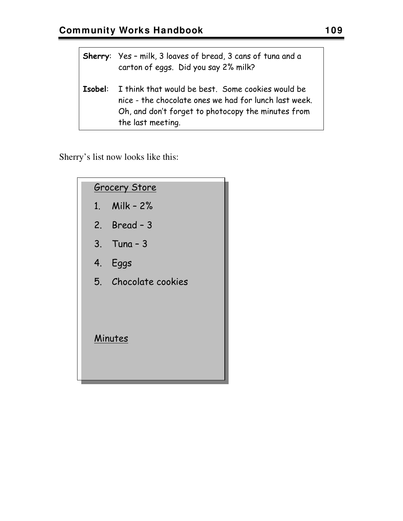|         | <b>Sherry:</b> Yes - milk, 3 loaves of bread, 3 cans of tuna and a<br>carton of eggs. Did you say 2% milk?                                                                            |
|---------|---------------------------------------------------------------------------------------------------------------------------------------------------------------------------------------|
| Isobel: | I think that would be best. Some cookies would be<br>nice - the chocolate ones we had for lunch last week.<br>Oh, and don't forget to photocopy the minutes from<br>the last meeting. |

Sherry's list now looks like this:

|    | <b>Grocery Store</b> |
|----|----------------------|
|    | 1. Milk - 2%         |
|    | 2. Bread $-3$        |
|    | $3.$ Tung - $3$      |
| 4. | Eggs                 |
|    | 5. Chocolate cookies |
|    | Minutes              |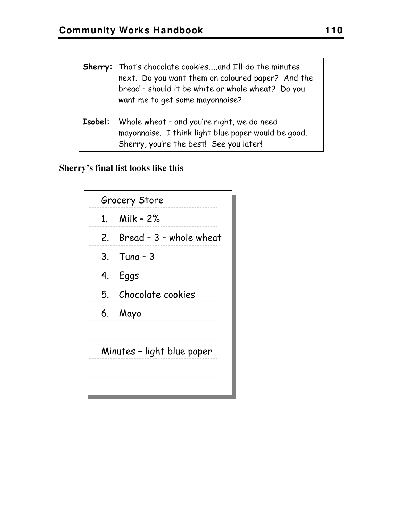| Sherry: That's chocolate cookiesand I'll do the minutes<br>next. Do you want them on coloured paper? And the<br>bread - should it be white or whole wheat? Do you<br>want me to get some mayonnaise? |
|------------------------------------------------------------------------------------------------------------------------------------------------------------------------------------------------------|
| <b>Isobel:</b> Whole wheat - and you're right, we do need<br>mayonnaise. I think light blue paper would be good.<br>Sherry, you're the best! See you later!                                          |

## **Sherry's final list looks like this**

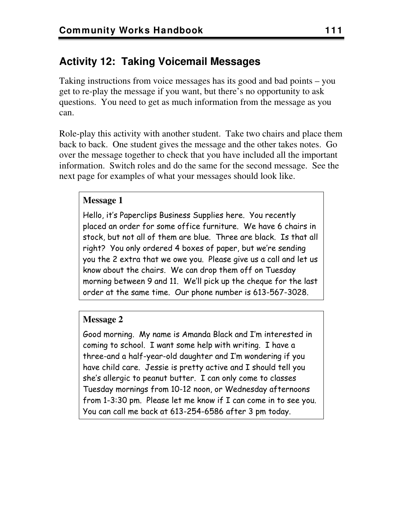## **Activity 12: Taking Voicemail Messages**

Taking instructions from voice messages has its good and bad points – you get to re-play the message if you want, but there's no opportunity to ask questions. You need to get as much information from the message as you can.

Role-play this activity with another student. Take two chairs and place them back to back. One student gives the message and the other takes notes. Go over the message together to check that you have included all the important information. Switch roles and do the same for the second message. See the next page for examples of what your messages should look like.

#### **Message 1**

Hello, it's Paperclips Business Supplies here. You recently placed an order for some office furniture. We have 6 chairs in stock, but not all of them are blue. Three are black. Is that all right? You only ordered 4 boxes of paper, but we're sending you the 2 extra that we owe you. Please give us a call and let us know about the chairs. We can drop them off on Tuesday morning between 9 and 11. We'll pick up the cheque for the last order at the same time. Our phone number is 613-567-3028.

#### **Message 2**

Good morning. My name is Amanda Black and I'm interested in coming to school. I want some help with writing. I have a three-and a half-year-old daughter and I'm wondering if you have child care. Jessie is pretty active and I should tell you she's allergic to peanut butter. I can only come to classes Tuesday mornings from 10-12 noon, or Wednesday afternoons from 1-3:30 pm. Please let me know if I can come in to see you. You can call me back at 613-254-6586 after 3 pm today.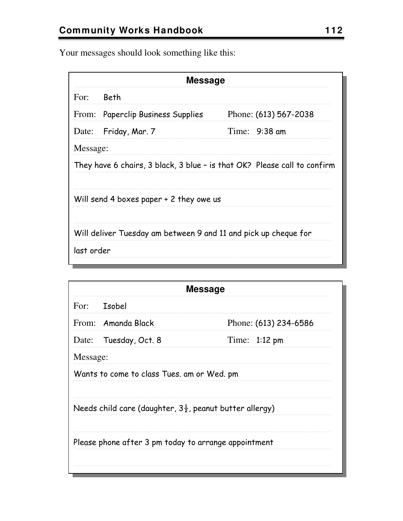Your messages should look something like this:

| <b>Message</b>                                                           |                                   |                       |
|--------------------------------------------------------------------------|-----------------------------------|-----------------------|
| For: Beth                                                                |                                   |                       |
|                                                                          | From: Paperclip Business Supplies | Phone: (613) 567-2038 |
|                                                                          | Date: Friday, Mar. 7              | Time: $9:38$ am       |
| Message:                                                                 |                                   |                       |
| They have 6 chairs, 3 black, 3 blue - is that OK? Please call to confirm |                                   |                       |
|                                                                          |                                   |                       |
| Will send 4 boxes paper + 2 they owe us                                  |                                   |                       |
|                                                                          |                                   |                       |
| Will deliver Tuesday am between 9 and 11 and pick up cheque for          |                                   |                       |
| last order                                                               |                                   |                       |
|                                                                          |                                   |                       |

| <b>Message</b>                                                      |                       |                         |  |
|---------------------------------------------------------------------|-----------------------|-------------------------|--|
|                                                                     | For: Isobel           |                         |  |
|                                                                     | From: Amanda Black    | Phone: (613) 234-6586   |  |
|                                                                     | Date: Tuesday, Oct. 8 | Time: $1:12 \text{ pm}$ |  |
|                                                                     | Message:              |                         |  |
| Wants to come to class Tues, am or Wed, pm                          |                       |                         |  |
|                                                                     |                       |                         |  |
| Needs child care (daughter, $3\frac{1}{2}$ , peanut butter allergy) |                       |                         |  |
| Please phone after 3 pm today to arrange appointment                |                       |                         |  |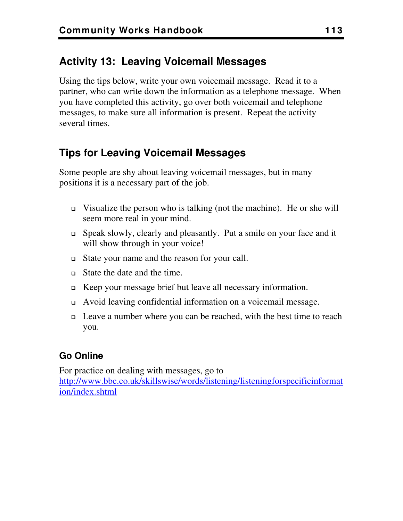## **Activity 13: Leaving Voicemail Messages**

Using the tips below, write your own voicemail message. Read it to a partner, who can write down the information as a telephone message. When you have completed this activity, go over both voicemail and telephone messages, to make sure all information is present. Repeat the activity several times.

## **Tips for Leaving Voicemail Messages**

Some people are shy about leaving voicemail messages, but in many positions it is a necessary part of the job.

- $□$  Visualize the person who is talking (not the machine). He or she will seem more real in your mind.
- Speak slowly, clearly and pleasantly. Put a smile on your face and it will show through in your voice!
- State your name and the reason for your call.
- State the date and the time.
- Keep your message brief but leave all necessary information.
- Avoid leaving confidential information on a voicemail message.
- Leave a number where you can be reached, with the best time to reach you.

## **Go Online**

For practice on dealing with messages, go to [http://www.bbc.co.uk/skillswise/words/listening/listeningforspecificinformat](http://www.bbc.co.uk/skillswise/words/listening/listeningforspecificinformation/index.shtml) [ion/index.shtml](http://www.bbc.co.uk/skillswise/words/listening/listeningforspecificinformation/index.shtml)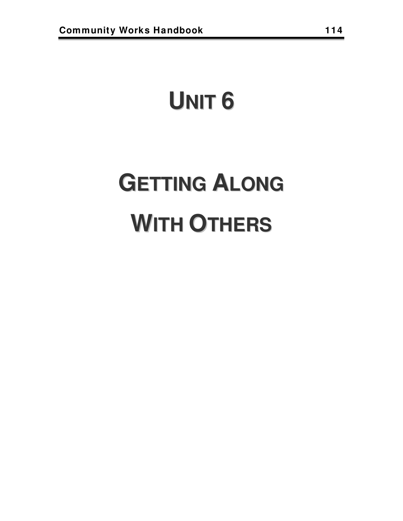## **UNIT 6**

# **GETTING ALONG WITH OTHERS**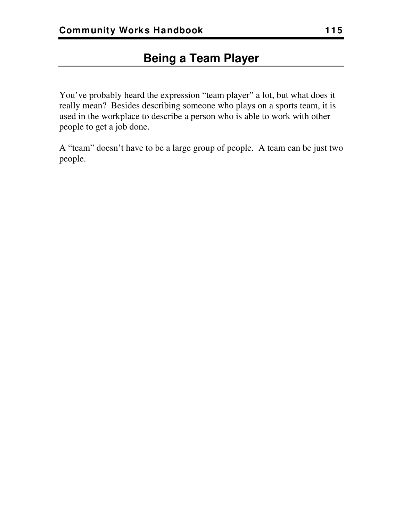You've probably heard the expression "team player" a lot, but what does it really mean? Besides describing someone who plays on a sports team, it is used in the workplace to describe a person who is able to work with other people to get a job done.

A "team" doesn't have to be a large group of people. A team can be just two people.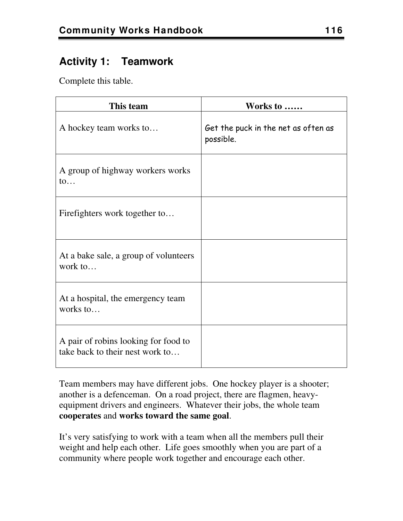## **Activity 1: Teamwork**

Complete this table.

| This team                                                               | Works to                                         |
|-------------------------------------------------------------------------|--------------------------------------------------|
| A hockey team works to                                                  | Get the puck in the net as often as<br>possible. |
| A group of highway workers works<br>$\mathfrak{to} \dots$               |                                                  |
| Firefighters work together to                                           |                                                  |
| At a bake sale, a group of volunteers<br>work to                        |                                                  |
| At a hospital, the emergency team<br>works to                           |                                                  |
| A pair of robins looking for food to<br>take back to their nest work to |                                                  |

Team members may have different jobs. One hockey player is a shooter; another is a defenceman. On a road project, there are flagmen, heavyequipment drivers and engineers. Whatever their jobs, the whole team **cooperates** and **works toward the same goal**.

It's very satisfying to work with a team when all the members pull their weight and help each other. Life goes smoothly when you are part of a community where people work together and encourage each other.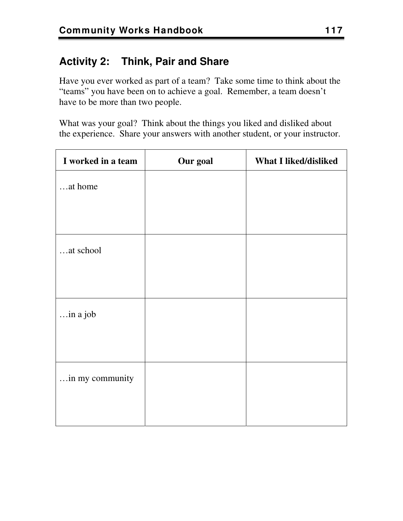## **Activity 2: Think, Pair and Share**

Have you ever worked as part of a team? Take some time to think about the "teams" you have been on to achieve a goal. Remember, a team doesn't have to be more than two people.

What was your goal? Think about the things you liked and disliked about the experience. Share your answers with another student, or your instructor.

| I worked in a team | Our goal | <b>What I liked/disliked</b> |
|--------------------|----------|------------------------------|
| at home            |          |                              |
|                    |          |                              |
|                    |          |                              |
| at school          |          |                              |
|                    |          |                              |
|                    |          |                              |
| in a job           |          |                              |
|                    |          |                              |
|                    |          |                              |
| in my community    |          |                              |
|                    |          |                              |
|                    |          |                              |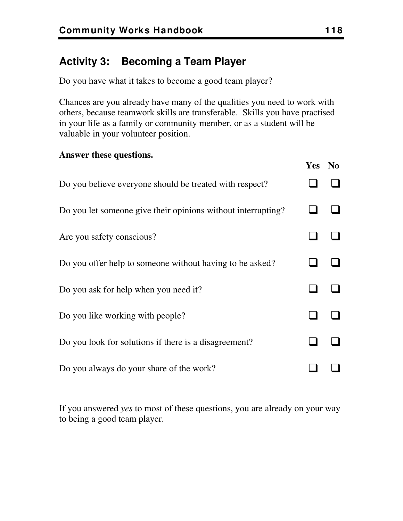## **Activity 3: Becoming a Team Player**

Do you have what it takes to become a good team player?

Chances are you already have many of the qualities you need to work with others, because teamwork skills are transferable. Skills you have practised in your life as a family or community member, or as a student will be valuable in your volunteer position.

#### **Answer these questions.**

|                                                               | Yes No |  |
|---------------------------------------------------------------|--------|--|
| Do you believe everyone should be treated with respect?       |        |  |
| Do you let some one give their opinions without interrupting? |        |  |
| Are you safety conscious?                                     |        |  |
| Do you offer help to someone without having to be asked?      |        |  |
| Do you ask for help when you need it?                         |        |  |
| Do you like working with people?                              |        |  |
| Do you look for solutions if there is a disagreement?         |        |  |
| Do you always do your share of the work?                      |        |  |

If you answered *yes* to most of these questions, you are already on your way to being a good team player.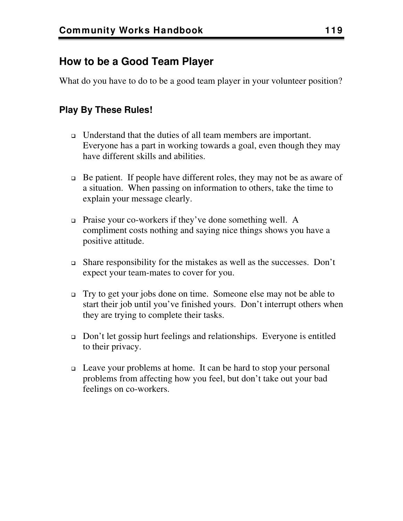## **How to be a Good Team Player**

What do you have to do to be a good team player in your volunteer position?

## **Play By These Rules!**

- Understand that the duties of all team members are important. Everyone has a part in working towards a goal, even though they may have different skills and abilities.
- $\Box$  Be patient. If people have different roles, they may not be as aware of a situation. When passing on information to others, take the time to explain your message clearly.
- Praise your co-workers if they've done something well. A compliment costs nothing and saying nice things shows you have a positive attitude.
- $\Box$  Share responsibility for the mistakes as well as the successes. Don't expect your team-mates to cover for you.
- Try to get your jobs done on time. Someone else may not be able to start their job until you've finished yours. Don't interrupt others when they are trying to complete their tasks.
- $\Box$  Don't let gossip hurt feelings and relationships. Everyone is entitled to their privacy.
- Leave your problems at home. It can be hard to stop your personal problems from affecting how you feel, but don't take out your bad feelings on co-workers.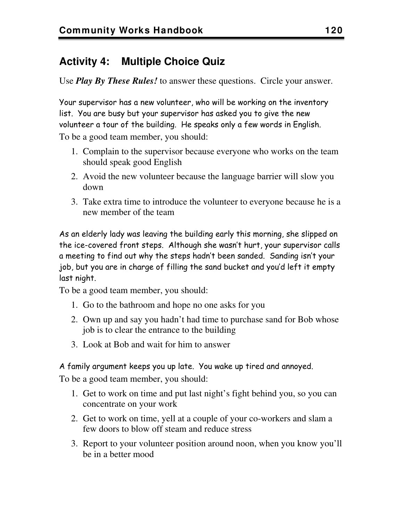## **Activity 4: Multiple Choice Quiz**

Use *Play By These Rules!* to answer these questions. Circle your answer.

Your supervisor has a new volunteer, who will be working on the inventory list. You are busy but your supervisor has asked you to give the new volunteer a tour of the building. He speaks only a few words in English. To be a good team member, you should:

- 1. Complain to the supervisor because everyone who works on the team should speak good English
- 2. Avoid the new volunteer because the language barrier will slow you down
- 3. Take extra time to introduce the volunteer to everyone because he is a new member of the team

As an elderly lady was leaving the building early this morning, she slipped on the ice-covered front steps. Although she wasn't hurt, your supervisor calls a meeting to find out why the steps hadn't been sanded. Sanding isn't your job, but you are in charge of filling the sand bucket and you'd left it empty last night.

To be a good team member, you should:

- 1. Go to the bathroom and hope no one asks for you
- 2. Own up and say you hadn't had time to purchase sand for Bob whose job is to clear the entrance to the building
- 3. Look at Bob and wait for him to answer

A family argument keeps you up late. You wake up tired and annoyed.

To be a good team member, you should:

- 1. Get to work on time and put last night's fight behind you, so you can concentrate on your work
- 2. Get to work on time, yell at a couple of your co-workers and slam a few doors to blow off steam and reduce stress
- 3. Report to your volunteer position around noon, when you know you'll be in a better mood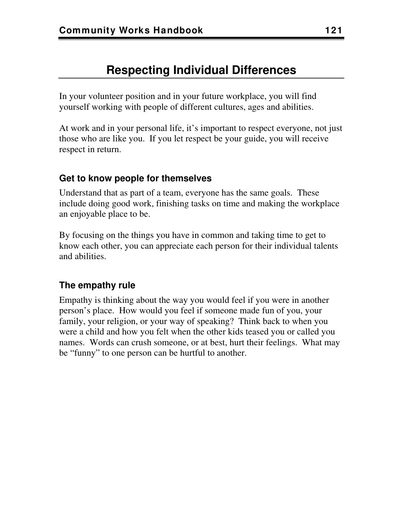## **Respecting Individual Differences**

In your volunteer position and in your future workplace, you will find yourself working with people of different cultures, ages and abilities.

At work and in your personal life, it's important to respect everyone, not just those who are like you. If you let respect be your guide, you will receive respect in return.

#### **Get to know people for themselves**

Understand that as part of a team, everyone has the same goals. These include doing good work, finishing tasks on time and making the workplace an enjoyable place to be.

By focusing on the things you have in common and taking time to get to know each other, you can appreciate each person for their individual talents and abilities.

#### **The empathy rule**

Empathy is thinking about the way you would feel if you were in another person's place. How would you feel if someone made fun of you, your family, your religion, or your way of speaking? Think back to when you were a child and how you felt when the other kids teased you or called you names. Words can crush someone, or at best, hurt their feelings. What may be "funny" to one person can be hurtful to another.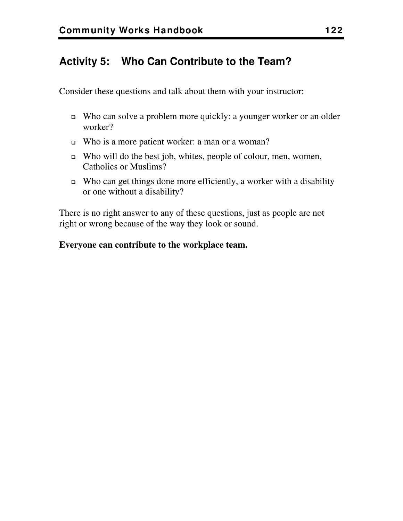## **Activity 5: Who Can Contribute to the Team?**

Consider these questions and talk about them with your instructor:

- Who can solve a problem more quickly: a younger worker or an older worker?
- Who is a more patient worker: a man or a woman?
- Who will do the best job, whites, people of colour, men, women, Catholics or Muslims?
- $\Box$  Who can get things done more efficiently, a worker with a disability or one without a disability?

There is no right answer to any of these questions, just as people are not right or wrong because of the way they look or sound.

#### **Everyone can contribute to the workplace team.**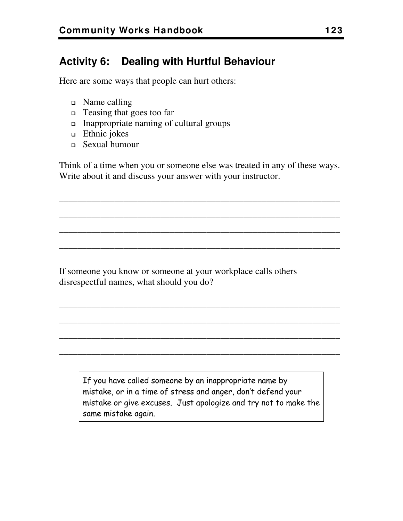## **Activity 6: Dealing with Hurtful Behaviour**

Here are some ways that people can hurt others:

- Name calling
- □ Teasing that goes too far
- Inappropriate naming of cultural groups
- $\Box$  Ethnic jokes
- Sexual humour

Think of a time when you or someone else was treated in any of these ways. Write about it and discuss your answer with your instructor.

\_\_\_\_\_\_\_\_\_\_\_\_\_\_\_\_\_\_\_\_\_\_\_\_\_\_\_\_\_\_\_\_\_\_\_\_\_\_\_\_\_\_\_\_\_\_\_\_\_\_\_\_\_\_\_\_\_\_\_\_\_

\_\_\_\_\_\_\_\_\_\_\_\_\_\_\_\_\_\_\_\_\_\_\_\_\_\_\_\_\_\_\_\_\_\_\_\_\_\_\_\_\_\_\_\_\_\_\_\_\_\_\_\_\_\_\_\_\_\_\_\_\_

\_\_\_\_\_\_\_\_\_\_\_\_\_\_\_\_\_\_\_\_\_\_\_\_\_\_\_\_\_\_\_\_\_\_\_\_\_\_\_\_\_\_\_\_\_\_\_\_\_\_\_\_\_\_\_\_\_\_\_\_\_

\_\_\_\_\_\_\_\_\_\_\_\_\_\_\_\_\_\_\_\_\_\_\_\_\_\_\_\_\_\_\_\_\_\_\_\_\_\_\_\_\_\_\_\_\_\_\_\_\_\_\_\_\_\_\_\_\_\_\_\_\_

\_\_\_\_\_\_\_\_\_\_\_\_\_\_\_\_\_\_\_\_\_\_\_\_\_\_\_\_\_\_\_\_\_\_\_\_\_\_\_\_\_\_\_\_\_\_\_\_\_\_\_\_\_\_\_\_\_\_\_\_\_

\_\_\_\_\_\_\_\_\_\_\_\_\_\_\_\_\_\_\_\_\_\_\_\_\_\_\_\_\_\_\_\_\_\_\_\_\_\_\_\_\_\_\_\_\_\_\_\_\_\_\_\_\_\_\_\_\_\_\_\_\_

\_\_\_\_\_\_\_\_\_\_\_\_\_\_\_\_\_\_\_\_\_\_\_\_\_\_\_\_\_\_\_\_\_\_\_\_\_\_\_\_\_\_\_\_\_\_\_\_\_\_\_\_\_\_\_\_\_\_\_\_\_

\_\_\_\_\_\_\_\_\_\_\_\_\_\_\_\_\_\_\_\_\_\_\_\_\_\_\_\_\_\_\_\_\_\_\_\_\_\_\_\_\_\_\_\_\_\_\_\_\_\_\_\_\_\_\_\_\_\_\_\_\_

If someone you know or someone at your workplace calls others disrespectful names, what should you do?

If you have called someone by an inappropriate name by mistake, or in a time of stress and anger, don't defend your mistake or give excuses. Just apologize and try not to make the same mistake again.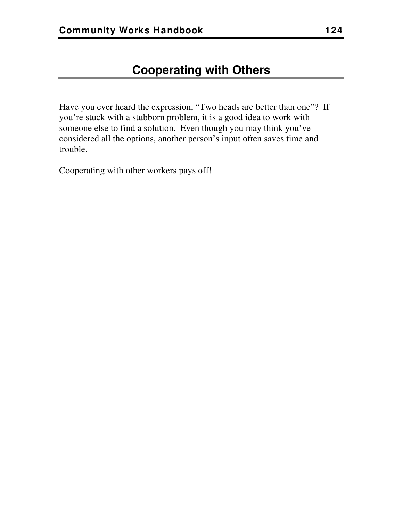Have you ever heard the expression, "Two heads are better than one"? If you're stuck with a stubborn problem, it is a good idea to work with someone else to find a solution. Even though you may think you've considered all the options, another person's input often saves time and trouble.

Cooperating with other workers pays off!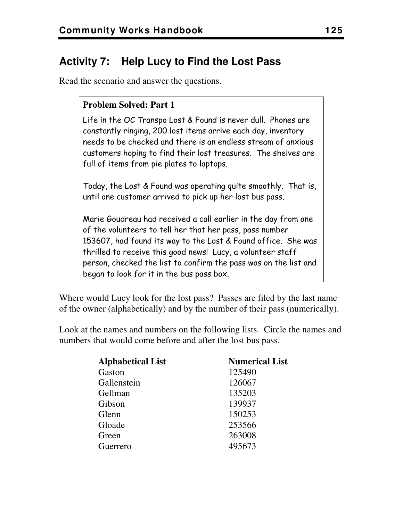## **Activity 7: Help Lucy to Find the Lost Pass**

Read the scenario and answer the questions.

#### **Problem Solved: Part 1**

Life in the OC Transpo Lost & Found is never dull. Phones are constantly ringing, 200 lost items arrive each day, inventory needs to be checked and there is an endless stream of anxious customers hoping to find their lost treasures. The shelves are full of items from pie plates to laptops.

Today, the Lost & Found was operating quite smoothly. That is, until one customer arrived to pick up her lost bus pass.

Marie Goudreau had received a call earlier in the day from one of the volunteers to tell her that her pass, pass number 153607, had found its way to the Lost & Found office. She was thrilled to receive this good news! Lucy, a volunteer staff person, checked the list to confirm the pass was on the list and began to look for it in the bus pass box.

Where would Lucy look for the lost pass? Passes are filed by the last name of the owner (alphabetically) and by the number of their pass (numerically).

Look at the names and numbers on the following lists. Circle the names and numbers that would come before and after the lost bus pass.

| <b>Alphabetical List</b> | <b>Numerical List</b> |
|--------------------------|-----------------------|
| Gaston                   | 125490                |
| Gallenstein              | 126067                |
| Gellman                  | 135203                |
| Gibson                   | 139937                |
| Glenn                    | 150253                |
| Gloade                   | 253566                |
| Green                    | 263008                |
| Guerrero                 | 495673                |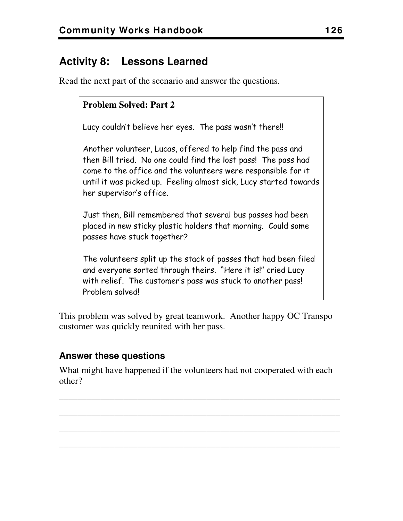## **Activity 8: Lessons Learned**

Read the next part of the scenario and answer the questions.

#### **Problem Solved: Part 2**

Lucy couldn't believe her eyes. The pass wasn't there!!

Another volunteer, Lucas, offered to help find the pass and then Bill tried. No one could find the lost pass! The pass had come to the office and the volunteers were responsible for it until it was picked up. Feeling almost sick, Lucy started towards her supervisor's office.

Just then, Bill remembered that several bus passes had been placed in new sticky plastic holders that morning. Could some passes have stuck together?

The volunteers split up the stack of passes that had been filed and everyone sorted through theirs. "Here it is!" cried Lucy with relief. The customer's pass was stuck to another pass! Problem solved!

This problem was solved by great teamwork. Another happy OC Transpo customer was quickly reunited with her pass.

#### **Answer these questions**

What might have happened if the volunteers had not cooperated with each other?

\_\_\_\_\_\_\_\_\_\_\_\_\_\_\_\_\_\_\_\_\_\_\_\_\_\_\_\_\_\_\_\_\_\_\_\_\_\_\_\_\_\_\_\_\_\_\_\_\_\_\_\_\_\_\_\_\_\_\_\_\_

\_\_\_\_\_\_\_\_\_\_\_\_\_\_\_\_\_\_\_\_\_\_\_\_\_\_\_\_\_\_\_\_\_\_\_\_\_\_\_\_\_\_\_\_\_\_\_\_\_\_\_\_\_\_\_\_\_\_\_\_\_

\_\_\_\_\_\_\_\_\_\_\_\_\_\_\_\_\_\_\_\_\_\_\_\_\_\_\_\_\_\_\_\_\_\_\_\_\_\_\_\_\_\_\_\_\_\_\_\_\_\_\_\_\_\_\_\_\_\_\_\_\_

\_\_\_\_\_\_\_\_\_\_\_\_\_\_\_\_\_\_\_\_\_\_\_\_\_\_\_\_\_\_\_\_\_\_\_\_\_\_\_\_\_\_\_\_\_\_\_\_\_\_\_\_\_\_\_\_\_\_\_\_\_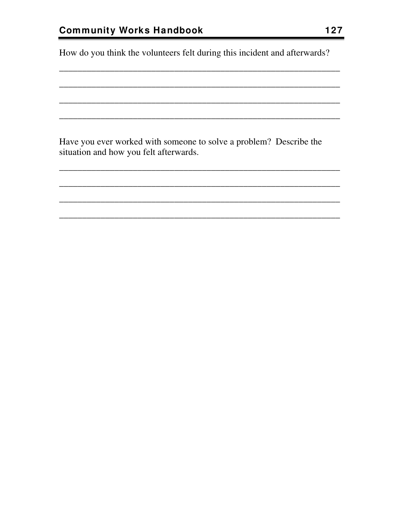How do you think the volunteers felt during this incident and afterwards?

Have you ever worked with someone to solve a problem? Describe the situation and how you felt afterwards.

<u> 1980 - Jan Barat, martin a</u>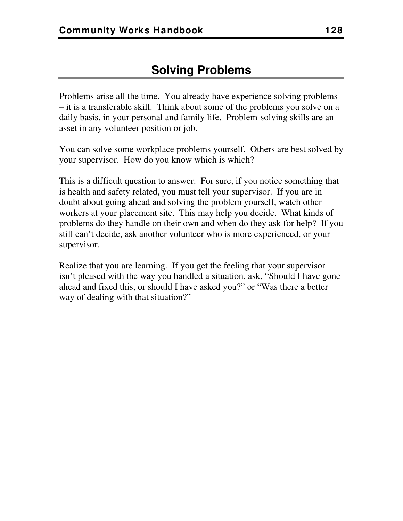Problems arise all the time. You already have experience solving problems – it is a transferable skill. Think about some of the problems you solve on a daily basis, in your personal and family life. Problem-solving skills are an asset in any volunteer position or job.

You can solve some workplace problems yourself. Others are best solved by your supervisor. How do you know which is which?

This is a difficult question to answer. For sure, if you notice something that is health and safety related, you must tell your supervisor. If you are in doubt about going ahead and solving the problem yourself, watch other workers at your placement site. This may help you decide. What kinds of problems do they handle on their own and when do they ask for help? If you still can't decide, ask another volunteer who is more experienced, or your supervisor.

Realize that you are learning. If you get the feeling that your supervisor isn't pleased with the way you handled a situation, ask, "Should I have gone ahead and fixed this, or should I have asked you?" or "Was there a better way of dealing with that situation?"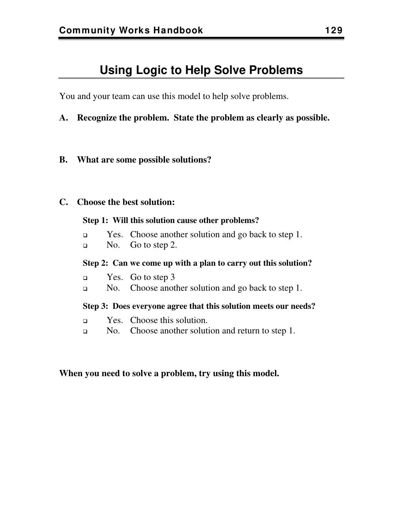## **Using Logic to Help Solve Problems**

You and your team can use this model to help solve problems.

- **A. Recognize the problem. State the problem as clearly as possible.**
- **B. What are some possible solutions?**

#### **C. Choose the best solution:**

#### **Step 1: Will this solution cause other problems?**

- **Example 3** Yes. Choose another solution and go back to step 1.
- $\Box$  No. Go to step 2.

#### **Step 2: Can we come up with a plan to carry out this solution?**

- **Example 3** Yes. Go to step 3
- No. Choose another solution and go back to step 1.

#### **Step 3: Does everyone agree that this solution meets our needs?**

- **Example 3** Yes. Choose this solution.
- No. Choose another solution and return to step 1.

#### **When you need to solve a problem, try using this model.**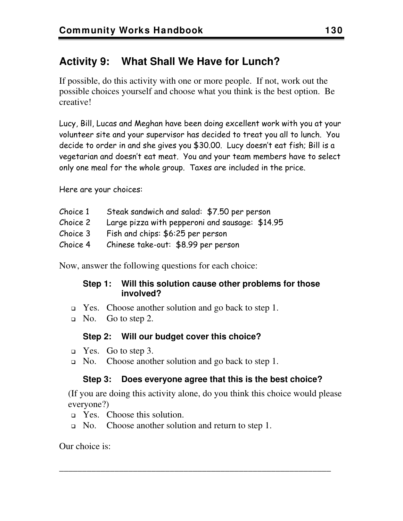## **Activity 9: What Shall We Have for Lunch?**

If possible, do this activity with one or more people. If not, work out the possible choices yourself and choose what you think is the best option. Be creative!

Lucy, Bill, Lucas and Meghan have been doing excellent work with you at your volunteer site and your supervisor has decided to treat you all to lunch. You decide to order in and she gives you \$30.00. Lucy doesn't eat fish; Bill is a vegetarian and doesn't eat meat. You and your team members have to select only one meal for the whole group. Taxes are included in the price.

Here are your choices:

| Choice 1 | Steak sandwich and salad: \$7.50 per person     |
|----------|-------------------------------------------------|
| Choice 2 | Large pizza with pepperoni and sausage: \$14.95 |
| Choice 3 | Fish and chips: \$6:25 per person               |
| Choice 4 | Chinese take-out: \$8.99 per person             |

Now, answer the following questions for each choice:

#### **Step 1: Will this solution cause other problems for those involved?**

- $\Box$  Yes. Choose another solution and go back to step 1.
- No. Go to step 2.

#### **Step 2: Will our budget cover this choice?**

- Yes. Go to step 3.
- $\Box$  No. Choose another solution and go back to step 1.

#### **Step 3: Does everyone agree that this is the best choice?**

(If you are doing this activity alone, do you think this choice would please everyone?)

\_\_\_\_\_\_\_\_\_\_\_\_\_\_\_\_\_\_\_\_\_\_\_\_\_\_\_\_\_\_\_\_\_\_\_\_\_\_\_\_\_\_\_\_\_\_\_\_\_\_\_\_\_\_\_\_\_\_\_

- □ Yes. Choose this solution.
- $\Box$  No. Choose another solution and return to step 1.

Our choice is: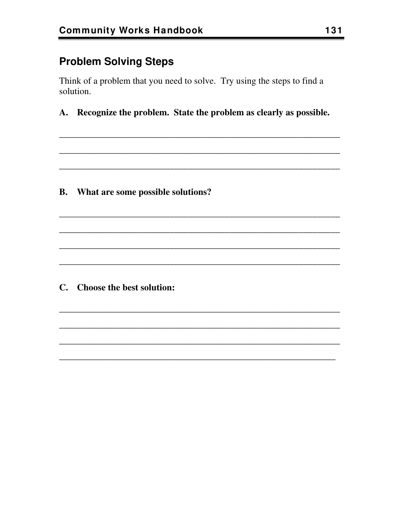## **Problem Solving Steps**

Think of a problem that you need to solve. Try using the steps to find a solution.

A. Recognize the problem. State the problem as clearly as possible.

**B.** What are some possible solutions?

C. Choose the best solution: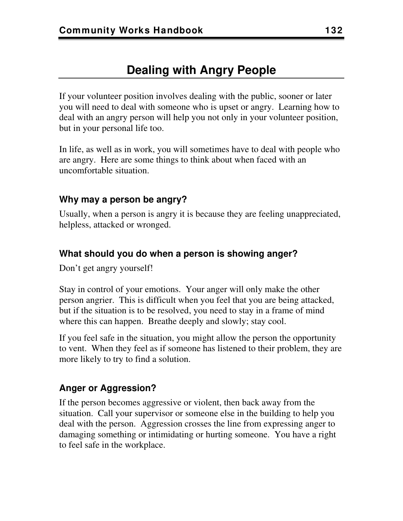## **Dealing with Angry People**

If your volunteer position involves dealing with the public, sooner or later you will need to deal with someone who is upset or angry. Learning how to deal with an angry person will help you not only in your volunteer position, but in your personal life too.

In life, as well as in work, you will sometimes have to deal with people who are angry. Here are some things to think about when faced with an uncomfortable situation.

#### **Why may a person be angry?**

Usually, when a person is angry it is because they are feeling unappreciated, helpless, attacked or wronged.

#### **What should you do when a person is showing anger?**

Don't get angry yourself!

Stay in control of your emotions. Your anger will only make the other person angrier. This is difficult when you feel that you are being attacked, but if the situation is to be resolved, you need to stay in a frame of mind where this can happen. Breathe deeply and slowly; stay cool.

If you feel safe in the situation, you might allow the person the opportunity to vent. When they feel as if someone has listened to their problem, they are more likely to try to find a solution.

#### **Anger or Aggression?**

If the person becomes aggressive or violent, then back away from the situation. Call your supervisor or someone else in the building to help you deal with the person. Aggression crosses the line from expressing anger to damaging something or intimidating or hurting someone. You have a right to feel safe in the workplace.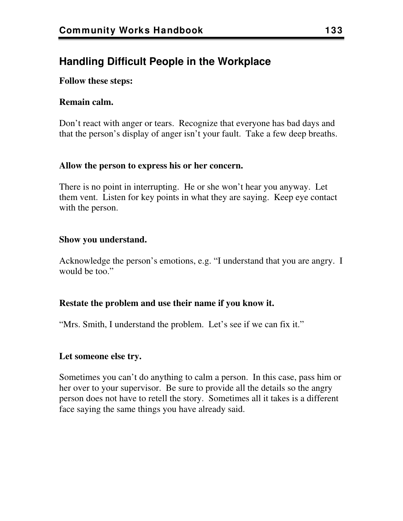## **Handling Difficult People in the Workplace**

#### **Follow these steps:**

#### **Remain calm.**

Don't react with anger or tears. Recognize that everyone has bad days and that the person's display of anger isn't your fault. Take a few deep breaths.

#### **Allow the person to express his or her concern.**

There is no point in interrupting. He or she won't hear you anyway. Let them vent. Listen for key points in what they are saying. Keep eye contact with the person.

#### **Show you understand.**

Acknowledge the person's emotions, e.g. "I understand that you are angry. I would be too."

#### **Restate the problem and use their name if you know it.**

"Mrs. Smith, I understand the problem. Let's see if we can fix it."

#### **Let someone else try.**

Sometimes you can't do anything to calm a person. In this case, pass him or her over to your supervisor. Be sure to provide all the details so the angry person does not have to retell the story. Sometimes all it takes is a different face saying the same things you have already said.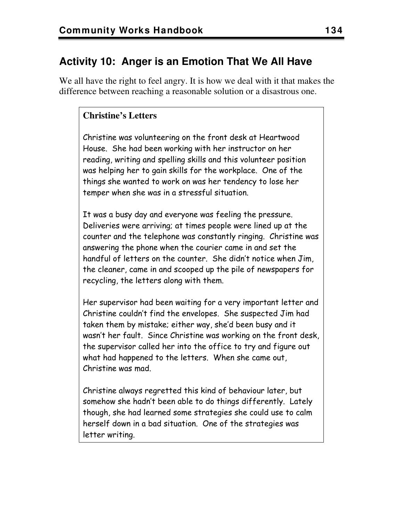## **Activity 10: Anger is an Emotion That We All Have**

We all have the right to feel angry. It is how we deal with it that makes the difference between reaching a reasonable solution or a disastrous one.

#### **Christine's Letters**

Christine was volunteering on the front desk at Heartwood House. She had been working with her instructor on her reading, writing and spelling skills and this volunteer position was helping her to gain skills for the workplace. One of the things she wanted to work on was her tendency to lose her temper when she was in a stressful situation.

It was a busy day and everyone was feeling the pressure. Deliveries were arriving; at times people were lined up at the counter and the telephone was constantly ringing. Christine was answering the phone when the courier came in and set the handful of letters on the counter. She didn't notice when Jim, the cleaner, came in and scooped up the pile of newspapers for recycling, the letters along with them.

Her supervisor had been waiting for a very important letter and Christine couldn't find the envelopes. She suspected Jim had taken them by mistake; either way, she'd been busy and it wasn't her fault. Since Christine was working on the front desk, the supervisor called her into the office to try and figure out what had happened to the letters. When she came out, Christine was mad.

Christine always regretted this kind of behaviour later, but somehow she hadn't been able to do things differently. Lately though, she had learned some strategies she could use to calm herself down in a bad situation. One of the strategies was letter writing.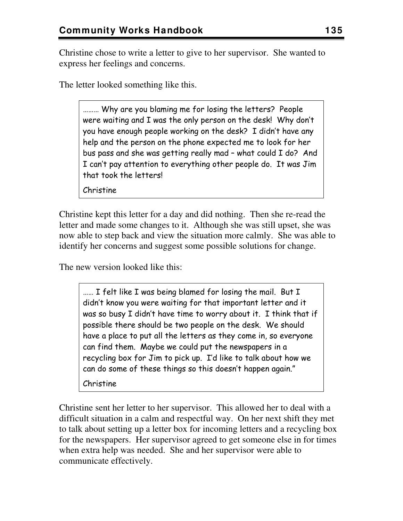Christine chose to write a letter to give to her supervisor. She wanted to express her feelings and concerns.

The letter looked something like this.

……… Why are you blaming me for losing the letters? People were waiting and I was the only person on the desk! Why don't you have enough people working on the desk? I didn't have any help and the person on the phone expected me to look for her bus pass and she was getting really mad – what could I do? And I can't pay attention to everything other people do. It was Jim that took the letters!

Christine

Christine kept this letter for a day and did nothing. Then she re-read the letter and made some changes to it. Although she was still upset, she was now able to step back and view the situation more calmly. She was able to identify her concerns and suggest some possible solutions for change.

The new version looked like this:

…… I felt like I was being blamed for losing the mail. But I didn't know you were waiting for that important letter and it was so busy I didn't have time to worry about it. I think that if possible there should be two people on the desk. We should have a place to put all the letters as they come in, so everyone can find them. Maybe we could put the newspapers in a recycling box for Jim to pick up. I'd like to talk about how we can do some of these things so this doesn't happen again."

Christine

Christine sent her letter to her supervisor. This allowed her to deal with a difficult situation in a calm and respectful way. On her next shift they met to talk about setting up a letter box for incoming letters and a recycling box for the newspapers. Her supervisor agreed to get someone else in for times when extra help was needed. She and her supervisor were able to communicate effectively.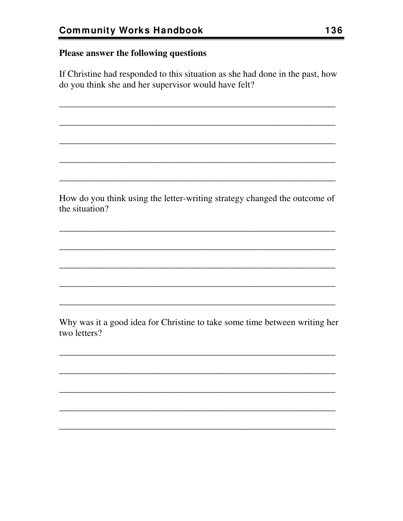#### Please answer the following questions

If Christine had responded to this situation as she had done in the past, how do you think she and her supervisor would have felt?

How do you think using the letter-writing strategy changed the outcome of the situation?

Why was it a good idea for Christine to take some time between writing her two letters?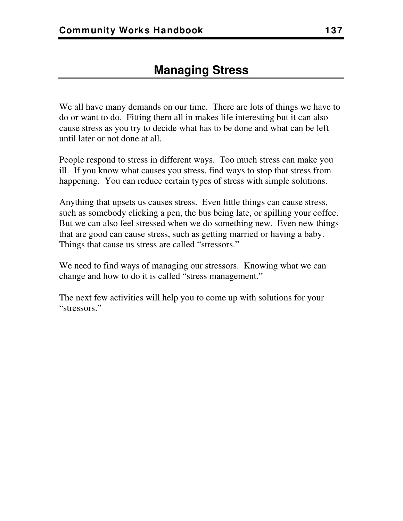We all have many demands on our time. There are lots of things we have to do or want to do. Fitting them all in makes life interesting but it can also cause stress as you try to decide what has to be done and what can be left until later or not done at all.

People respond to stress in different ways. Too much stress can make you ill. If you know what causes you stress, find ways to stop that stress from happening. You can reduce certain types of stress with simple solutions.

Anything that upsets us causes stress. Even little things can cause stress, such as somebody clicking a pen, the bus being late, or spilling your coffee. But we can also feel stressed when we do something new. Even new things that are good can cause stress, such as getting married or having a baby. Things that cause us stress are called "stressors."

We need to find ways of managing our stressors. Knowing what we can change and how to do it is called "stress management."

The next few activities will help you to come up with solutions for your "stressors."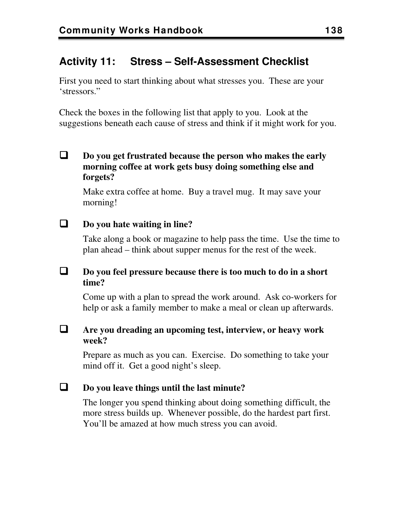## **Activity 11: Stress – Self-Assessment Checklist**

First you need to start thinking about what stresses you. These are your 'stressors."

Check the boxes in the following list that apply to you. Look at the suggestions beneath each cause of stress and think if it might work for you.

 **Do you get frustrated because the person who makes the early morning coffee at work gets busy doing something else and forgets?** 

Make extra coffee at home. Buy a travel mug. It may save your morning!

#### **Do you hate waiting in line?**

Take along a book or magazine to help pass the time. Use the time to plan ahead – think about supper menus for the rest of the week.

#### **Do you feel pressure because there is too much to do in a short time?**

Come up with a plan to spread the work around. Ask co-workers for help or ask a family member to make a meal or clean up afterwards.

#### **Are you dreading an upcoming test, interview, or heavy work week?**

Prepare as much as you can. Exercise. Do something to take your mind off it. Get a good night's sleep.

#### **Do you leave things until the last minute?**

The longer you spend thinking about doing something difficult, the more stress builds up. Whenever possible, do the hardest part first. You'll be amazed at how much stress you can avoid.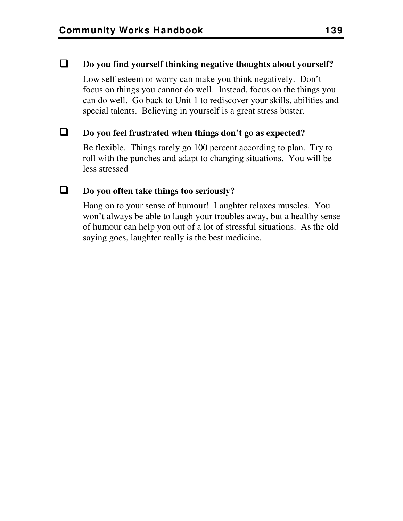#### **Do you find yourself thinking negative thoughts about yourself?**

Low self esteem or worry can make you think negatively. Don't focus on things you cannot do well. Instead, focus on the things you can do well. Go back to Unit 1 to rediscover your skills, abilities and special talents. Believing in yourself is a great stress buster.

#### **Do you feel frustrated when things don't go as expected?**

Be flexible. Things rarely go 100 percent according to plan. Try to roll with the punches and adapt to changing situations. You will be less stressed

#### **Do you often take things too seriously?**

Hang on to your sense of humour! Laughter relaxes muscles. You won't always be able to laugh your troubles away, but a healthy sense of humour can help you out of a lot of stressful situations. As the old saying goes, laughter really is the best medicine.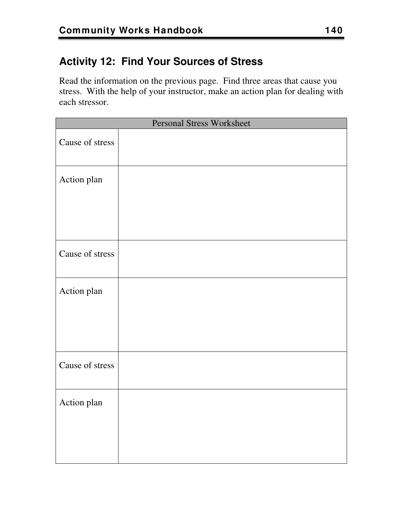## **Activity 12: Find Your Sources of Stress**

Read the information on the previous page. Find three areas that cause you stress. With the help of your instructor, make an action plan for dealing with each stressor.

| Personal Stress Worksheet |  |  |
|---------------------------|--|--|
| Cause of stress           |  |  |
| Action plan               |  |  |
|                           |  |  |
| Cause of stress           |  |  |
| Action plan               |  |  |
|                           |  |  |
| Cause of stress           |  |  |
| Action plan               |  |  |
|                           |  |  |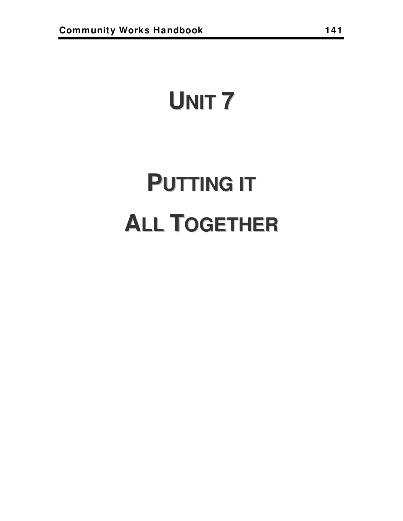## **UNIT 7**

# **PUTTING IT ALL TOGETHER**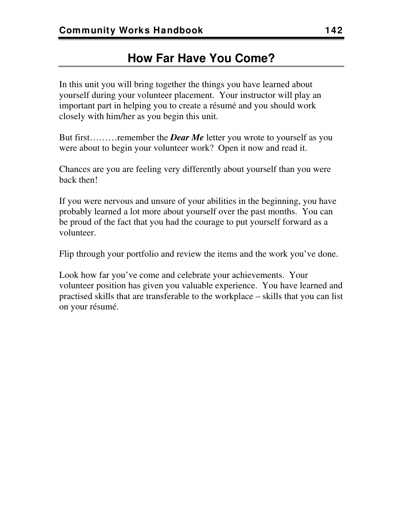## **How Far Have You Come?**

In this unit you will bring together the things you have learned about yourself during your volunteer placement. Your instructor will play an important part in helping you to create a résumé and you should work closely with him/her as you begin this unit.

But first………remember the *Dear Me* letter you wrote to yourself as you were about to begin your volunteer work? Open it now and read it.

Chances are you are feeling very differently about yourself than you were back then!

If you were nervous and unsure of your abilities in the beginning, you have probably learned a lot more about yourself over the past months. You can be proud of the fact that you had the courage to put yourself forward as a volunteer.

Flip through your portfolio and review the items and the work you've done.

Look how far you've come and celebrate your achievements. Your volunteer position has given you valuable experience. You have learned and practised skills that are transferable to the workplace – skills that you can list on your résumé.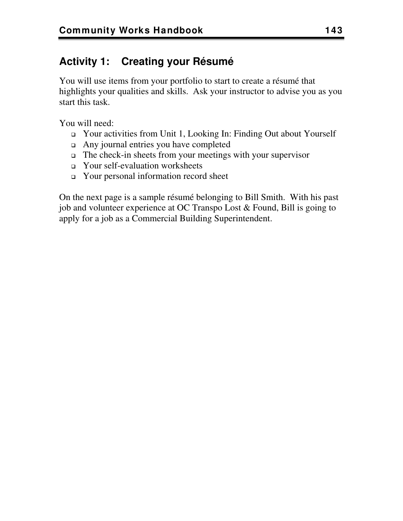## **Activity 1: Creating your Résumé**

You will use items from your portfolio to start to create a résumé that highlights your qualities and skills. Ask your instructor to advise you as you start this task.

You will need:

- Your activities from Unit 1, Looking In: Finding Out about Yourself
- Any journal entries you have completed
- The check-in sheets from your meetings with your supervisor
- Your self-evaluation worksheets
- Your personal information record sheet

On the next page is a sample résumé belonging to Bill Smith. With his past job and volunteer experience at OC Transpo Lost & Found, Bill is going to apply for a job as a Commercial Building Superintendent.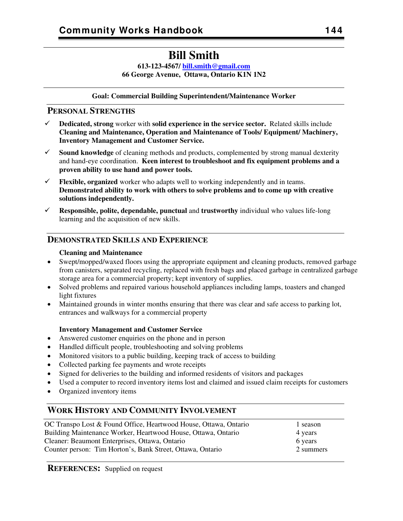## **Bill Smith**

**613-123-4567/ [bill.smith@gmail.com](mailto:bill.smith@gmail.com) 66 George Avenue, Ottawa, Ontario K1N 1N2** 

#### **Goal: Commercial Building Superintendent/Maintenance Worker**

#### **PERSONAL STRENGTHS**

- 9 **Dedicated, strong** worker with **solid experience in the service sector.** Related skills include **Cleaning and Maintenance, Operation and Maintenance of Tools/ Equipment/ Machinery, Inventory Management and Customer Service.**
- $\checkmark$  **Sound knowledge** of cleaning methods and products, complemented by strong manual dexterity and hand-eye coordination. **Keen interest to troubleshoot and fix equipment problems and a proven ability to use hand and power tools.**
- $\checkmark$  **Flexible, organized** worker who adapts well to working independently and in teams. **Demonstrated ability to work with others to solve problems and to come up with creative solutions independently.**
- $\checkmark$  **Responsible, polite, dependable, punctual** and **trustworthy** individual who values life-long learning and the acquisition of new skills.

## **DEMONSTRATED SKILLS AND EXPERIENCE**

#### **Cleaning and Maintenance**

- Swept/mopped/waxed floors using the appropriate equipment and cleaning products, removed garbage from canisters, separated recycling, replaced with fresh bags and placed garbage in centralized garbage storage area for a commercial property; kept inventory of supplies.
- Solved problems and repaired various household appliances including lamps, toasters and changed light fixtures
- Maintained grounds in winter months ensuring that there was clear and safe access to parking lot, entrances and walkways for a commercial property

#### **Inventory Management and Customer Service**

- Answered customer enquiries on the phone and in person
- Handled difficult people, troubleshooting and solving problems
- Monitored visitors to a public building, keeping track of access to building
- Collected parking fee payments and wrote receipts
- Signed for deliveries to the building and informed residents of visitors and packages
- Used a computer to record inventory items lost and claimed and issued claim receipts for customers
- Organized inventory items

## **WORK HISTORY AND COMMUNITY INVOLVEMENT**

| OC Transpo Lost & Found Office, Heartwood House, Ottawa, Ontario | 1 season  |
|------------------------------------------------------------------|-----------|
| Building Maintenance Worker, Heartwood House, Ottawa, Ontario    | 4 years   |
| Cleaner: Beaumont Enterprises, Ottawa, Ontario                   | 6 years   |
| Counter person: Tim Horton's, Bank Street, Ottawa, Ontario       | 2 summers |
|                                                                  |           |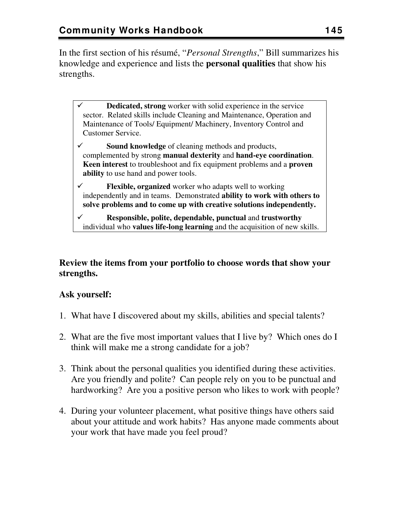In the first section of his résumé, "*Personal Strengths*," Bill summarizes his knowledge and experience and lists the **personal qualities** that show his strengths.

**Dedicated, strong** worker with solid experience in the service sector. Related skills include Cleaning and Maintenance, Operation and Maintenance of Tools/ Equipment/ Machinery, Inventory Control and Customer Service.

**Sound knowledge** of cleaning methods and products, complemented by strong **manual dexterity** and **hand-eye coordination**. **Keen interest** to troubleshoot and fix equipment problems and a **proven ability** to use hand and power tools.

9 **Flexible, organized** worker who adapts well to working independently and in teams. Demonstrated **ability to work with others to solve problems and to come up with creative solutions independently.** 

9 **Responsible, polite, dependable, punctual** and **trustworthy** individual who **values life-long learning** and the acquisition of new skills.

## **Review the items from your portfolio to choose words that show your strengths.**

## **Ask yourself:**

- 1. What have I discovered about my skills, abilities and special talents?
- 2. What are the five most important values that I live by? Which ones do I think will make me a strong candidate for a job?
- 3. Think about the personal qualities you identified during these activities. Are you friendly and polite? Can people rely on you to be punctual and hardworking? Are you a positive person who likes to work with people?
- 4. During your volunteer placement, what positive things have others said about your attitude and work habits? Has anyone made comments about your work that have made you feel proud?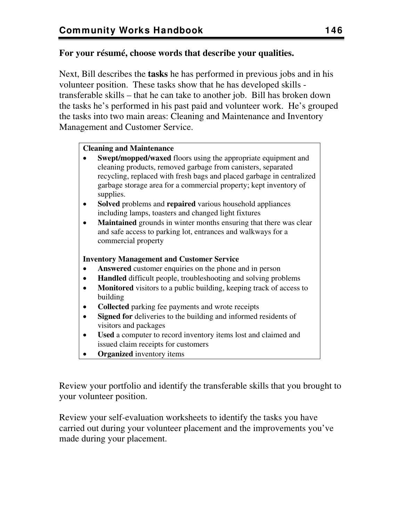## **For your résumé, choose words that describe your qualities.**

Next, Bill describes the **tasks** he has performed in previous jobs and in his volunteer position. These tasks show that he has developed skills transferable skills – that he can take to another job. Bill has broken down the tasks he's performed in his past paid and volunteer work. He's grouped the tasks into two main areas: Cleaning and Maintenance and Inventory Management and Customer Service.

## **Cleaning and Maintenance**

- **Swept/mopped/waxed** floors using the appropriate equipment and cleaning products, removed garbage from canisters, separated recycling, replaced with fresh bags and placed garbage in centralized garbage storage area for a commercial property; kept inventory of supplies.
- **Solved** problems and **repaired** various household appliances including lamps, toasters and changed light fixtures
- **Maintained** grounds in winter months ensuring that there was clear and safe access to parking lot, entrances and walkways for a commercial property

## **Inventory Management and Customer Service**

- **Answered** customer enquiries on the phone and in person
- **Handled** difficult people, troubleshooting and solving problems
- **Monitored** visitors to a public building, keeping track of access to building
- **Collected** parking fee payments and wrote receipts
- **Signed for** deliveries to the building and informed residents of visitors and packages
- **Used** a computer to record inventory items lost and claimed and issued claim receipts for customers
- **Organized** inventory items

Review your portfolio and identify the transferable skills that you brought to your volunteer position.

Review your self-evaluation worksheets to identify the tasks you have carried out during your volunteer placement and the improvements you've made during your placement.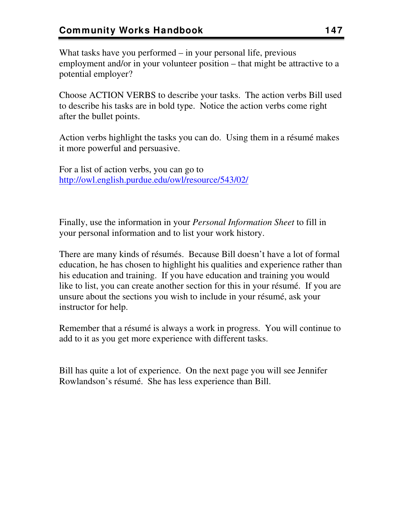What tasks have you performed – in your personal life, previous employment and/or in your volunteer position – that might be attractive to a potential employer?

Choose ACTION VERBS to describe your tasks. The action verbs Bill used to describe his tasks are in bold type. Notice the action verbs come right after the bullet points.

Action verbs highlight the tasks you can do. Using them in a résumé makes it more powerful and persuasive.

For a list of action verbs, you can go to <http://owl.english.purdue.edu/owl/resource/543/02/>

Finally, use the information in your *Personal Information Sheet* to fill in your personal information and to list your work history.

There are many kinds of résumés. Because Bill doesn't have a lot of formal education, he has chosen to highlight his qualities and experience rather than his education and training. If you have education and training you would like to list, you can create another section for this in your résumé. If you are unsure about the sections you wish to include in your résumé, ask your instructor for help.

Remember that a résumé is always a work in progress. You will continue to add to it as you get more experience with different tasks.

Bill has quite a lot of experience. On the next page you will see Jennifer Rowlandson's résumé. She has less experience than Bill.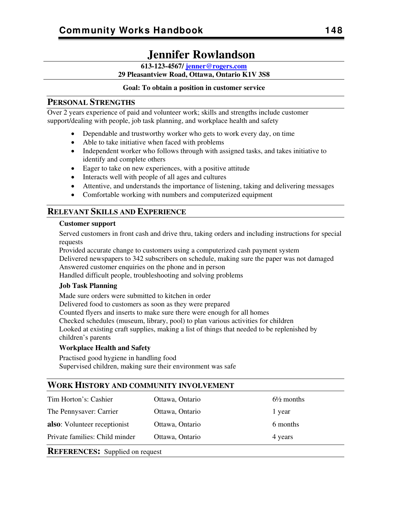## **Jennifer Rowlandson**

**613-123-4567/ [jenner@rogers.com](mailto:jenner@rogers.com)**

**29 Pleasantview Road, Ottawa, Ontario K1V 3S8** 

#### **Goal: To obtain a position in customer service**

#### **PERSONAL STRENGTHS**

Over 2 years experience of paid and volunteer work; skills and strengths include customer support/dealing with people, job task planning, and workplace health and safety

- Dependable and trustworthy worker who gets to work every day, on time
- Able to take initiative when faced with problems
- Independent worker who follows through with assigned tasks, and takes initiative to identify and complete others
- Eager to take on new experiences, with a positive attitude
- Interacts well with people of all ages and cultures
- Attentive, and understands the importance of listening, taking and delivering messages
- Comfortable working with numbers and computerized equipment

## **RELEVANT SKILLS AND EXPERIENCE**

#### **Customer support**

Served customers in front cash and drive thru, taking orders and including instructions for special requests

Provided accurate change to customers using a computerized cash payment system

Delivered newspapers to 342 subscribers on schedule, making sure the paper was not damaged Answered customer enquiries on the phone and in person

Handled difficult people, troubleshooting and solving problems

#### **Job Task Planning**

Made sure orders were submitted to kitchen in order

Delivered food to customers as soon as they were prepared

Counted flyers and inserts to make sure there were enough for all homes

Checked schedules (museum, library, pool) to plan various activities for children

Looked at existing craft supplies, making a list of things that needed to be replenished by children's parents

#### **Workplace Health and Safety**

Practised good hygiene in handling food Supervised children, making sure their environment was safe

## **WORK HISTORY AND COMMUNITY INVOLVEMENT**

| <b>REFERENCES:</b> Supplied on request                       |                 |                       |  |
|--------------------------------------------------------------|-----------------|-----------------------|--|
| Private families: Child minder<br>Ottawa, Ontario<br>4 years |                 |                       |  |
| <b>also:</b> Volunteer receptionist                          | Ottawa, Ontario | 6 months              |  |
| The Pennysaver: Carrier                                      | Ottawa, Ontario | 1 year                |  |
| Tim Horton's: Cashier                                        | Ottawa, Ontario | $6\frac{1}{2}$ months |  |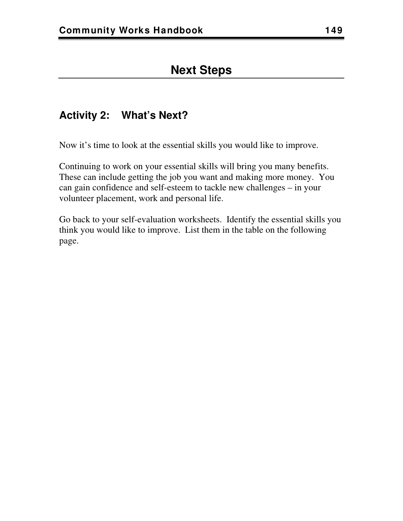## **Activity 2: What's Next?**

Now it's time to look at the essential skills you would like to improve.

Continuing to work on your essential skills will bring you many benefits. These can include getting the job you want and making more money. You can gain confidence and self-esteem to tackle new challenges – in your volunteer placement, work and personal life.

Go back to your self-evaluation worksheets. Identify the essential skills you think you would like to improve. List them in the table on the following page.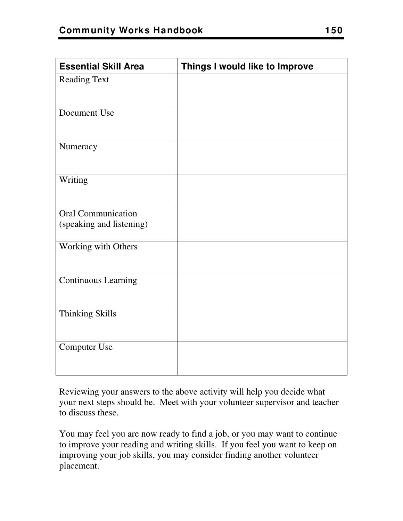| <b>Essential Skill Area</b>                           | Things I would like to Improve |
|-------------------------------------------------------|--------------------------------|
| <b>Reading Text</b>                                   |                                |
| Document Use                                          |                                |
| Numeracy                                              |                                |
| Writing                                               |                                |
| <b>Oral Communication</b><br>(speaking and listening) |                                |
| Working with Others                                   |                                |
| <b>Continuous Learning</b>                            |                                |
| Thinking Skills                                       |                                |
| <b>Computer Use</b>                                   |                                |

Reviewing your answers to the above activity will help you decide what your next steps should be. Meet with your volunteer supervisor and teacher to discuss these.

You may feel you are now ready to find a job, or you may want to continue to improve your reading and writing skills. If you feel you want to keep on improving your job skills, you may consider finding another volunteer placement.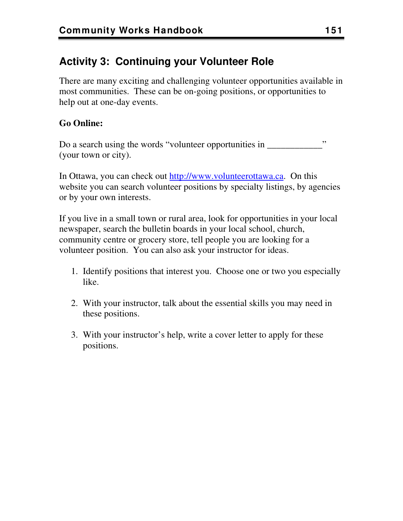## **Activity 3: Continuing your Volunteer Role**

There are many exciting and challenging volunteer opportunities available in most communities. These can be on-going positions, or opportunities to help out at one-day events.

## **Go Online:**

Do a search using the words "volunteer opportunities in \_\_\_\_\_\_\_\_\_\_\_\_\_\_\_\_\_" (your town or city).

In Ottawa, you can check out [http://www.volunteerottawa.ca.](http://www.volunteerottawa.ca/) On this website you can search volunteer positions by specialty listings, by agencies or by your own interests.

If you live in a small town or rural area, look for opportunities in your local newspaper, search the bulletin boards in your local school, church, community centre or grocery store, tell people you are looking for a volunteer position. You can also ask your instructor for ideas.

- 1. Identify positions that interest you. Choose one or two you especially like.
- 2. With your instructor, talk about the essential skills you may need in these positions.
- 3. With your instructor's help, write a cover letter to apply for these positions.